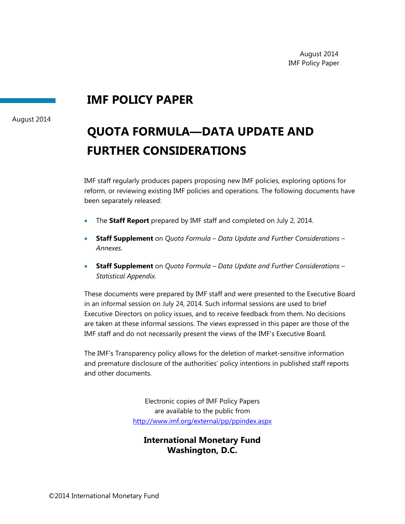# **IMF POLICY PAPER**

August 2014

# **QUOTA FORMULA—DATA UPDATE AND FURTHER CONSIDERATIONS**

IMF staff regularly produces papers proposing new IMF policies, exploring options for reform, or reviewing existing IMF policies and operations. The following documents have been separately released:

- The **Staff Report** prepared by IMF staff and completed on July 2, 2014.
- **Staff Supplement** on *Quota Formula Data Update and Further Considerations Annexes.*
- **Staff Supplement** on *Quota Formula Data Update and Further Considerations Statistical Appendix.*

These documents were prepared by IMF staff and were presented to the Executive Board in an informal session on July 24, 2014. Such informal sessions are used to brief Executive Directors on policy issues, and to receive feedback from them. No decisions are taken at these informal sessions. The views expressed in this paper are those of the IMF staff and do not necessarily present the views of the IMF's Executive Board.

The IMF's Transparency policy allows for the deletion of market-sensitive information and premature disclosure of the authorities' policy intentions in published staff reports and other documents.

> Electronic copies of IMF Policy Papers are available to the public from http://www.imf.org/external/pp/ppindex.aspx

# **International Monetary Fund Washington, D.C.**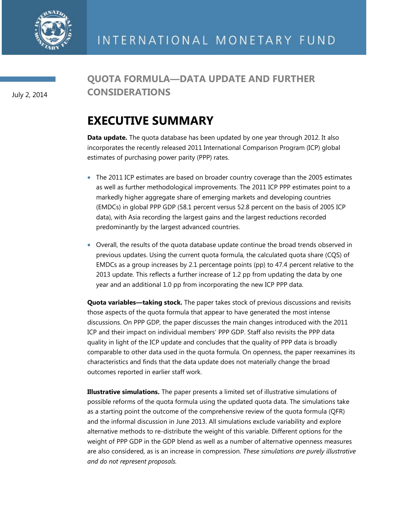

July 2, 2014

# **QUOTA FORMULA—DATA UPDATE AND FURTHER CONSIDERATIONS**

# **EXECUTIVE SUMMARY**

**Data update.** The quota database has been updated by one year through 2012. It also incorporates the recently released 2011 International Comparison Program (ICP) global estimates of purchasing power parity (PPP) rates.

- The 2011 ICP estimates are based on broader country coverage than the 2005 estimates as well as further methodological improvements. The 2011 ICP PPP estimates point to a markedly higher aggregate share of emerging markets and developing countries (EMDCs) in global PPP GDP (58.1 percent versus 52.8 percent on the basis of 2005 ICP data), with Asia recording the largest gains and the largest reductions recorded predominantly by the largest advanced countries.
- Overall, the results of the quota database update continue the broad trends observed in previous updates. Using the current quota formula, the calculated quota share (CQS) of EMDCs as a group increases by 2.1 percentage points (pp) to 47.4 percent relative to the 2013 update. This reflects a further increase of 1.2 pp from updating the data by one year and an additional 1.0 pp from incorporating the new ICP PPP data.

**Quota variables—taking stock.** The paper takes stock of previous discussions and revisits those aspects of the quota formula that appear to have generated the most intense discussions. On PPP GDP, the paper discusses the main changes introduced with the 2011 ICP and their impact on individual members' PPP GDP. Staff also revisits the PPP data quality in light of the ICP update and concludes that the quality of PPP data is broadly comparable to other data used in the quota formula. On openness, the paper reexamines its characteristics and finds that the data update does not materially change the broad outcomes reported in earlier staff work.

**Illustrative simulations.** The paper presents a limited set of illustrative simulations of possible reforms of the quota formula using the updated quota data. The simulations take as a starting point the outcome of the comprehensive review of the quota formula (QFR) and the informal discussion in June 2013. All simulations exclude variability and explore alternative methods to re-distribute the weight of this variable. Different options for the weight of PPP GDP in the GDP blend as well as a number of alternative openness measures are also considered, as is an increase in compression. *These simulations are purely illustrative and do not represent proposals.*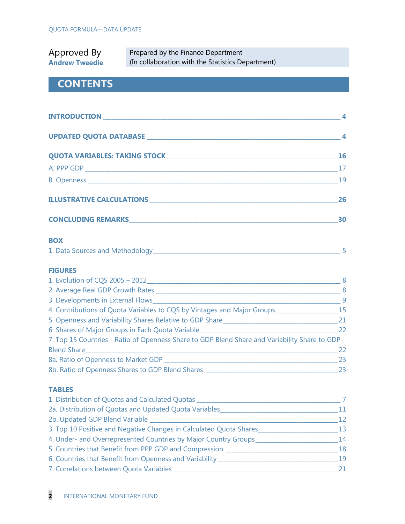| Approved By           | Prepared by the Finance Department                |
|-----------------------|---------------------------------------------------|
| <b>Andrew Tweedie</b> | (In collaboration with the Statistics Department) |

# **CONTENTS**

|                                                                                                                | 4              |
|----------------------------------------------------------------------------------------------------------------|----------------|
|                                                                                                                | $\overline{4}$ |
|                                                                                                                | 16             |
|                                                                                                                | 17             |
|                                                                                                                | 19             |
|                                                                                                                | 26             |
| CONCLUDING REMARKS AND RESERVE TO A RESERVE THE RESERVE TO A RESERVE THE RESERVE TO A RESERVE THE RESERVE TO A | 30             |

# **BOX**

| 1. Data Sources and Methodology |  |  |
|---------------------------------|--|--|
|                                 |  |  |

#### **FIGURES**

| 1. Evolution of CQS 2005 - 2012                                                               | 8   |
|-----------------------------------------------------------------------------------------------|-----|
| 2. Average Real GDP Growth Rates                                                              | - 8 |
| 3. Developments in External Flows                                                             | - 9 |
| 4. Contributions of Quota Variables to CQS by Vintages and Major Groups                       | -15 |
| 5. Openness and Variability Shares Relative to GDP Share _______________________              | 21  |
| 6. Shares of Major Groups in Each Quota Variable                                              | 22  |
| 7. Top 15 Countries - Ratio of Openness Share to GDP Blend Share and Variability Share to GDP |     |
| <b>Blend Share</b>                                                                            | 22  |
| 8a. Ratio of Openness to Market GDP                                                           | 23  |
| 8b. Ratio of Openness Shares to GDP Blend Shares                                              | 23  |

### **TABLES**

| 1. Distribution of Quotas and Calculated Quotas                    |    |
|--------------------------------------------------------------------|----|
| 2a. Distribution of Quotas and Updated Quota Variables             | 11 |
| 2b. Updated GDP Blend Variable                                     | 12 |
| 3. Top 10 Positive and Negative Changes in Calculated Quota Shares | 13 |
| 4. Under- and Overrepresented Countries by Major Country Groups_   | 14 |
| 5. Countries that Benefit from PPP GDP and Compression             | 18 |
| 6. Countries that Benefit from Openness and Variability            | 19 |
| 7. Correlations between Quota Variables                            |    |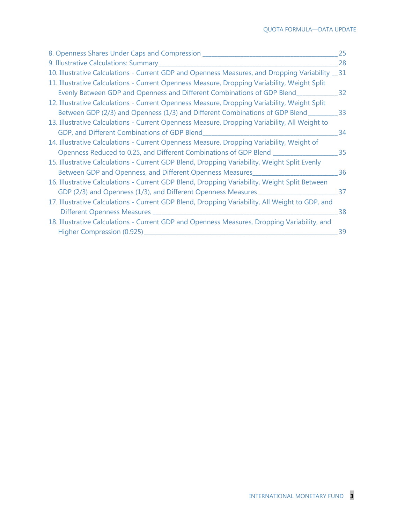| 8. Openness Shares Under Caps and Compression __________________________________                  | 25 |
|---------------------------------------------------------------------------------------------------|----|
|                                                                                                   | 28 |
| 10. Illustrative Calculations - Current GDP and Openness Measures, and Dropping Variability __ 31 |    |
| 11. Illustrative Calculations - Current Openness Measure, Dropping Variability, Weight Split      |    |
| Evenly Between GDP and Openness and Different Combinations of GDP Blend_______________32          |    |
| 12. Illustrative Calculations - Current Openness Measure, Dropping Variability, Weight Split      |    |
| Between GDP (2/3) and Openness (1/3) and Different Combinations of GDP Blend __________ 33        |    |
| 13. Illustrative Calculations - Current Openness Measure, Dropping Variability, All Weight to     |    |
|                                                                                                   | 34 |
| 14. Illustrative Calculations - Current Openness Measure, Dropping Variability, Weight of         |    |
| Openness Reduced to 0.25, and Different Combinations of GDP Blend _____________________35         |    |
| 15. Illustrative Calculations - Current GDP Blend, Dropping Variability, Weight Split Evenly      |    |
| Between GDP and Openness, and Different Openness Measures                                         | 36 |
| 16. Illustrative Calculations - Current GDP Blend, Dropping Variability, Weight Split Between     |    |
|                                                                                                   |    |
| 17. Illustrative Calculations - Current GDP Blend, Dropping Variability, All Weight to GDP, and   |    |
|                                                                                                   | 38 |
| 18. Illustrative Calculations - Current GDP and Openness Measures, Dropping Variability, and      |    |
| Higher Compression (0.925)                                                                        | 39 |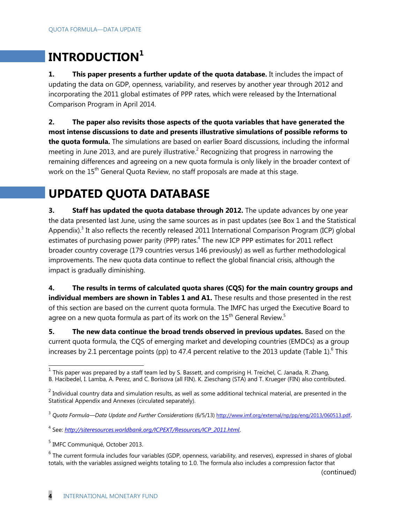# **INTRODUCTION<sup>1</sup>**

**1. This paper presents a further update of the quota database.** It includes the impact of updating the data on GDP, openness, variability, and reserves by another year through 2012 and incorporating the 2011 global estimates of PPP rates, which were released by the International Comparison Program in April 2014.

**2. The paper also revisits those aspects of the quota variables that have generated the most intense discussions to date and presents illustrative simulations of possible reforms to the quota formula.** The simulations are based on earlier Board discussions, including the informal meeting in June 2013, and are purely illustrative.<sup>2</sup> Recognizing that progress in narrowing the remaining differences and agreeing on a new quota formula is only likely in the broader context of work on the 15<sup>th</sup> General Quota Review, no staff proposals are made at this stage.

# **UPDATED QUOTA DATABASE**

**3.** Staff has updated the quota database through 2012. The update advances by one year the data presented last June, using the same sources as in past updates (see Box 1 and the Statistical Appendix).<sup>3</sup> It also reflects the recently released 2011 International Comparison Program (ICP) global estimates of purchasing power parity (PPP) rates.<sup>4</sup> The new ICP PPP estimates for 2011 reflect broader country coverage (179 countries versus 146 previously) as well as further methodological improvements. The new quota data continue to reflect the global financial crisis, although the impact is gradually diminishing.

**4. The results in terms of calculated quota shares (CQS) for the main country groups and**  individual members are shown in Tables 1 and A1. These results and those presented in the rest of this section are based on the current quota formula. The IMFC has urged the Executive Board to agree on a new quota formula as part of its work on the  $15<sup>th</sup>$  General Review.<sup>5</sup>

**5.** The new data continue the broad trends observed in previous updates. Based on the current quota formula, the CQS of emerging market and developing countries (EMDCs) as a group increases by 2.1 percentage points (pp) to 47.4 percent relative to the 2013 update (Table 1).<sup>6</sup> This

(continued)

THE THIS paper was prepared by a staff team led by S. Bassett, and comprising H. Treichel, C. Janada, R. Zhang, This paper was prepared by a staff team led by S. Bassett, and comprising H. Treichel, C. Janada, R. Zhang,

B. Hacibedel, I. Lamba, A. Perez, and C. Borisova (all FIN). K. Zieschang (STA) and T. Krueger (FIN) also contributed.

 $^2$  Individual country data and simulation results, as well as some additional technical material, are presented in the Statistical Appendix and Annexes (circulated separately).

<sup>3</sup> *Quota Formula—Data Update and Further Considerations* (6/5/13) <http://www.imf.org/external/np/pp/eng/2013/060513.pdf>.

<sup>4</sup> See: *[http://siteresources.worldbank.org/ICPEXT/Resources/ICP\\_2011.html](http://siteresources.worldbank.org/ICPEXT/Resources/ICP_2011.html)*.

<sup>&</sup>lt;sup>5</sup> IMFC Communiqué, October 2013.

 $6$  The current formula includes four variables (GDP, openness, variability, and reserves), expressed in shares of global totals, with the variables assigned weights totaling to 1.0. The formula also includes a compression factor that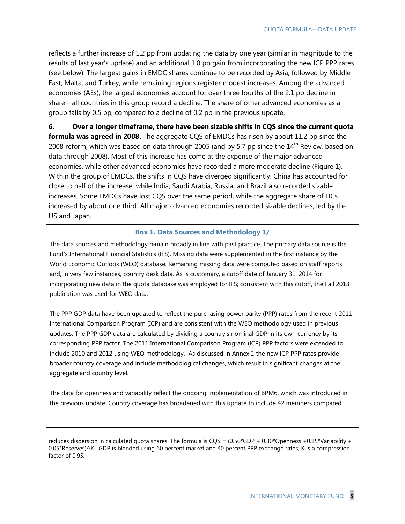reflects a further increase of 1.2 pp from updating the data by one year (similar in magnitude to the results of last year's update) and an additional 1.0 pp gain from incorporating the new ICP PPP rates (see below). The largest gains in EMDC shares continue to be recorded by Asia, followed by Middle East, Malta, and Turkey, while remaining regions register modest increases. Among the advanced economies (AEs), the largest economies account for over three fourths of the 2.1 pp decline in share—all countries in this group record a decline. The share of other advanced economies as a group falls by 0.5 pp, compared to a decline of 0.2 pp in the previous update.

**6. Over a longer timeframe, there have been sizable shifts in CQS since the current quota formula was agreed in 2008.** The aggregate CQS of EMDCs has risen by about 11.2 pp since the 2008 reform, which was based on data through 2005 (and by 5.7 pp since the  $14<sup>th</sup>$  Review, based on data through 2008). Most of this increase has come at the expense of the major advanced economies, while other advanced economies have recorded a more moderate decline (Figure 1). Within the group of EMDCs, the shifts in CQS have diverged significantly. China has accounted for close to half of the increase, while India, Saudi Arabia, Russia, and Brazil also recorded sizable increases. Some EMDCs have lost CQS over the same period, while the aggregate share of LICs increased by about one third. All major advanced economies recorded sizable declines, led by the US and Japan.

#### **Box 1. Data Sources and Methodology 1/**

The data sources and methodology remain broadly in line with past practice. The primary data source is the Fund's International Financial Statistics (IFS). Missing data were supplemented in the first instance by the World Economic Outlook (WEO) database. Remaining missing data were computed based on staff reports and, in very few instances, country desk data. As is customary, a cutoff date of January 31, 2014 for incorporating new data in the quota database was employed for IFS; consistent with this cutoff, the Fall 2013 publication was used for WEO data.

The PPP GDP data have been updated to reflect the purchasing power parity (PPP) rates from the recent 2011 International Comparison Program (ICP) and are consistent with the WEO methodology used in previous updates. The PPP GDP data are calculated by dividing a country's nominal GDP in its own currency by its corresponding PPP factor. The 2011 International Comparison Program (ICP) PPP factors were extended to include 2010 and 2012 using WEO methodology. As discussed in Annex I, the new ICP PPP rates provide broader country coverage and include methodological changes, which result in significant changes at the aggregate and country level.

The data for openness and variability reflect the ongoing implementation of BPM6, which was introduced in the previous update. Country coverage has broadened with this update to include 42 members compared

-

reduces dispersion in calculated quota shares. The formula is CQS =  $(0.50*GDP + 0.30*Opennes + 0.15*Variability +$ 0.05\*Reserves)^K. GDP is blended using 60 percent market and 40 percent PPP exchange rates; K is a compression factor of 0.95.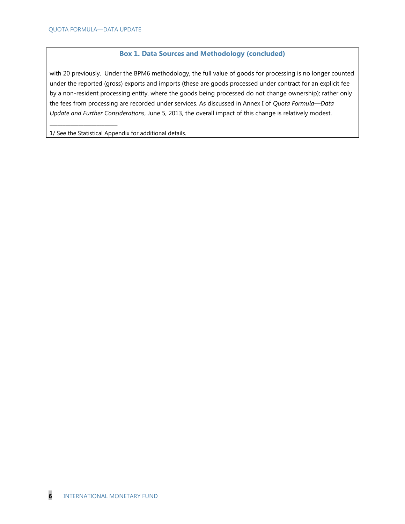\_\_\_\_\_\_\_\_\_\_\_\_\_\_\_\_\_\_\_\_\_\_\_\_\_\_

#### **Box 1. Data Sources and Methodology (concluded)**

with 20 previously. Under the BPM6 methodology, the full value of goods for processing is no longer counted under the reported (gross) exports and imports (these are goods processed under contract for an explicit fee by a non-resident processing entity, where the goods being processed do not change ownership); rather only the fees from processing are recorded under services. As discussed in Annex I of *Quota Formula—Data Update and Further Considerations*, June 5, 2013, the overall impact of this change is relatively modest.

1/ See the Statistical Appendix for additional details.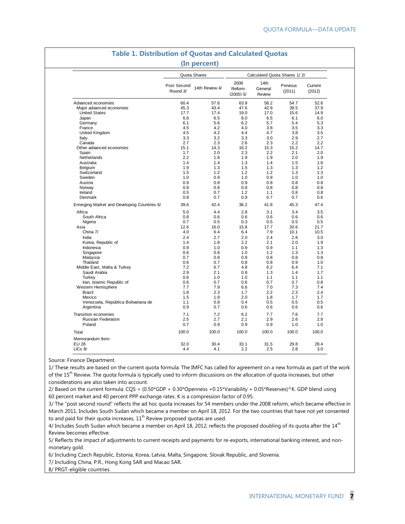| 2008<br>14th<br>Post Second<br>Previous<br>14th Review 4/<br>Reform<br>General<br>Round 3/<br>(2011)<br>(2012)<br>$(2005)$ 5/<br>Review<br>60.4<br>57.6<br>58.2<br>54.7<br>Advanced economies<br>63.8<br>47.6<br>42.9<br>Major advanced economies<br>45.3<br>43.4<br>39.5<br><b>United States</b><br>17.7<br>17.4<br>19.0<br>17.0<br>15.6<br>8.0<br>6.6<br>6.5<br>6.5<br>6.1<br>Japan<br>6.2<br>5.7<br>Germany<br>6.1<br>5.6<br>5.4<br>4.5<br>4.2<br>4.0<br>3.8<br>France<br>3.5<br>United Kingdom<br>4.5<br>4.2<br>4.7<br>4.4<br>3.8<br>3.3<br>3.2<br>3.3<br>3.0<br>2.9<br>Italy<br>Canada<br>2.7<br>2.3<br>2.6<br>2.3<br>2.2<br>2.2<br>15.1<br>14.3<br>16.2<br>15.3<br>14.7<br>Other advanced economies<br>15.2<br>2.0<br>2.3<br>2.2<br>Spain<br>1.7<br>2.1<br>2.0<br>2.2<br>1.8<br>1.9<br>1.9<br>2.0<br>1.9<br>Netherlands<br>1.4<br>1.3<br>1.4<br>1.5<br>Australia<br>1.4<br>1.9<br>1.3<br>1.5<br>1.3<br>1.3<br>Belgium<br>Switzerland<br>1.5<br>1.2<br>1.2<br>1.2<br>1.3<br>Sweden<br>1.0<br>0.9<br>1.0<br>0.9<br>1.0<br>Austria<br>0.9<br>0.8<br>0.9<br>0.8<br>0.8<br>Norway<br>0.8<br>0.8<br>0.8<br>0.8<br>0.8<br>0.5<br>Ireland<br>0.7<br>1.2<br>1.1<br>0.8<br>0.8<br>0.7<br>0.9<br>Denmark<br>0.7<br>0.7<br>42.4<br>39.6<br>36.2<br>41.8<br>45.3<br>Emerging Market and Developing Countries 6/<br>5.0<br>3.4<br>Africa<br>4.4<br>2.8<br>3.1<br>South Africa<br>0.8<br>0.6<br>0.6<br>0.6<br>0.6<br>0.7<br>0.3<br>0.5<br>Nigeria<br>0.5<br>0.5<br>20.6<br>12.6<br>16.0<br>15.8<br>17.7<br>Asia<br>7.9<br>China 7/<br>4.0<br>6.4<br>6.4<br>10.1<br>India<br>2.4<br>2.7<br>2.0<br>2.4<br>2.8<br>Korea, Republic of<br>1.4<br>1.8<br>2.2<br>2.1<br>2.0<br>Indonesia<br>0.9<br>1.0<br>0.9<br>0.9<br>1.1<br>Singapore<br>0.6<br>0.8<br>1.0<br>1.2<br>1.3<br>0.7<br>0.9<br>Malaysia<br>0.8<br>0.8<br>0.8<br>0.6<br>0.7<br>0.8<br>0.9<br>Thailand<br>0.8<br>Middle East, Malta & Turkey<br>7.2<br>6.7<br>4.8<br>6.2<br>6.4<br>Saudi Arabia<br>2.9<br>2.1<br>0.8<br>1.3<br>1.4<br><b>Turkey</b><br>0.6<br>1.0<br>1.0<br>1.1<br>1.1<br>Iran, Islamic Republic of<br>0.6<br>0.7<br>0.6<br>0.7<br>0.7<br>0.8<br>Western Hemisphere<br>7.7<br>7.9<br>6.6<br>7.0<br>7.3<br>7.4<br>2.3<br>Brazil<br>1.8<br>1.7<br>2.2<br>2.3<br>2.4<br>2.0<br>Mexico<br>1.5<br>1.9<br>1.8<br>1.7<br>0.4<br>0.5<br>0.5<br>Venezuela, República Bolivariana de<br>1.1<br>0.8<br>0.9<br>0.7<br>0.6<br>Argentina<br>0.6<br>0.6<br>Transition economies<br>7.1<br>7.2<br>6.2<br>7.7<br>7.6<br>2.5<br>2.7<br><b>Russian Federation</b><br>2.1<br>2.9<br>2.6<br>Poland<br>0.7<br>0.9<br>0.9<br>0.9<br>1.0<br>100.0<br>100.0<br>100.0<br>100.0<br>100.0 |         |      | Quota Shares | Calculated Quota Shares 1/2/ |      |      |         |  |  |
|---------------------------------------------------------------------------------------------------------------------------------------------------------------------------------------------------------------------------------------------------------------------------------------------------------------------------------------------------------------------------------------------------------------------------------------------------------------------------------------------------------------------------------------------------------------------------------------------------------------------------------------------------------------------------------------------------------------------------------------------------------------------------------------------------------------------------------------------------------------------------------------------------------------------------------------------------------------------------------------------------------------------------------------------------------------------------------------------------------------------------------------------------------------------------------------------------------------------------------------------------------------------------------------------------------------------------------------------------------------------------------------------------------------------------------------------------------------------------------------------------------------------------------------------------------------------------------------------------------------------------------------------------------------------------------------------------------------------------------------------------------------------------------------------------------------------------------------------------------------------------------------------------------------------------------------------------------------------------------------------------------------------------------------------------------------------------------------------------------------------------------------------------------------------------------------------------------------------------------------------------------------------------------------------------------------------------------------------------------------------------------------------------------------------------------------------------------------------------------------------------------------------------------------------------------------------------------------------------------------------------|---------|------|--------------|------------------------------|------|------|---------|--|--|
|                                                                                                                                                                                                                                                                                                                                                                                                                                                                                                                                                                                                                                                                                                                                                                                                                                                                                                                                                                                                                                                                                                                                                                                                                                                                                                                                                                                                                                                                                                                                                                                                                                                                                                                                                                                                                                                                                                                                                                                                                                                                                                                                                                                                                                                                                                                                                                                                                                                                                                                                                                                                                           |         |      |              |                              |      |      | Current |  |  |
|                                                                                                                                                                                                                                                                                                                                                                                                                                                                                                                                                                                                                                                                                                                                                                                                                                                                                                                                                                                                                                                                                                                                                                                                                                                                                                                                                                                                                                                                                                                                                                                                                                                                                                                                                                                                                                                                                                                                                                                                                                                                                                                                                                                                                                                                                                                                                                                                                                                                                                                                                                                                                           |         |      |              |                              |      |      | 52.6    |  |  |
|                                                                                                                                                                                                                                                                                                                                                                                                                                                                                                                                                                                                                                                                                                                                                                                                                                                                                                                                                                                                                                                                                                                                                                                                                                                                                                                                                                                                                                                                                                                                                                                                                                                                                                                                                                                                                                                                                                                                                                                                                                                                                                                                                                                                                                                                                                                                                                                                                                                                                                                                                                                                                           |         |      |              |                              |      |      | 37.9    |  |  |
|                                                                                                                                                                                                                                                                                                                                                                                                                                                                                                                                                                                                                                                                                                                                                                                                                                                                                                                                                                                                                                                                                                                                                                                                                                                                                                                                                                                                                                                                                                                                                                                                                                                                                                                                                                                                                                                                                                                                                                                                                                                                                                                                                                                                                                                                                                                                                                                                                                                                                                                                                                                                                           |         |      |              |                              |      |      | 14.9    |  |  |
|                                                                                                                                                                                                                                                                                                                                                                                                                                                                                                                                                                                                                                                                                                                                                                                                                                                                                                                                                                                                                                                                                                                                                                                                                                                                                                                                                                                                                                                                                                                                                                                                                                                                                                                                                                                                                                                                                                                                                                                                                                                                                                                                                                                                                                                                                                                                                                                                                                                                                                                                                                                                                           |         |      |              |                              |      |      | 6.0     |  |  |
|                                                                                                                                                                                                                                                                                                                                                                                                                                                                                                                                                                                                                                                                                                                                                                                                                                                                                                                                                                                                                                                                                                                                                                                                                                                                                                                                                                                                                                                                                                                                                                                                                                                                                                                                                                                                                                                                                                                                                                                                                                                                                                                                                                                                                                                                                                                                                                                                                                                                                                                                                                                                                           |         |      |              |                              |      |      | 5.3     |  |  |
|                                                                                                                                                                                                                                                                                                                                                                                                                                                                                                                                                                                                                                                                                                                                                                                                                                                                                                                                                                                                                                                                                                                                                                                                                                                                                                                                                                                                                                                                                                                                                                                                                                                                                                                                                                                                                                                                                                                                                                                                                                                                                                                                                                                                                                                                                                                                                                                                                                                                                                                                                                                                                           |         |      |              |                              |      |      | 3.3     |  |  |
|                                                                                                                                                                                                                                                                                                                                                                                                                                                                                                                                                                                                                                                                                                                                                                                                                                                                                                                                                                                                                                                                                                                                                                                                                                                                                                                                                                                                                                                                                                                                                                                                                                                                                                                                                                                                                                                                                                                                                                                                                                                                                                                                                                                                                                                                                                                                                                                                                                                                                                                                                                                                                           |         |      |              |                              |      |      | 3.5     |  |  |
|                                                                                                                                                                                                                                                                                                                                                                                                                                                                                                                                                                                                                                                                                                                                                                                                                                                                                                                                                                                                                                                                                                                                                                                                                                                                                                                                                                                                                                                                                                                                                                                                                                                                                                                                                                                                                                                                                                                                                                                                                                                                                                                                                                                                                                                                                                                                                                                                                                                                                                                                                                                                                           |         |      |              |                              |      |      | 2.7     |  |  |
|                                                                                                                                                                                                                                                                                                                                                                                                                                                                                                                                                                                                                                                                                                                                                                                                                                                                                                                                                                                                                                                                                                                                                                                                                                                                                                                                                                                                                                                                                                                                                                                                                                                                                                                                                                                                                                                                                                                                                                                                                                                                                                                                                                                                                                                                                                                                                                                                                                                                                                                                                                                                                           |         |      |              |                              |      |      |         |  |  |
|                                                                                                                                                                                                                                                                                                                                                                                                                                                                                                                                                                                                                                                                                                                                                                                                                                                                                                                                                                                                                                                                                                                                                                                                                                                                                                                                                                                                                                                                                                                                                                                                                                                                                                                                                                                                                                                                                                                                                                                                                                                                                                                                                                                                                                                                                                                                                                                                                                                                                                                                                                                                                           |         |      |              |                              |      |      |         |  |  |
|                                                                                                                                                                                                                                                                                                                                                                                                                                                                                                                                                                                                                                                                                                                                                                                                                                                                                                                                                                                                                                                                                                                                                                                                                                                                                                                                                                                                                                                                                                                                                                                                                                                                                                                                                                                                                                                                                                                                                                                                                                                                                                                                                                                                                                                                                                                                                                                                                                                                                                                                                                                                                           |         |      |              |                              |      |      |         |  |  |
|                                                                                                                                                                                                                                                                                                                                                                                                                                                                                                                                                                                                                                                                                                                                                                                                                                                                                                                                                                                                                                                                                                                                                                                                                                                                                                                                                                                                                                                                                                                                                                                                                                                                                                                                                                                                                                                                                                                                                                                                                                                                                                                                                                                                                                                                                                                                                                                                                                                                                                                                                                                                                           |         |      |              |                              |      |      |         |  |  |
|                                                                                                                                                                                                                                                                                                                                                                                                                                                                                                                                                                                                                                                                                                                                                                                                                                                                                                                                                                                                                                                                                                                                                                                                                                                                                                                                                                                                                                                                                                                                                                                                                                                                                                                                                                                                                                                                                                                                                                                                                                                                                                                                                                                                                                                                                                                                                                                                                                                                                                                                                                                                                           |         |      |              |                              |      |      |         |  |  |
|                                                                                                                                                                                                                                                                                                                                                                                                                                                                                                                                                                                                                                                                                                                                                                                                                                                                                                                                                                                                                                                                                                                                                                                                                                                                                                                                                                                                                                                                                                                                                                                                                                                                                                                                                                                                                                                                                                                                                                                                                                                                                                                                                                                                                                                                                                                                                                                                                                                                                                                                                                                                                           |         |      |              |                              |      |      | 1.6     |  |  |
|                                                                                                                                                                                                                                                                                                                                                                                                                                                                                                                                                                                                                                                                                                                                                                                                                                                                                                                                                                                                                                                                                                                                                                                                                                                                                                                                                                                                                                                                                                                                                                                                                                                                                                                                                                                                                                                                                                                                                                                                                                                                                                                                                                                                                                                                                                                                                                                                                                                                                                                                                                                                                           |         |      |              |                              |      |      | 1.2     |  |  |
|                                                                                                                                                                                                                                                                                                                                                                                                                                                                                                                                                                                                                                                                                                                                                                                                                                                                                                                                                                                                                                                                                                                                                                                                                                                                                                                                                                                                                                                                                                                                                                                                                                                                                                                                                                                                                                                                                                                                                                                                                                                                                                                                                                                                                                                                                                                                                                                                                                                                                                                                                                                                                           |         |      |              |                              |      |      | 1.3     |  |  |
|                                                                                                                                                                                                                                                                                                                                                                                                                                                                                                                                                                                                                                                                                                                                                                                                                                                                                                                                                                                                                                                                                                                                                                                                                                                                                                                                                                                                                                                                                                                                                                                                                                                                                                                                                                                                                                                                                                                                                                                                                                                                                                                                                                                                                                                                                                                                                                                                                                                                                                                                                                                                                           |         |      |              |                              |      |      | 1.0     |  |  |
|                                                                                                                                                                                                                                                                                                                                                                                                                                                                                                                                                                                                                                                                                                                                                                                                                                                                                                                                                                                                                                                                                                                                                                                                                                                                                                                                                                                                                                                                                                                                                                                                                                                                                                                                                                                                                                                                                                                                                                                                                                                                                                                                                                                                                                                                                                                                                                                                                                                                                                                                                                                                                           |         |      |              |                              |      |      | 0.8     |  |  |
|                                                                                                                                                                                                                                                                                                                                                                                                                                                                                                                                                                                                                                                                                                                                                                                                                                                                                                                                                                                                                                                                                                                                                                                                                                                                                                                                                                                                                                                                                                                                                                                                                                                                                                                                                                                                                                                                                                                                                                                                                                                                                                                                                                                                                                                                                                                                                                                                                                                                                                                                                                                                                           |         |      |              |                              |      |      | 0.8     |  |  |
|                                                                                                                                                                                                                                                                                                                                                                                                                                                                                                                                                                                                                                                                                                                                                                                                                                                                                                                                                                                                                                                                                                                                                                                                                                                                                                                                                                                                                                                                                                                                                                                                                                                                                                                                                                                                                                                                                                                                                                                                                                                                                                                                                                                                                                                                                                                                                                                                                                                                                                                                                                                                                           |         |      |              |                              |      |      | 0.8     |  |  |
|                                                                                                                                                                                                                                                                                                                                                                                                                                                                                                                                                                                                                                                                                                                                                                                                                                                                                                                                                                                                                                                                                                                                                                                                                                                                                                                                                                                                                                                                                                                                                                                                                                                                                                                                                                                                                                                                                                                                                                                                                                                                                                                                                                                                                                                                                                                                                                                                                                                                                                                                                                                                                           |         |      |              |                              |      |      | 0.6     |  |  |
|                                                                                                                                                                                                                                                                                                                                                                                                                                                                                                                                                                                                                                                                                                                                                                                                                                                                                                                                                                                                                                                                                                                                                                                                                                                                                                                                                                                                                                                                                                                                                                                                                                                                                                                                                                                                                                                                                                                                                                                                                                                                                                                                                                                                                                                                                                                                                                                                                                                                                                                                                                                                                           |         |      |              |                              |      |      | 47.4    |  |  |
|                                                                                                                                                                                                                                                                                                                                                                                                                                                                                                                                                                                                                                                                                                                                                                                                                                                                                                                                                                                                                                                                                                                                                                                                                                                                                                                                                                                                                                                                                                                                                                                                                                                                                                                                                                                                                                                                                                                                                                                                                                                                                                                                                                                                                                                                                                                                                                                                                                                                                                                                                                                                                           |         |      |              |                              |      |      | 3.5     |  |  |
|                                                                                                                                                                                                                                                                                                                                                                                                                                                                                                                                                                                                                                                                                                                                                                                                                                                                                                                                                                                                                                                                                                                                                                                                                                                                                                                                                                                                                                                                                                                                                                                                                                                                                                                                                                                                                                                                                                                                                                                                                                                                                                                                                                                                                                                                                                                                                                                                                                                                                                                                                                                                                           |         |      |              |                              |      |      | 0.6     |  |  |
|                                                                                                                                                                                                                                                                                                                                                                                                                                                                                                                                                                                                                                                                                                                                                                                                                                                                                                                                                                                                                                                                                                                                                                                                                                                                                                                                                                                                                                                                                                                                                                                                                                                                                                                                                                                                                                                                                                                                                                                                                                                                                                                                                                                                                                                                                                                                                                                                                                                                                                                                                                                                                           |         |      |              |                              |      |      | 0.5     |  |  |
|                                                                                                                                                                                                                                                                                                                                                                                                                                                                                                                                                                                                                                                                                                                                                                                                                                                                                                                                                                                                                                                                                                                                                                                                                                                                                                                                                                                                                                                                                                                                                                                                                                                                                                                                                                                                                                                                                                                                                                                                                                                                                                                                                                                                                                                                                                                                                                                                                                                                                                                                                                                                                           |         |      |              |                              |      |      | 21.7    |  |  |
|                                                                                                                                                                                                                                                                                                                                                                                                                                                                                                                                                                                                                                                                                                                                                                                                                                                                                                                                                                                                                                                                                                                                                                                                                                                                                                                                                                                                                                                                                                                                                                                                                                                                                                                                                                                                                                                                                                                                                                                                                                                                                                                                                                                                                                                                                                                                                                                                                                                                                                                                                                                                                           |         |      |              |                              |      |      | 10.5    |  |  |
|                                                                                                                                                                                                                                                                                                                                                                                                                                                                                                                                                                                                                                                                                                                                                                                                                                                                                                                                                                                                                                                                                                                                                                                                                                                                                                                                                                                                                                                                                                                                                                                                                                                                                                                                                                                                                                                                                                                                                                                                                                                                                                                                                                                                                                                                                                                                                                                                                                                                                                                                                                                                                           |         |      |              |                              |      |      | 3.0     |  |  |
|                                                                                                                                                                                                                                                                                                                                                                                                                                                                                                                                                                                                                                                                                                                                                                                                                                                                                                                                                                                                                                                                                                                                                                                                                                                                                                                                                                                                                                                                                                                                                                                                                                                                                                                                                                                                                                                                                                                                                                                                                                                                                                                                                                                                                                                                                                                                                                                                                                                                                                                                                                                                                           |         |      |              |                              |      |      | 1.9     |  |  |
|                                                                                                                                                                                                                                                                                                                                                                                                                                                                                                                                                                                                                                                                                                                                                                                                                                                                                                                                                                                                                                                                                                                                                                                                                                                                                                                                                                                                                                                                                                                                                                                                                                                                                                                                                                                                                                                                                                                                                                                                                                                                                                                                                                                                                                                                                                                                                                                                                                                                                                                                                                                                                           |         |      |              |                              |      |      | 1.3     |  |  |
|                                                                                                                                                                                                                                                                                                                                                                                                                                                                                                                                                                                                                                                                                                                                                                                                                                                                                                                                                                                                                                                                                                                                                                                                                                                                                                                                                                                                                                                                                                                                                                                                                                                                                                                                                                                                                                                                                                                                                                                                                                                                                                                                                                                                                                                                                                                                                                                                                                                                                                                                                                                                                           |         |      |              |                              |      |      | 1.3     |  |  |
|                                                                                                                                                                                                                                                                                                                                                                                                                                                                                                                                                                                                                                                                                                                                                                                                                                                                                                                                                                                                                                                                                                                                                                                                                                                                                                                                                                                                                                                                                                                                                                                                                                                                                                                                                                                                                                                                                                                                                                                                                                                                                                                                                                                                                                                                                                                                                                                                                                                                                                                                                                                                                           |         |      |              |                              |      |      | 0.8     |  |  |
|                                                                                                                                                                                                                                                                                                                                                                                                                                                                                                                                                                                                                                                                                                                                                                                                                                                                                                                                                                                                                                                                                                                                                                                                                                                                                                                                                                                                                                                                                                                                                                                                                                                                                                                                                                                                                                                                                                                                                                                                                                                                                                                                                                                                                                                                                                                                                                                                                                                                                                                                                                                                                           |         |      |              |                              |      |      | 1.0     |  |  |
|                                                                                                                                                                                                                                                                                                                                                                                                                                                                                                                                                                                                                                                                                                                                                                                                                                                                                                                                                                                                                                                                                                                                                                                                                                                                                                                                                                                                                                                                                                                                                                                                                                                                                                                                                                                                                                                                                                                                                                                                                                                                                                                                                                                                                                                                                                                                                                                                                                                                                                                                                                                                                           |         |      |              |                              |      |      | 7.1     |  |  |
|                                                                                                                                                                                                                                                                                                                                                                                                                                                                                                                                                                                                                                                                                                                                                                                                                                                                                                                                                                                                                                                                                                                                                                                                                                                                                                                                                                                                                                                                                                                                                                                                                                                                                                                                                                                                                                                                                                                                                                                                                                                                                                                                                                                                                                                                                                                                                                                                                                                                                                                                                                                                                           |         |      |              |                              |      |      | 1.7     |  |  |
|                                                                                                                                                                                                                                                                                                                                                                                                                                                                                                                                                                                                                                                                                                                                                                                                                                                                                                                                                                                                                                                                                                                                                                                                                                                                                                                                                                                                                                                                                                                                                                                                                                                                                                                                                                                                                                                                                                                                                                                                                                                                                                                                                                                                                                                                                                                                                                                                                                                                                                                                                                                                                           |         |      |              |                              |      |      | 1.1     |  |  |
|                                                                                                                                                                                                                                                                                                                                                                                                                                                                                                                                                                                                                                                                                                                                                                                                                                                                                                                                                                                                                                                                                                                                                                                                                                                                                                                                                                                                                                                                                                                                                                                                                                                                                                                                                                                                                                                                                                                                                                                                                                                                                                                                                                                                                                                                                                                                                                                                                                                                                                                                                                                                                           |         |      |              |                              |      |      |         |  |  |
|                                                                                                                                                                                                                                                                                                                                                                                                                                                                                                                                                                                                                                                                                                                                                                                                                                                                                                                                                                                                                                                                                                                                                                                                                                                                                                                                                                                                                                                                                                                                                                                                                                                                                                                                                                                                                                                                                                                                                                                                                                                                                                                                                                                                                                                                                                                                                                                                                                                                                                                                                                                                                           |         |      |              |                              |      |      |         |  |  |
|                                                                                                                                                                                                                                                                                                                                                                                                                                                                                                                                                                                                                                                                                                                                                                                                                                                                                                                                                                                                                                                                                                                                                                                                                                                                                                                                                                                                                                                                                                                                                                                                                                                                                                                                                                                                                                                                                                                                                                                                                                                                                                                                                                                                                                                                                                                                                                                                                                                                                                                                                                                                                           |         |      |              |                              |      |      |         |  |  |
|                                                                                                                                                                                                                                                                                                                                                                                                                                                                                                                                                                                                                                                                                                                                                                                                                                                                                                                                                                                                                                                                                                                                                                                                                                                                                                                                                                                                                                                                                                                                                                                                                                                                                                                                                                                                                                                                                                                                                                                                                                                                                                                                                                                                                                                                                                                                                                                                                                                                                                                                                                                                                           |         |      |              |                              |      |      |         |  |  |
|                                                                                                                                                                                                                                                                                                                                                                                                                                                                                                                                                                                                                                                                                                                                                                                                                                                                                                                                                                                                                                                                                                                                                                                                                                                                                                                                                                                                                                                                                                                                                                                                                                                                                                                                                                                                                                                                                                                                                                                                                                                                                                                                                                                                                                                                                                                                                                                                                                                                                                                                                                                                                           |         |      |              |                              |      |      | 1.7     |  |  |
|                                                                                                                                                                                                                                                                                                                                                                                                                                                                                                                                                                                                                                                                                                                                                                                                                                                                                                                                                                                                                                                                                                                                                                                                                                                                                                                                                                                                                                                                                                                                                                                                                                                                                                                                                                                                                                                                                                                                                                                                                                                                                                                                                                                                                                                                                                                                                                                                                                                                                                                                                                                                                           |         |      |              |                              |      |      | 0.5     |  |  |
|                                                                                                                                                                                                                                                                                                                                                                                                                                                                                                                                                                                                                                                                                                                                                                                                                                                                                                                                                                                                                                                                                                                                                                                                                                                                                                                                                                                                                                                                                                                                                                                                                                                                                                                                                                                                                                                                                                                                                                                                                                                                                                                                                                                                                                                                                                                                                                                                                                                                                                                                                                                                                           |         |      |              |                              |      |      | 0.6     |  |  |
|                                                                                                                                                                                                                                                                                                                                                                                                                                                                                                                                                                                                                                                                                                                                                                                                                                                                                                                                                                                                                                                                                                                                                                                                                                                                                                                                                                                                                                                                                                                                                                                                                                                                                                                                                                                                                                                                                                                                                                                                                                                                                                                                                                                                                                                                                                                                                                                                                                                                                                                                                                                                                           |         |      |              |                              |      |      | 7.7     |  |  |
|                                                                                                                                                                                                                                                                                                                                                                                                                                                                                                                                                                                                                                                                                                                                                                                                                                                                                                                                                                                                                                                                                                                                                                                                                                                                                                                                                                                                                                                                                                                                                                                                                                                                                                                                                                                                                                                                                                                                                                                                                                                                                                                                                                                                                                                                                                                                                                                                                                                                                                                                                                                                                           |         |      |              |                              |      |      | 2.8     |  |  |
|                                                                                                                                                                                                                                                                                                                                                                                                                                                                                                                                                                                                                                                                                                                                                                                                                                                                                                                                                                                                                                                                                                                                                                                                                                                                                                                                                                                                                                                                                                                                                                                                                                                                                                                                                                                                                                                                                                                                                                                                                                                                                                                                                                                                                                                                                                                                                                                                                                                                                                                                                                                                                           |         |      |              |                              |      |      | 1.0     |  |  |
|                                                                                                                                                                                                                                                                                                                                                                                                                                                                                                                                                                                                                                                                                                                                                                                                                                                                                                                                                                                                                                                                                                                                                                                                                                                                                                                                                                                                                                                                                                                                                                                                                                                                                                                                                                                                                                                                                                                                                                                                                                                                                                                                                                                                                                                                                                                                                                                                                                                                                                                                                                                                                           | Total   |      |              |                              |      |      | 100.0   |  |  |
| Memorandum Item:                                                                                                                                                                                                                                                                                                                                                                                                                                                                                                                                                                                                                                                                                                                                                                                                                                                                                                                                                                                                                                                                                                                                                                                                                                                                                                                                                                                                                                                                                                                                                                                                                                                                                                                                                                                                                                                                                                                                                                                                                                                                                                                                                                                                                                                                                                                                                                                                                                                                                                                                                                                                          | EU 28   | 32.0 | 30.4         | 33.1                         | 31.5 | 29.8 | 28.4    |  |  |
|                                                                                                                                                                                                                                                                                                                                                                                                                                                                                                                                                                                                                                                                                                                                                                                                                                                                                                                                                                                                                                                                                                                                                                                                                                                                                                                                                                                                                                                                                                                                                                                                                                                                                                                                                                                                                                                                                                                                                                                                                                                                                                                                                                                                                                                                                                                                                                                                                                                                                                                                                                                                                           | LICs 8/ | 4.4  | 4.1          | 2.2                          | 2.5  | 2.8  | 3.0     |  |  |

# **Table 1. Distribution of Quotas and Calculated Quotas**

Source: Finance Department.

1/ These results are based on the current quota formula. The IMFC has called for agreement on a new formula as part of the work of the 15<sup>th</sup> Review. The quota formula is typically used to inform discussions on the allocation of quota increases, but other considerations are also taken into account.

2/ Based on the current formula:  $CQS = (0.50*GDP + 0.30*Openness + 0.15*Variability + 0.05*Reserves)^{A}K$ . GDP blend using 60 percent market and 40 percent PPP exchange rates. K is a compression factor of 0.95.

3/ The "post second round" reflects the ad hoc quota increases for 54 members under the 2008 reform, which became effective in March 2011. Includes South Sudan which became a member on April 18, 2012. For the two countries that have not yet consented to and paid for their quota increases,  $11<sup>th</sup>$  Review proposed quotas are used.

4/ Includes South Sudan which became a member on April 18, 2012; reflects the proposed doubling of its quota after the  $14<sup>th</sup>$ Review becomes effective.

5/ Reflects the impact of adjustments to current receipts and payments for re-exports, international banking interest, and nonmonetary gold.

6/ Including Czech Republic, Estonia, Korea, Latvia, Malta, Singapore, Slovak Republic, and Slovenia.

7/ Including China, P.R., Hong Kong SAR and Macao SAR.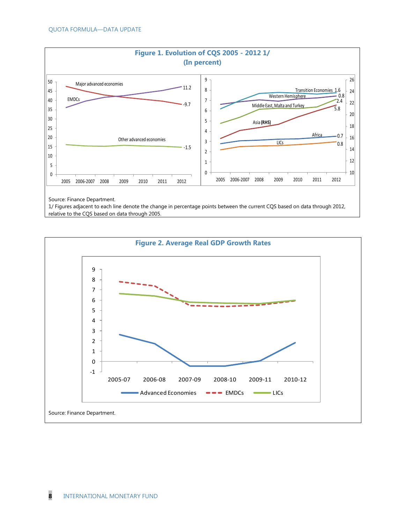

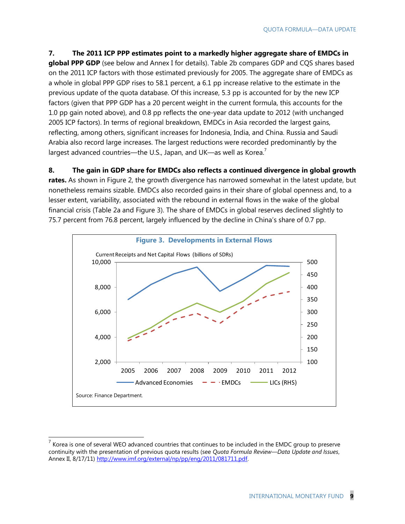**7. The 2011 ICP PPP estimates point to a markedly higher aggregate share of EMDCs in global PPP GDP** (see below and Annex I for details). Table 2b compares GDP and CQS shares based on the 2011 ICP factors with those estimated previously for 2005. The aggregate share of EMDCs as a whole in global PPP GDP rises to 58.1 percent, a 6.1 pp increase relative to the estimate in the previous update of the quota database. Of this increase, 5.3 pp is accounted for by the new ICP factors (given that PPP GDP has a 20 percent weight in the current formula, this accounts for the 1.0 pp gain noted above), and 0.8 pp reflects the one-year data update to 2012 (with unchanged 2005 ICP factors). In terms of regional breakdown, EMDCs in Asia recorded the largest gains, reflecting, among others, significant increases for Indonesia, India, and China. Russia and Saudi Arabia also record large increases. The largest reductions were recorded predominantly by the largest advanced countries—the U.S., Japan, and UK—as well as Korea.<sup>7</sup>

**8. The gain in GDP share for EMDCs also reflects a continued divergence in global growth rates.** As shown in Figure 2, the growth divergence has narrowed somewhat in the latest update, but nonetheless remains sizable. EMDCs also recorded gains in their share of global openness and, to a lesser extent, variability, associated with the rebound in external flows in the wake of the global financial crisis (Table 2a and Figure 3). The share of EMDCs in global reserves declined slightly to



THE TRIM CONDET THE SERVIT SERVIT SERVIT SURFER THE SERVIT OF SERVIT SHE SERVIT SURFER THE SURFER THAT THE SUR<br>The series to several WEO advanced countries that continues to be included in the EMDC group to preserve continuity with the presentation of previous quota results (see *Quota Formula Review—Data Update and Issues*, Annex II, 8/17/11) [http://www.imf.org/external/np/pp/eng/2011/081711.pdf.](http://www.imf.org/external/np/pp/eng/2011/081711.pdf)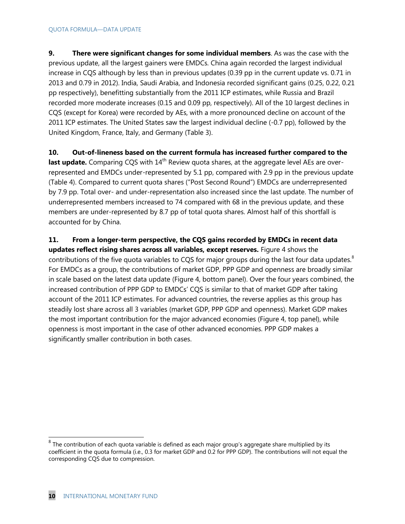**9. There were significant changes for some individual members**. As was the case with the previous update, all the largest gainers were EMDCs. China again recorded the largest individual increase in CQS although by less than in previous updates (0.39 pp in the current update vs. 0.71 in 2013 and 0.79 in 2012). India, Saudi Arabia, and Indonesia recorded significant gains (0.25, 0.22, 0.21 pp respectively), benefitting substantially from the 2011 ICP estimates, while Russia and Brazil recorded more moderate increases (0.15 and 0.09 pp, respectively). All of the 10 largest declines in CQS (except for Korea) were recorded by AEs, with a more pronounced decline on account of the 2011 ICP estimates. The United States saw the largest individual decline (-0.7 pp), followed by the United Kingdom, France, Italy, and Germany (Table 3).

**10. Out-of-lineness based on the current formula has increased further compared to the last update.** Comparing CQS with 14<sup>th</sup> Review quota shares, at the aggregate level AEs are overrepresented and EMDCs under-represented by 5.1 pp, compared with 2.9 pp in the previous update (Table 4). Compared to current quota shares ("Post Second Round") EMDCs are underrepresented by 7.9 pp. Total over- and under-representation also increased since the last update. The number of underrepresented members increased to 74 compared with 68 in the previous update, and these members are under-represented by 8.7 pp of total quota shares. Almost half of this shortfall is accounted for by China.

**11. From a longer-term perspective, the CQS gains recorded by EMDCs in recent data updates reflect rising shares across all variables, except reserves.** Figure 4 shows the contributions of the five quota variables to CQS for major groups during the last four data updates. $8$ For EMDCs as a group, the contributions of market GDP, PPP GDP and openness are broadly similar in scale based on the latest data update (Figure 4, bottom panel). Over the four years combined, the increased contribution of PPP GDP to EMDCs' CQS is similar to that of market GDP after taking account of the 2011 ICP estimates. For advanced countries, the reverse applies as this group has steadily lost share across all 3 variables (market GDP, PPP GDP and openness). Market GDP makes the most important contribution for the major advanced economies (Figure 4, top panel), while openness is most important in the case of other advanced economies. PPP GDP makes a significantly smaller contribution in both cases.

<sup>&</sup>lt;u>edd</u><br><sup>8</sup> The contribution of each quota variable is defined as each major group's aggregate share multiplied by its coefficient in the quota formula (i.e., 0.3 for market GDP and 0.2 for PPP GDP). The contributions will not equal the corresponding CQS due to compression.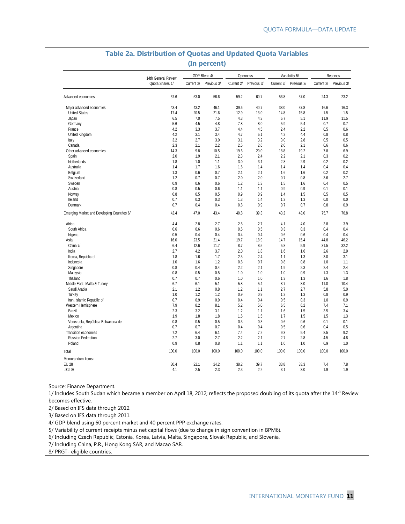|                                             |                                        |            | GDP Blend 4/ |            | Openness    |            | Variability 5/ | Reserves     |             |  |
|---------------------------------------------|----------------------------------------|------------|--------------|------------|-------------|------------|----------------|--------------|-------------|--|
|                                             | 14th General Review<br>Quota Shares 1/ | Current 2/ | Previous 3/  | Current 2/ | Previous 3/ | Current 2/ | Previous 3/    | Current 2/   | Previous 3/ |  |
| Advanced economies                          | 57.6                                   | 53.0       | 56.6         | 59.2       | 60.7        | 56.8       | 57.0           | 24.3         | 23.2        |  |
|                                             |                                        |            |              |            |             |            |                |              |             |  |
| Maior advanced economies                    | 43.4                                   | 43.2       | 46.1         | 39.6       | 40.7        | 38.0       | 37.8           | 16.6         | 16.3        |  |
| <b>United States</b>                        | 17.4                                   | 20.5       | 21.6         | 12.9       | 13.0        | 14.8       | 15.8           | 1.5          | 1.5         |  |
| Japan                                       | 6.5                                    | 7.0        | 7.5          | 4.3        | 4.3         | 5.7        | 5.1            | 11.9         | 11.5        |  |
| Germany                                     | 5.6                                    | 4.5        | 4.8          | 7.8        | 8.0         | 5.9        | 5.4            | 0.7          | 0.7         |  |
| France                                      | 4.2                                    | 3.3        | 3.7          | 4.4        | 4.5         | 2.4        | 2.2            | 0.5          | 0.6         |  |
| United Kingdom                              | 4.2                                    | 3.1        | 3.4          | 4.7        | 5.1         | 4.2        | 4.4            | 0.8          | 0.8         |  |
| Italy                                       | 3.2                                    | 2.7        | 3.0          | 3.1        | 3.2         | 3.0        | 2.8            | 0.5          | 0.5         |  |
| Canada                                      | 2.3                                    | 2.1        | 2.2          | 2.5        | 2.6         | 2.0        | 2.1            | 0.6          | 0.6         |  |
| Other advanced economies                    | 14.3                                   | 9.8        | 10.5         | 19.6       | 20.0        | 18.8       | 19.2           | 7.8          | 6.9         |  |
| Spain                                       | 2.0                                    | 1.9        | 2.1          | 2.3        | 2.4         | 2.2        | 2.1            | 0.3          | 0.2         |  |
| Netherlands                                 | 1.8                                    | 1.0        | 1.1          | 3.0        | 3.1         | 2.8        | 2.9            | 0.2          | 0.2         |  |
| Australia                                   | 1.4                                    | 1.7        | 1.6          | 1.5        | 1.4         | 1.4        | 1.4            | 0.4          | 0.4         |  |
|                                             | 1.3                                    | 0.6        | 0.7          | 2.1        | 2.1         |            | 1.6            | 0.2          | 0.2         |  |
| Belgium                                     | 1.2                                    |            | 0.7          | 2.0        | 2.0         | 1.6<br>0.7 |                |              |             |  |
| Switzerland                                 |                                        | 0.7        |              |            |             |            | 0.8            | 3.6          | 2.7         |  |
| Sweden                                      | 0.9                                    | 0.6        | 0.6          | 1.2        | 1.3         | 1.5        | 1.6            | 0.4          | 0.5         |  |
| Austria                                     | 0.8                                    | 0.5        | 0.6          | 1.1        | 1.1         | 0.9        | 0.9            | 0.1          | 0.1         |  |
| Norway                                      | 0.8                                    | 0.5        | 0.5          | 0.9        | 0.9         | 1.4        | 1.5            | 0.5          | 0.5         |  |
| Ireland                                     | 0.7                                    | 0.3        | 0.3          | 1.3        | 1.4         | 1.2        | 1.3            | 0.0          | 0.0         |  |
| Denmark                                     | 0.7                                    | 0.4        | 0.4          | 0.8        | 0.9         | 0.7        | 0.7            | 0.8          | 0.9         |  |
| Emerging Market and Developing Countries 6/ | 42.4                                   | 47.0       | 43.4         | 40.8       | 39.3        | 43.2       | 43.0           | 75.7         | 76.8        |  |
| Africa                                      | 4.4                                    | 2.8        | 2.7          | 2.8        | 2.7         | 4.1        | 4.0            | 3.8          | 3.9         |  |
| South Africa                                | 0.6                                    | 0.6        | 0.6          | 0.5        | 0.5         | 0.3        | 0.3            | 0.4          | 0.4         |  |
| Nigeria                                     | 0.5                                    | 0.4        | 0.4          | 0.4        | 0.4         | 0.6        | 0.6            | 0.4          | 0.4         |  |
| Asia                                        | 16.0                                   | 23.5       | 21.4         | 19.7       | 18.9        | 14.7       | 15.4           | 44.8         | 46.2        |  |
| China 7/                                    | 6.4                                    | 12.6       | 11.7         | 8.7        | 8.5         | 5.8        | 5.9            | 31.5         | 32.2        |  |
|                                             |                                        | 4.2        |              | 2.0        |             |            |                |              | 2.9         |  |
| India                                       | 2.7                                    |            | 3.7          |            | 1.8         | 1.6        | 1.6            | 2.6          |             |  |
| Korea, Republic of                          | 1.8                                    | 1.6        | 1.7          | 2.5        | 2.4         | 1.1        | 1.3            | 3.0          | 3.1         |  |
| Indonesia                                   | 1.0                                    | 1.6        | 1.2          | 0.8        | 0.7         | 0.8        | 0.8            | 1.0          | 1.1         |  |
| Singapore                                   | 0.8                                    | 0.4        | 0.4          | 2.2        | 2.1         | 1.9        | 2.3            | 2.4          | 2.4         |  |
| Malaysia                                    | 0.8                                    | 0.5        | 0.5          | 1.0        | 1.0         | 1.0        | 0.9            | 1.3          | 1.3         |  |
| Thailand                                    | 0.7                                    | 0.7        | 0.6          | 1.0        | 1.0         | 1.3        | 1.3            | 1.6          | 1.8         |  |
| Middle East, Malta & Turkey                 | 6.7                                    | 6.1        | 5.1          | 5.8        | 5.4         | 8.7        | 8.0            | 11.0         | 10.4        |  |
| Saudi Arabia                                | 2.1                                    | 1.2        | 0.8          | 1.2        | 1.1         | 2.7        | 2.7            | 5.8          | 5.0         |  |
| Turkey                                      | 1.0                                    | 1.2        | 1.2          | 0.9        | 0.9         | 1.2        | 1.3            | 0.8          | 0.9         |  |
| Iran, Islamic Republic of                   | 0.7                                    | 0.9        | 0.9          | 0.4        | 0.4         | 0.5        | 0.3            | 1.0          | 0.9         |  |
| Western Hemisphere                          | 7.9                                    | 8.2        | 8.1          | 5.2        | 5.0         | 6.5        | 6.2            | 7.4          | 7.1         |  |
| <b>Brazil</b>                               | 2.3                                    | 3.2        | 3.1          | 1.2        | 1.1         | 1.6        | 1.5            | 3.5          | 3.4         |  |
| Mexico                                      | 1.9                                    | 1.8        | 1.8          | 1.6        | 1.5         | 1.7        | 1.5            | 1.5          | 1.3         |  |
| Venezuela, República Bolivariana de         | 0.8                                    | 0.5        | 0.5          | 0.3        | 0.3         | 0.6        | 0.6            | 0.1          | 0.1         |  |
|                                             |                                        | 0.7        | 0.7          | 0.4        | 0.4         |            | 0.6            |              | 0.5         |  |
| Argentina                                   | 0.7                                    |            |              |            |             | 0.5        |                | 0.4          |             |  |
| Transition economies                        | 7.2                                    | 6.4        | 6.1          | 7.4        | 7.2         | 9.3        | 9.4            | 8.5          | 9.2         |  |
| <b>Russian Federation</b>                   | 2.7                                    | 3.0        | 2.7          | 2.2        | 2.1         | 2.7        | 2.8            | 4.5          | 4.8         |  |
| Poland                                      | 0.9                                    | 0.8        | 0.8          | 1.1        | 1.1         | 1.0        | 1.0            | 0.9<br>100.0 | 1.0         |  |
| Total                                       | 100.0                                  | 100.0      | 100.0        | 100.0      | 100.0       | 100.0      | 100.0          |              | 100.0       |  |
| Memorandum Items:<br><b>EU 28</b>           | 30.4                                   | 22.1       | 24.2         | 38.2       | 39.7        | 33.8       | 33.3           | 7.4          | 7.8         |  |
| LICs 8/                                     | 4.1                                    | 2.5        | 2.3          | 2.3        | 2.2         | 3.1        | 3.0            | 1.9          | 1.9         |  |

# **Table 2a. Distribution of Quotas and Updated Quota Variables**

Source: Finance Department.

1/ Includes South Sudan which became a member on April 18, 2012; reflects the proposed doubling of its quota after the  $14<sup>th</sup>$  Review becomes effective.

2/ Based on IFS data through 2012.

3/ Based on IFS data through 2011.

4/ GDP blend using 60 percent market and 40 percent PPP exchange rates.

5/ Variability of current receipts minus net capital flows (due to change in sign convention in BPM6).

6/ Including Czech Republic, Estonia, Korea, Latvia, Malta, Singapore, Slovak Republic, and Slovenia.

7/ Including China, P.R., Hong Kong SAR, and Macao SAR.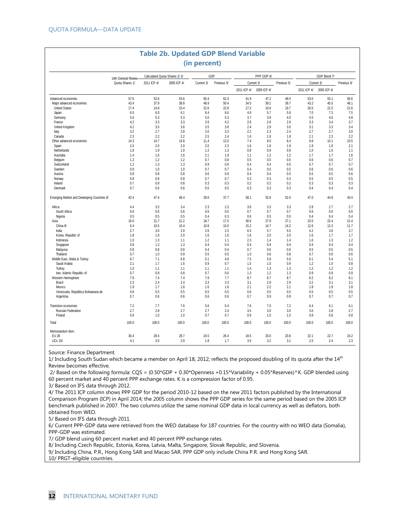|                                             |                     |             | <b>Table 2b. Updated GDP Blend Variable</b> | (in percent) |             |             |             |             |             |              |             |
|---------------------------------------------|---------------------|-------------|---------------------------------------------|--------------|-------------|-------------|-------------|-------------|-------------|--------------|-------------|
|                                             |                     |             |                                             |              |             |             |             |             |             |              |             |
|                                             | 14th General Review |             | Calculated Quota Shares 2/3/                |              | GDP         |             | PPP GDP 6/  |             |             | GDP Blend 7/ |             |
|                                             | Quota Shares 1/     | 2011 ICP 4/ | 2005 ICP 4/                                 | Current 3/   | Previous 5/ |             | Current 3/  | Previous 5/ |             | Current 3/   | Previous 5/ |
|                                             |                     |             |                                             |              |             | 2011 ICP 4/ | 2005 ICP 4/ |             | 2011 ICP 4/ | 2005 ICP 4/  |             |
| Advanced economies                          | 57.6                | 52.6        | 53.6                                        | 60.4         | 62.3        | 41.9        | 47.2        | 48.0        | 53.0        | 55.1         | 56.6        |
| Major advanced economies                    | 43.4                | 37.9        | 38.8                                        | 48.9         | 50.4        | 34.5        | 39.2        | 39.7        | 43.2        | 45.0         | 46.1        |
| <b>United States</b>                        | 17.4                | 14.9        | 15.4                                        | 22.6         | 22.8        | 17.2        | 19.9        | 19.7        | 20.5        | 21.5         | 21.6        |
| Japan                                       | 6.5                 | 6.0         | 6.1                                         | 8.4          | 8.6         | 4.9         | 5.7         | 5.9         | 7.0         | 7.3          | 7.5         |
| Germany                                     | 5.6                 | 5.3         | 5.3                                         | 5.0          | 5.3         | 3.7         | 3.9         | 4.0         | 4.5         | 4.6          | 4.8         |
| France                                      | 4.2                 | 3.3         | 3.3                                         | 3.9          | 4.2         | 2.6         | 2.8         | 2.9         | 3.3         | 3.4          | 3.7         |
| United Kingdom                              | 4.2                 | 3.5         | 3.6                                         | 3.5          | 3.6         | 2.4         | 2.9         | 3.0         | 3.1         | 3.3          | 3.4         |
| Italy                                       | 3.2                 | 2.7         | 2.8                                         | 3.0          | 3.3         | 2.2         | 2.3         | 2.4         | 2.7         | 2.7          | 3.0         |
| Canada                                      | 2.3                 | 2.2         | 2.2                                         | 2.5          | 2.4         | 1.6         | 1.8         | 1.8         | 2.1         | 2.2          | 2.2         |
| Other advanced economies                    | 14.3                | 14.7        | 14.8                                        | 11.4         | 12.0        | 7.4         | 8.0         | 8.4         | 9.8         | 10.1         | 10.5        |
| Spain                                       | 2.0                 | 2.0         | 2.0                                         | 2.0          | 2.3         | 1.6         | 1.8         | 1.9         | 1.9         | 1.9          | 2.1         |
| Netherlands                                 | 1.8                 | 1.9         | 1.9                                         | 1.2          | 1.3         | 0.8         | 0.9         | 0.9         | 1.0         | 1.0          | 1.1         |
| Australia                                   | 1.4                 | 1.6         | 1.6                                         | 2.1          | 1.9         | 1.1         | 1.2         | 1.2         | 1.7         | 1.7          | 1.6         |
| Belgium                                     | 1.3                 | 1.2         | 1.2                                         | 0.7          | 0.8         | 0.5         | 0.5         | 0.5         | 0.6         | 0.6          | 0.7         |
| Switzerland                                 | 1.2                 | 1.3         | 1.3                                         | 0.9          | 0.9         | 0.4         | 0.4         | 0.5         | 0.7         | 0.7          | 0.7         |
| Sweden                                      | 0.9                 | 1.0         | 1.0                                         | 0.7          | 0.7         | 0.4         | 0.5         | 0.5         | 0.6         | 0.6          | 0.6         |
| Austria                                     | 0.8                 | 0.8         | 0.8                                         | 0.6          | 0.6         | 0.4         | 0.4         | 0.5         | 0.5         | 0.5          | 0.6         |
| Norway                                      | 0.8                 | 0.8         | 0.8                                         | 0.7          | 0.7         | 0.3         | 0.3         | 0.3         | 0.5         | 0.5          | 0.5         |
| Ireland                                     | 0.7                 | 0.8         | 0.8                                         | 0.3          | 0.3         | 0.2         | 0.2         | 0.2         | 0.3         | 0.3          | 0.3         |
| Denmark                                     | 0.7                 | 0.6         | 0.6                                         | 0.5          | 0.5         | 0.3         | 0.3         | 0.3         | 0.4         | 0.4          | 0.4         |
| Emerging Market and Developing Countries 8/ | 42.4                | 47.4        | 46.4                                        | 39.6         | 37.7        | 58.1        | 52.8        | 52.0        | 47.0        | 44.9         | 43.4        |
| Africa                                      | 4.4                 | 3.5         | 3.4                                         | 2.3          | 2.3         | 3.6         | 3.3         | 3.3         | 2.8         | 2.7          | 2.7         |
| South Africa                                | 0.6                 | 0.6         | 0.6                                         | 0.6          | 0.6         | 0.7         | 0.7         | 0.7         | 0.6         | 0.6          | 0.6         |
| Nigeria                                     | 0.5                 | 0.5         | 0.5                                         | 0.4          | 0.3         | 0.6         | 0.5         | 0.5         | 0.4         | 0.4          | 0.4         |
| Asia                                        | 16.0                | 21.7        | 21.2                                        | 18.7         | 17.5        | 30.6        | 27.9        | 27.1        | 23.5        | 22.4         | 21.4        |
| China 9/                                    | 6.4                 | 10.5        | 10.4                                        | 10.8         | 10.0        | 15.2        | 14.7        | 14.2        | 12.6        | 12.3         | 11.7        |
| India                                       | 2.7                 | 3.0         | 2.9                                         | 2.6          | 2.5         | 6.5         | 5.7         | 5.5         | 4.2         | 3.8          | 3.7         |
| Korea, Republic of                          | 1.8                 | 1.9         | 2.0                                         | 1.6          | 1.6         | 1.6         | 2.0         | 2.0         | 1.6         | 1.7          | 1.7         |
| Indonesia                                   | 1.0                 | 1.3         | 1.1                                         | 1.2          | 1.1         | 2.3         | 1.4         | 1.4         | 1.6         | 1.3          | 1.2         |
| Singapore                                   | 0.8                 | 1.3         | 1.3                                         | 0.4          | 0.4         | 0.4         | 0.4         | 0.4         | 0.4         | 0.4          | 0.4         |
| Malaysia                                    | 0.8                 | 0.8         | 0.8                                         | 0.4          | 0.4         | 0.7         | 0.6         | 0.6         | 0.5         | 0.5          | 0.5         |
| Thailand                                    | 0.7                 | 1.0         | 0.9                                         | 0.5          | 0.5         | 1.0         | 0.8         | 0.8         | 0.7         | 0.6          | 0.6         |
| Middle East, Malta & Turkey                 | 6.7                 | 7.1         | 6.8                                         | 5.1          | 4.8         | 7.5         | 5.8         | 5.6         | 6.1         | 5.4          | 5.1         |
| Saudi Arabia                                | 2.1                 | 1.7         | 1.6                                         | 0.9          | 0.7         | 1.5         | 1.0         | 0.9         | 1.2         | 1.0          | 0.8         |
| Turkey                                      | 1.0                 | 1.1         | 1.1                                         | 1.1          | 1.1         | 1.4         | 1.3         | 1.3         | 1.2         | 1.2          | 1.2         |
| Iran, Islamic Republic of                   | 0.7                 | 0.8         | 0.8                                         | 0.7          | 0.6         | 1.3         | 1.2         | 1.3         | 0.9         | 0.9          | 0.9         |
| Western Hemisphere                          | 7.9                 | 7.4         | 7.4                                         | 7.9          | 7.7         | 8.7         | 8.7         | 8.7         | 8.2         | 8.2          | 8.1         |
| Brazil                                      | 2.3                 | 2.4         | 2.4                                         | 3.3          | 3.3         | 3.1         | 2.9         | 2.9         | 3.2         | 3.1          | 3.1         |
| Mexico                                      | 1.9                 | 1.7         | 1.8                                         | 1.6          | 1.6         | 2.1         | 2.2         | 2.1         | 1.8         | 1.9          | 1.8         |
| Venezuela, República Bolivariana de         | 0.8                 | 0.5         | 0.5                                         | 0.5          | 0.5         | 0.6         | 0.5         | 0.5         | 0.5         | 0.5          | 0.5         |
| Argentina                                   | 0.7                 | 0.6         | 0.6                                         | 0.6          | 0.6         | 0.7         | 0.9         | 0.9         | 0.7         | 0.7          | 0.7         |
| Transition economies                        | 7.2                 | 7.7         | 7.6                                         | 5.6          | 5.4         | 7.6         | 7.0         | 7.2         | 6.4         | 6.1          | 6.1         |
| Russian Federation                          | 2.7                 | 2.8         | 2.7                                         | 2.7          | 2.4         | 3.5         | 3.0         | 3.0         | 3.0         | 2.8          | 2.7         |
| Poland                                      | 0.9                 | 1.0         | 1.0                                         | 0.7          | 0.7         | 0.9         | 1.0         | 1.0         | 0.8         | 0.8          | 0.8         |
| Total                                       | 100.0               | 100.0       | 100.0                                       | 100.0        | 100.0       | 100.0       | 100.0       | 100.0       | 100.0       | 100.0        | 100.0       |
| Memorandum Item:                            |                     |             |                                             |              |             |             |             |             |             |              |             |
| EU 28                                       | 30.4                | 28.4        | 28.7                                        | 24.5         | 26.4        | 18.5        | 20.0        | 20.8        | 22.1        | 22.7         | 24.2        |
| <b>LICs 10/</b>                             | 4.1                 | 3.0         | 2.9                                         | 1.8          | 1.7         | 3.5         | 3.2         | 3.1         | 2.5         | 2.4          | 2.3         |

Source: Finance Department.

1/ Including South Sudan which became a member on April 18, 2012; reflects the proposed doubling of its quota after the  $14<sup>th</sup>$ Review becomes effective.

2/ Based on the following formula:  $CQS = (0.50*GDP + 0.30*Openness + 0.15*Variability + 0.05*Reserves)$ <sup>^K</sup>. GDP blended using 60 percent market and 40 percent PPP exchange rates. K is a compression factor of 0.95.

3/ Based on IFS data through 2012.

4/ The 2011 ICP column shows PPP GDP for the period 2010-12 based on the new 2011 factors published by the International Comparison Program (ICP) in April 2014; the 2005 column shows the PPP GDP series for the same period based on the 2005 ICP benchmark published in 2007. The two columns utilize the same nominal GDP data in local currency as well as deflators, both obtained from WEO.

5/ Based on IFS data through 2011.

6/ Current PPP-GDP data were retrieved from the WEO database for 187 countries. For the country with no WEO data (Somalia), PPP-GDP was estimated.

7/ GDP blend using 60 percent market and 40 percent PPP exchange rates.

8/ Including Czech Republic, Estonia, Korea, Latvia, Malta, Singapore, Slovak Republic, and Slovenia.

9/ Including China, P.R., Hong Kong SAR and Macao SAR. PPP GDP only include China P.R. and Hong Kong SAR.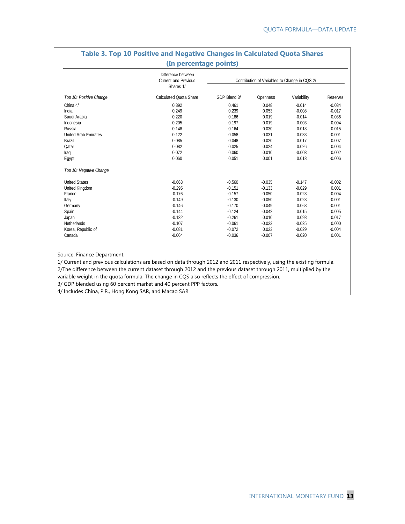| (In percentage points)      |                                                                |                                               |          |             |          |  |  |  |  |  |
|-----------------------------|----------------------------------------------------------------|-----------------------------------------------|----------|-------------|----------|--|--|--|--|--|
|                             | Difference between<br><b>Current and Previous</b><br>Shares 1/ | Contribution of Variables to Change in CQS 2/ |          |             |          |  |  |  |  |  |
| Top 10: Positive Change     | <b>Calculated Quota Share</b>                                  | GDP Blend 3/                                  | Openness | Variability | Reserves |  |  |  |  |  |
| China 4/                    | 0.392                                                          | 0.461                                         | 0.048    | $-0.014$    | $-0.034$ |  |  |  |  |  |
| India                       | 0.249                                                          | 0.239                                         | 0.053    | $-0.008$    | $-0.017$ |  |  |  |  |  |
| Saudi Arabia                | 0.220                                                          | 0.186                                         | 0.019    | $-0.014$    | 0.036    |  |  |  |  |  |
| Indonesia                   | 0.205                                                          | 0.197                                         | 0.019    | $-0.003$    | $-0.004$ |  |  |  |  |  |
| Russia                      | 0.148                                                          | 0.164                                         | 0.030    | $-0.018$    | $-0.015$ |  |  |  |  |  |
| <b>United Arab Emirates</b> | 0.122                                                          | 0.058                                         | 0.031    | 0.033       | $-0.001$ |  |  |  |  |  |
| <b>Brazil</b>               | 0.085                                                          | 0.048                                         | 0.020    | 0.017       | 0.007    |  |  |  |  |  |
| Qatar                       | 0.082                                                          | 0.025                                         | 0.024    | 0.026       | 0.004    |  |  |  |  |  |
| Iraq                        | 0.072                                                          | 0.060                                         | 0.010    | $-0.003$    | 0.002    |  |  |  |  |  |
| Egypt                       | 0.060                                                          | 0.051                                         | 0.001    | 0.013       | $-0.006$ |  |  |  |  |  |
| Top 10: Negative Change     |                                                                |                                               |          |             |          |  |  |  |  |  |
| <b>United States</b>        | $-0.663$                                                       | $-0.560$                                      | $-0.035$ | $-0.147$    | $-0.002$ |  |  |  |  |  |
| United Kingdom              | $-0.295$                                                       | $-0.151$                                      | $-0.133$ | $-0.029$    | 0.001    |  |  |  |  |  |
| France                      | $-0.176$                                                       | $-0.157$                                      | $-0.050$ | 0.028       | $-0.004$ |  |  |  |  |  |
| Italy                       | $-0.149$                                                       | $-0.130$                                      | $-0.050$ | 0.028       | $-0.001$ |  |  |  |  |  |
| Germany                     | $-0.146$                                                       | $-0.170$                                      | $-0.049$ | 0.068       | $-0.001$ |  |  |  |  |  |
| Spain                       | $-0.144$                                                       | $-0.124$                                      | $-0.042$ | 0.015       | 0.005    |  |  |  |  |  |
| Japan                       | $-0.132$                                                       | $-0.261$                                      | 0.010    | 0.098       | 0.017    |  |  |  |  |  |
| Netherlands                 | $-0.107$                                                       | $-0.061$                                      | $-0.023$ | $-0.025$    | 0.000    |  |  |  |  |  |
| Korea, Republic of          | $-0.081$                                                       | $-0.072$                                      | 0.023    | $-0.029$    | $-0.004$ |  |  |  |  |  |
| Canada                      | $-0.064$                                                       | $-0.036$                                      | $-0.007$ | $-0.020$    | 0.001    |  |  |  |  |  |

# **Table 3. Top 10 Positive and Negative Changes in Calculated Quota Shares**

Source: Finance Department.

1/ Current and previous calculations are based on data through 2012 and 2011 respectively, using the existing formula. 2/The difference between the current dataset through 2012 and the previous dataset through 2011, multiplied by the

variable weight in the quota formula. The change in CQS also reflects the effect of compression.

3/ GDP blended using 60 percent market and 40 percent PPP factors.

4/ Includes China, P.R., Hong Kong SAR, and Macao SAR.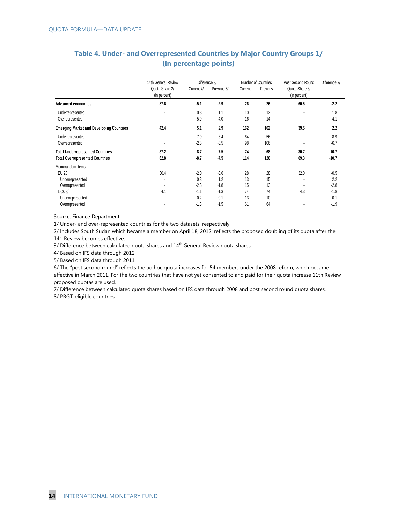|                                                                                   |                                |               | (In percentage points) |           |                     |                                |                 |
|-----------------------------------------------------------------------------------|--------------------------------|---------------|------------------------|-----------|---------------------|--------------------------------|-----------------|
|                                                                                   | 14th General Review            | Difference 3/ |                        |           | Number of Countries | Post Second Round              | Difference 7/   |
|                                                                                   | Quota Share 2/<br>(In percent) | Current 4/    | Previous 5/            | Current   | Previous            | Quota Share 6/<br>(In percent) |                 |
| Advanced economies                                                                | 57.6                           | $-5.1$        | $-2.9$                 | 26        | 26                  | 60.5                           | $-2.2$          |
| Underrepresented<br>Overrepresented                                               |                                | 0.8<br>$-5.9$ | 1.1<br>$-4.0$          | 10<br>16  | 12<br>14            |                                | 1.8<br>$-4.1$   |
| <b>Emerging Market and Developing Countries</b>                                   | 42.4                           | 5.1           | 2.9                    | 162       | 162                 | 39.5                           | 2.2             |
| Underrepresented<br>Overrepresented                                               | ٠                              | 7.9<br>$-2.8$ | 6.4<br>$-3.5$          | 64<br>98  | 56<br>106           | ж.                             | 8.9<br>$-6.7$   |
| <b>Total Underrepresented Countries</b><br><b>Total Overrepresented Countries</b> | 37.2<br>62.8                   | 8.7<br>$-8.7$ | 7.5<br>$-7.5$          | 74<br>114 | 68<br>120           | 30.7<br>69.3                   | 10.7<br>$-10.7$ |
| Memorandum Items:<br><b>EU 28</b>                                                 | 30.4                           | $-2.0$        | $-0.6$                 | 28        | 28                  | 32.0                           | $-0.5$          |
| Underrepresented                                                                  |                                | 0.8           | 1.2                    | 13        | 15                  |                                | 2.2             |
| Overrepresented                                                                   |                                | $-2.8$        | $-1.8$                 | 15        | 13                  |                                | $-2.8$          |
| LICs 8/                                                                           | 4.1                            | $-1.1$        | $-1.3$                 | 74        | 74                  | 4.3                            | $-1.8$          |
| Underrepresented                                                                  |                                | 0.2           | 0.1                    | 13        | 10                  | ۰.                             | 0.1             |
| Overrepresented                                                                   |                                | $-1.3$        | $-1.5$                 | 61        | 64                  |                                | $-1.9$          |

**Table 4. Under- and Overrepresented Countries by Major Country Groups 1/**

Source: Finance Department.

1/ Under- and over-represented countries for the two datasets, respectively.

2/ Includes South Sudan which became a member on April 18, 2012; reflects the proposed doubling of its quota after the 14<sup>th</sup> Review becomes effective.

3/ Difference between calculated quota shares and 14<sup>th</sup> General Review quota shares.

4/ Based on IFS data through 2012.

5/ Based on IFS data through 2011.

6/ The "post second round" reflects the ad hoc quota increases for 54 members under the 2008 reform, which became effective in March 2011. For the two countries that have not yet consented to and paid for their quota increase 11th Review proposed quotas are used.

7/ Difference between calculated quota shares based on IFS data through 2008 and post second round quota shares. 8/ PRGT-eligible countries.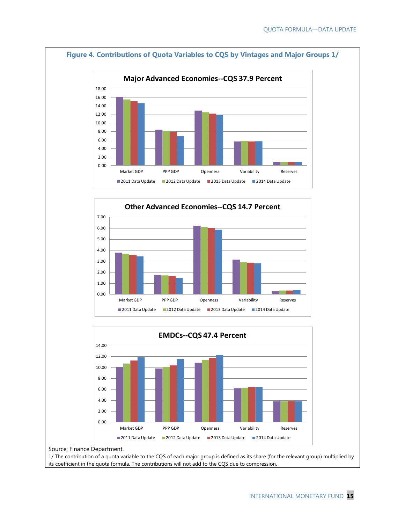

Source: Finance Department.

1/ The contribution of a quota variable to the CQS of each major group is defined as its share (for the relevant group) multiplied by its coefficient in the quota formula. The contributions will not add to the CQS due to compression.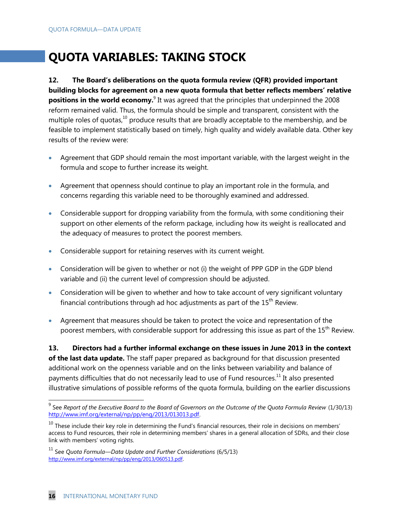# **QUOTA VARIABLES: TAKING STOCK**

**12. The Board's deliberations on the quota formula review (QFR) provided important building blocks for agreement on a new quota formula that better reflects members' relative positions in the world economy.**<sup>9</sup> It was agreed that the principles that underpinned the 2008 reform remained valid. Thus, the formula should be simple and transparent, consistent with the multiple roles of quotas,<sup>10</sup> produce results that are broadly acceptable to the membership, and be feasible to implement statistically based on timely, high quality and widely available data. Other key results of the review were:

- Agreement that GDP should remain the most important variable, with the largest weight in the formula and scope to further increase its weight.
- Agreement that openness should continue to play an important role in the formula, and concerns regarding this variable need to be thoroughly examined and addressed.
- Considerable support for dropping variability from the formula, with some conditioning their support on other elements of the reform package, including how its weight is reallocated and the adequacy of measures to protect the poorest members.
- Considerable support for retaining reserves with its current weight.
- Consideration will be given to whether or not (i) the weight of PPP GDP in the GDP blend variable and (ii) the current level of compression should be adjusted.
- Consideration will be given to whether and how to take account of very significant voluntary financial contributions through ad hoc adjustments as part of the  $15<sup>th</sup>$  Review.
- Agreement that measures should be taken to protect the voice and representation of the poorest members, with considerable support for addressing this issue as part of the 15<sup>th</sup> Review.

**13. Directors had a further informal exchange on these issues in June 2013 in the context** 

**of the last data update.** The staff paper prepared as background for that discussion presented additional work on the openness variable and on the links between variability and balance of payments difficulties that do not necessarily lead to use of Fund resources.<sup>11</sup> It also presented illustrative simulations of possible reforms of the quota formula, building on the earlier discussions

 $\overline{a}$ 

<sup>9</sup> See *Report of the Executive Board to the Board of Governors on the Outcome of the Quota Formula Review* (1/30/13) [http://www.imf.org/external/np/pp/eng/2013/013013.pdf.](http://www.imf.org/external/np/pp/eng/2013/013013.pdf) 

 $10$  These include their key role in determining the Fund's financial resources, their role in decisions on members' access to Fund resources, their role in determining members' shares in a general allocation of SDRs, and their close link with members' voting rights.

<sup>11</sup> See *Quota Formula—Data Update and Further Considerations* (6/5/13) <http://www.imf.org/external/np/pp/eng/2013/060513.pdf>.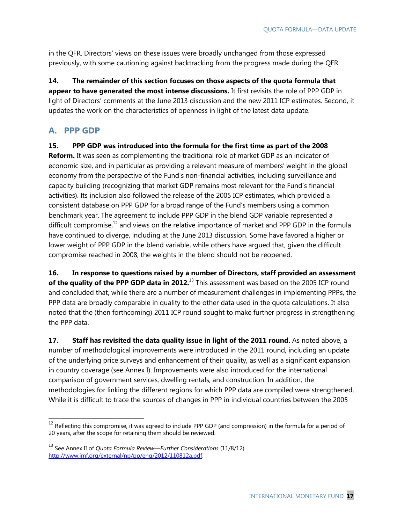in the QFR. Directors' views on these issues were broadly unchanged from those expressed previously, with some cautioning against backtracking from the progress made during the QFR.

**14. The remainder of this section focuses on those aspects of the quota formula that appear to have generated the most intense discussions.** It first revisits the role of PPP GDP in light of Directors' comments at the June 2013 discussion and the new 2011 ICP estimates. Second, it updates the work on the characteristics of openness in light of the latest data update.

# **A. PPP GDP**

 $\overline{a}$ 

**15. PPP GDP was introduced into the formula for the first time as part of the 2008 Reform.** It was seen as complementing the traditional role of market GDP as an indicator of economic size, and in particular as providing a relevant measure of members' weight in the global economy from the perspective of the Fund's non-financial activities, including surveillance and capacity building (recognizing that market GDP remains most relevant for the Fund's financial activities). Its inclusion also followed the release of the 2005 ICP estimates, which provided a consistent database on PPP GDP for a broad range of the Fund's members using a common benchmark year. The agreement to include PPP GDP in the blend GDP variable represented a difficult compromise, $12$  and views on the relative importance of market and PPP GDP in the formula

have continued to diverge, including at the June 2013 discussion. Some have favored a higher or lower weight of PPP GDP in the blend variable, while others have argued that, given the difficult compromise reached in 2008, the weights in the blend should not be reopened.

**16. In response to questions raised by a number of Directors, staff provided an assessment**  of the quality of the PPP GDP data in 2012.<sup>13</sup> This assessment was based on the 2005 ICP round and concluded that, while there are a number of measurement challenges in implementing PPPs, the PPP data are broadly comparable in quality to the other data used in the quota calculations. It also noted that the (then forthcoming) 2011 ICP round sought to make further progress in strengthening the PPP data.

**17.** Staff has revisited the data quality issue in light of the 2011 round. As noted above, a number of methodological improvements were introduced in the 2011 round, including an update of the underlying price surveys and enhancement of their quality, as well as a significant expansion in country coverage (see Annex I). Improvements were also introduced for the international comparison of government services, dwelling rentals, and construction. In addition, the methodologies for linking the different regions for which PPP data are compiled were strengthened. While it is difficult to trace the sources of changes in PPP in individual countries between the 2005

 $12$  Reflecting this compromise, it was agreed to include PPP GDP (and compression) in the formula for a period of 20 years, after the scope for retaining them should be reviewed.

<sup>13</sup> See Annex II of *Quota Formula Review—Further Considerations* (11/8/12) [http://www.imf.org/external/np/pp/eng/2012/110812a.pdf.](http://www.imf.org/external/np/pp/eng/2012/110812a.pdf)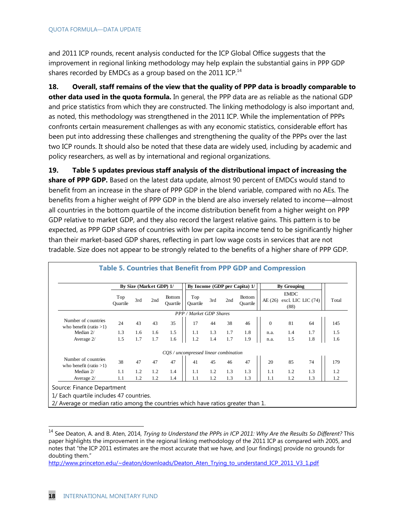and 2011 ICP rounds, recent analysis conducted for the ICP Global Office suggests that the improvement in regional linking methodology may help explain the substantial gains in PPP GDP shares recorded by EMDCs as a group based on the 2011 ICP. $^{14}$ 

**18. Overall, staff remains of the view that the quality of PPP data is broadly comparable to other data used in the quota formula.** In general, the PPP data are as reliable as the national GDP and price statistics from which they are constructed. The linking methodology is also important and, as noted, this methodology was strengthened in the 2011 ICP. While the implementation of PPPs confronts certain measurement challenges as with any economic statistics, considerable effort has been put into addressing these challenges and strengthening the quality of the PPPs over the last two ICP rounds. It should also be noted that these data are widely used, including by academic and policy researchers, as well as by international and regional organizations.

**19. Table 5 updates previous staff analysis of the distributional impact of increasing the share of PPP GDP.** Based on the latest data update, almost 90 percent of EMDCs would stand to benefit from an increase in the share of PPP GDP in the blend variable, compared with no AEs. The benefits from a higher weight of PPP GDP in the blend are also inversely related to income—almost all countries in the bottom quartile of the income distribution benefit from a higher weight on PPP GDP relative to market GDP, and they also record the largest relative gains. This pattern is to be expected, as PPP GDP shares of countries with low per capita income tend to be significantly higher than their market-based GDP shares, reflecting in part low wage costs in services that are not tradable. Size does not appear to be strongly related to the benefits of a higher share of PPP GDP.

|                                                  |                 |     | By Size (Market GDP) 1/ |                           |                                       |     |     | By Income (GDP per Capita) 1/ |          | <b>By Grouping</b>                          |     |       |
|--------------------------------------------------|-----------------|-----|-------------------------|---------------------------|---------------------------------------|-----|-----|-------------------------------|----------|---------------------------------------------|-----|-------|
|                                                  | Top<br>Ouartile | 3rd | 2nd                     | <b>Bottom</b><br>Ouartile | Top<br>Ouartile                       | 3rd | 2nd | <b>Bottom</b><br>Ouartile     | AE(26)   | <b>EMDC</b><br>excl. LIC LIC $(74)$<br>(88) |     | Total |
|                                                  |                 |     |                         |                           | PPP / Market GDP Shares               |     |     |                               |          |                                             |     |       |
| Number of countries<br>who benefit (ratio $>1$ ) | 24              | 43  | 43                      | 35                        | 17                                    | 44  | 38  | 46                            | $\Omega$ | 81                                          | 64  | 145   |
| Median 2/                                        | 1.3             | 1.6 | 1.6                     | 1.5                       | 1.1                                   | 1.3 | 1.7 | 1.8                           | n.a.     | 1.4                                         | 1.7 | 1.5   |
| Average 2/                                       | 1.5             | 1.7 | 1.7                     | 1.6                       | 1.2                                   | 1.4 | 1.7 | 1.9                           | n.a.     | 1.5                                         | 1.8 | 1.6   |
|                                                  |                 |     |                         |                           | CQS / uncompressed linear combination |     |     |                               |          |                                             |     |       |
| Number of countries<br>who benefit (ratio $>1$ ) | 38              | 47  | 47                      | 47                        | 41                                    | 45  | 46  | 47                            | 20       | 85                                          | 74  | 179   |
| Median 2/                                        | 1.1             | 1.2 | 1.2                     | 1.4                       | 1.1                                   | 1.2 | 1.3 | 1.3                           | 1.1      | 1.2                                         | 1.3 | 1.2   |
| Average 2/                                       | 1.1             | 1.2 | 1.2                     | 1.4                       | 1.1                                   | 1.2 | 1.3 | 1.3                           | 1.1      | 1.2                                         | 1.3 | 1.2   |

#### **Table 5. Countries that Benefit from PPP GDP and Compression**

<sup>14</sup> See Deaton, A. and B. Aten, 2014, *Trying to Understand the PPPs in ICP 2011: Why Are the Results So Different?* This paper highlights the improvement in the regional linking methodology of the 2011 ICP as compared with 2005, and notes that "the ICP 2011 estimates are the most accurate that we have, and [our findings] provide no grounds for doubting them."

[http://www.princeton.edu/~deaton/downloads/Deaton\\_Aten\\_Trying\\_to\\_understand\\_ICP\\_2011\\_V3\\_1.pdf](http://www.princeton.edu/~deaton/downloads/Deaton_Aten_Trying_to_understand_ICP_2011_V3_1.pdf)

 $\overline{a}$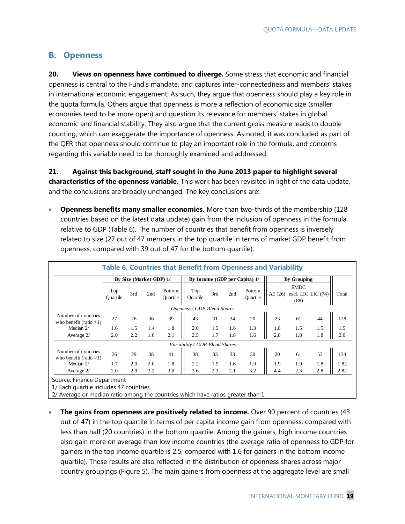# **B. Openness**

**20. Views on openness have continued to diverge.** Some stress that economic and financial openness is central to the Fund's mandate, and captures inter-connectedness and members' stakes in international economic engagement. As such, they argue that openness should play a key role in the quota formula. Others argue that openness is more a reflection of economic size (smaller economies tend to be more open) and question its relevance for members' stakes in global economic and financial stability. They also argue that the current gross measure leads to double counting, which can exaggerate the importance of openness. As noted, it was concluded as part of the QFR that openness should continue to play an important role in the formula, and concerns regarding this variable need to be thoroughly examined and addressed.

**21. Against this background, staff sought in the June 2013 paper to highlight several characteristics of the openness variable.** This work has been revisited in light of the data update, and the conclusions are broadly unchanged. The key conclusions are:

 **Openness benefits many smaller economies.** More than two-thirds of the membership (128 countries based on the latest data update) gain from the inclusion of openness in the formula relative to GDP (Table 6). The number of countries that benefit from openness is inversely related to size (27 out of 47 members in the top quartile in terms of market GDP benefit from openness, compared with 39 out of 47 for the bottom quartile).

|                                                  |                 |     | By Size (Market GDP) 1/ |                           |                                | By Income (GDP per Capita) 1/ |     |                           |        | <b>By Grouping</b>                        |     |       |
|--------------------------------------------------|-----------------|-----|-------------------------|---------------------------|--------------------------------|-------------------------------|-----|---------------------------|--------|-------------------------------------------|-----|-------|
|                                                  | Top<br>Ouartile | 3rd | 2nd                     | <b>Bottom</b><br>Ouartile | Top<br>Ouartile                | 3rd                           | 2nd | <b>Bottom</b><br>Ouartile | AE(26) | <b>EMDC</b><br>excl. LIC LIC (74)<br>(88) |     | Total |
|                                                  |                 |     |                         |                           | Openness / GDP Blend Shares    |                               |     |                           |        |                                           |     |       |
| Number of countries<br>who benefit (ratio $>1$ ) | 27              | 26  | 36                      | 39                        | 43                             | 31                            | 34  | 20                        | 23     | 61                                        | 44  | 128   |
| Median 2/                                        | 1.6             | 1.5 | 1.4                     | 1.8                       | 2.0                            | 1.5                           | 1.6 | 1.3                       | 1.8    | 1.5                                       | 1.5 | 1.5   |
| Average 2/                                       | 2.0             | 2.2 | 1.6                     | 2.1                       | 2.5                            | 1.7                           | 1.8 | 1.6                       | 2.8    | 1.8                                       | 1.8 | 2.0   |
|                                                  |                 |     |                         |                           | Variability / GDP Blend Shares |                               |     |                           |        |                                           |     |       |
| Number of countries<br>who benefit (ratio $>1$ ) | 26              | 29  | 38                      | 41                        | 38                             | 33                            | 33  | 30                        | 20     | 61                                        | 53  | 134   |
| Median 2/                                        | 1.7             | 2.0 | 2.0                     | 1.8                       | 2.2                            | 1.9                           | 1.6 | 1.9                       | 1.9    | 1.9                                       | 1.8 | 1.82  |
| Average 2/                                       | 2.0             | 2.9 | 3.2                     | 3.0                       | 3.6                            | 2.3                           | 2.1 | 3.2                       | 4.4    | 2.3                                       | 2.8 | 2.82  |

1/ Each quartile includes 47 countries.

2/ Average or median ratio among the countries which have ratios greater than 1.

 **The gains from openness are positively related to income.** Over 90 percent of countries (43 out of 47) in the top quartile in terms of per capita income gain from openness, compared with less than half (20 countries) in the bottom quartile. Among the gainers, high income countries also gain more on average than low income countries (the average ratio of openness to GDP for gainers in the top income quartile is 2.5, compared with 1.6 for gainers in the bottom income quartile). These results are also reflected in the distribution of openness shares across major country groupings (Figure 5). The main gainers from openness at the aggregate level are small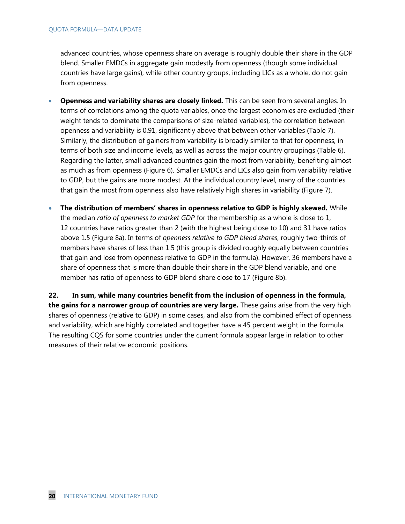advanced countries, whose openness share on average is roughly double their share in the GDP blend. Smaller EMDCs in aggregate gain modestly from openness (though some individual countries have large gains), while other country groups, including LICs as a whole, do not gain from openness.

- **Openness and variability shares are closely linked.** This can be seen from several angles. In terms of correlations among the quota variables, once the largest economies are excluded (their weight tends to dominate the comparisons of size-related variables), the correlation between openness and variability is 0.91, significantly above that between other variables (Table 7). Similarly, the distribution of gainers from variability is broadly similar to that for openness, in terms of both size and income levels, as well as across the major country groupings (Table 6). Regarding the latter, small advanced countries gain the most from variability, benefiting almost as much as from openness (Figure 6). Smaller EMDCs and LICs also gain from variability relative to GDP, but the gains are more modest. At the individual country level, many of the countries that gain the most from openness also have relatively high shares in variability (Figure 7).
- **The distribution of members' shares in openness relative to GDP is highly skewed.** While the median *ratio of openness to market GDP* for the membership as a whole is close to 1, 12 countries have ratios greater than 2 (with the highest being close to 10) and 31 have ratios above 1.5 (Figure 8a). In terms of *openness relative to GDP blend shares*, roughly two-thirds of members have shares of less than 1.5 (this group is divided roughly equally between countries that gain and lose from openness relative to GDP in the formula). However, 36 members have a share of openness that is more than double their share in the GDP blend variable, and one member has ratio of openness to GDP blend share close to 17 (Figure 8b).

**22. In sum, while many countries benefit from the inclusion of openness in the formula, the gains for a narrower group of countries are very large.** These gains arise from the very high shares of openness (relative to GDP) in some cases, and also from the combined effect of openness and variability, which are highly correlated and together have a 45 percent weight in the formula. The resulting CQS for some countries under the current formula appear large in relation to other measures of their relative economic positions.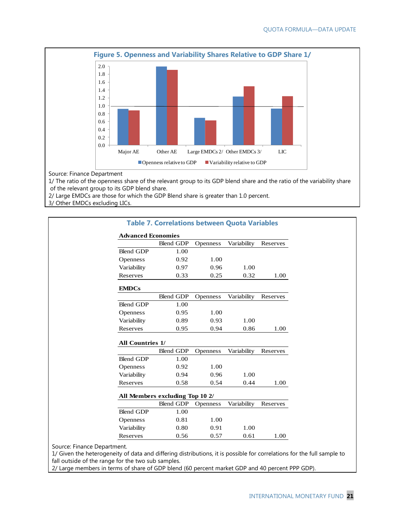

Source: Finance Department

1/ The ratio of the openness share of the relevant group to its GDP blend share and the ratio of the variability share of the relevant group to its GDP blend share.

2/ Large EMDCs are those for which the GDP Blend share is greater than 1.0 percent.

3/ Other EMDCs excluding LICs.

|                           | <b>Table 7. Correlations between Quota Variables</b> |                 |             |          |
|---------------------------|------------------------------------------------------|-----------------|-------------|----------|
| <b>Advanced Economies</b> |                                                      |                 |             |          |
|                           | <b>Blend GDP</b>                                     | <b>Openness</b> | Variability | Reserves |
| <b>Blend GDP</b>          | 1.00                                                 |                 |             |          |
| Openness                  | 0.92                                                 | 1.00            |             |          |
| Variability               | 0.97                                                 | 0.96            | 1.00        |          |
| Reserves                  | 0.33                                                 | 0.25            | 0.32        | 1.00     |
| <b>EMDCs</b>              |                                                      |                 |             |          |
|                           | <b>Blend GDP</b>                                     | <b>Openness</b> | Variability | Reserves |
| <b>Blend GDP</b>          | 1.00                                                 |                 |             |          |
| Openness                  | 0.95                                                 | 1.00            |             |          |
| Variability               | 0.89                                                 | 0.93            | 1.00        |          |
| Reserves                  | 0.95                                                 | 0.94            | 0.86        | 1.00     |
| <b>All Countries 1/</b>   |                                                      |                 |             |          |
|                           | <b>Blend GDP</b>                                     | <b>Openness</b> | Variability | Reserves |
| <b>Blend GDP</b>          | 1.00                                                 |                 |             |          |
| <b>Openness</b>           | 0.92                                                 | 1.00            |             |          |
| Variability               | 0.94                                                 | 0.96            | 1.00        |          |
| Reserves                  | 0.58                                                 | 0.54            | 0.44        | 1.00     |
|                           | All Members excluding Top 10 2/                      |                 |             |          |
|                           | <b>Blend GDP</b>                                     | <b>Openness</b> | Variability | Reserves |
| <b>Blend GDP</b>          | 1.00                                                 |                 |             |          |
| <b>Openness</b>           | 0.81                                                 | 1.00            |             |          |
| Variability               | 0.80                                                 | 0.91            | 1.00        |          |
| Reserves                  | 0.56                                                 | 0.57            | 0.61        | 1.00     |

Source: Finance Department.

1/ Given the heterogeneity of data and differing distributions, it is possible for correlations for the full sample to fall outside of the range for the two sub samples.

2/ Large members in terms of share of GDP blend (60 percent market GDP and 40 percent PPP GDP).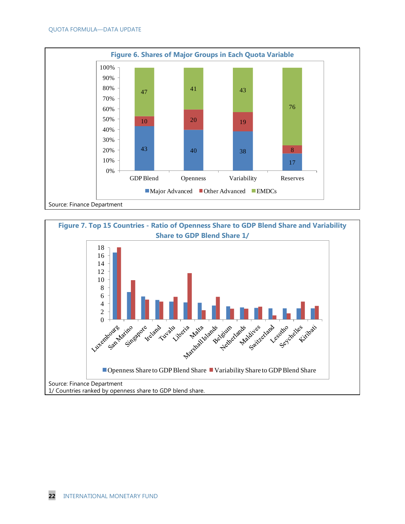

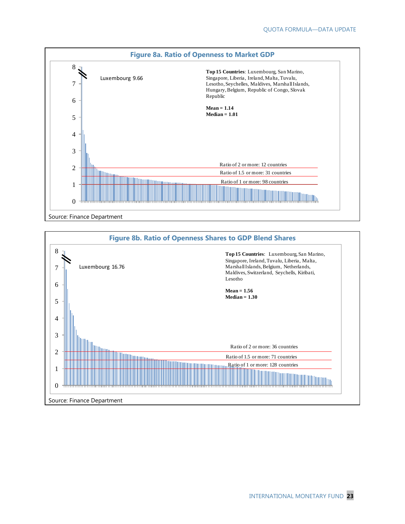

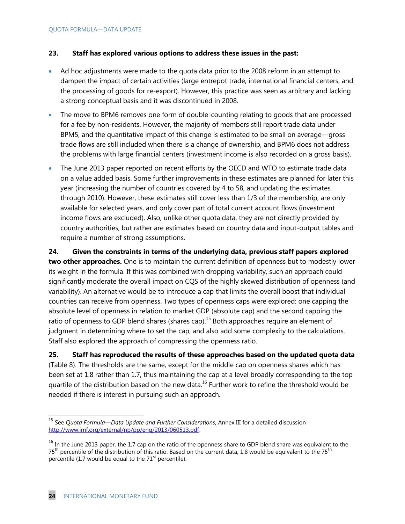#### **23. Staff has explored various options to address these issues in the past:**

- Ad hoc adjustments were made to the quota data prior to the 2008 reform in an attempt to dampen the impact of certain activities (large entrepot trade, international financial centers, and the processing of goods for re-export). However, this practice was seen as arbitrary and lacking a strong conceptual basis and it was discontinued in 2008.
- The move to BPM6 removes one form of double-counting relating to goods that are processed for a fee by non-residents. However, the majority of members still report trade data under BPM5, and the quantitative impact of this change is estimated to be small on average—gross trade flows are still included when there is a change of ownership, and BPM6 does not address the problems with large financial centers (investment income is also recorded on a gross basis).
- The June 2013 paper reported on recent efforts by the OECD and WTO to estimate trade data on a value added basis. Some further improvements in these estimates are planned for later this year (increasing the number of countries covered by 4 to 58, and updating the estimates through 2010). However, these estimates still cover less than 1/3 of the membership, are only available for selected years, and only cover part of total current account flows (investment income flows are excluded). Also, unlike other quota data, they are not directly provided by country authorities, but rather are estimates based on country data and input-output tables and require a number of strong assumptions.

**24. Given the constraints in terms of the underlying data, previous staff papers explored two other approaches.** One is to maintain the current definition of openness but to modestly lower its weight in the formula. If this was combined with dropping variability, such an approach could significantly moderate the overall impact on CQS of the highly skewed distribution of openness (and variability). An alternative would be to introduce a cap that limits the overall boost that individual countries can receive from openness. Two types of openness caps were explored: one capping the absolute level of openness in relation to market GDP (absolute cap) and the second capping the ratio of openness to GDP blend shares (shares cap).<sup>15</sup> Both approaches require an element of judgment in determining where to set the cap, and also add some complexity to the calculations. Staff also explored the approach of compressing the openness ratio.

**25. Staff has reproduced the results of these approaches based on the updated quota data** (Table 8). The thresholds are the same, except for the middle cap on openness shares which has been set at 1.8 rather than 1.7, thus maintaining the cap at a level broadly corresponding to the top quartile of the distribution based on the new data.<sup>16</sup> Further work to refine the threshold would be needed if there is interest in pursuing such an approach.

 $\overline{a}$ 

<sup>15</sup> See *Quota Formula—Data Update and Further Considerations*, Annex III for a detailed discussion [http://www.imf.org/external/np/pp/eng/2013/060513.pdf.](http://www.imf.org/external/np/pp/eng/2013/060513.pdf) 

 $16$  In the June 2013 paper, the 1.7 cap on the ratio of the openness share to GDP blend share was equivalent to the 75<sup>th</sup> percentile of the distribution of this ratio. Based on the current data, 1.8 would be equivalent to the 75<sup>th</sup> percentile (1.7 would be equal to the  $71<sup>st</sup>$  percentile).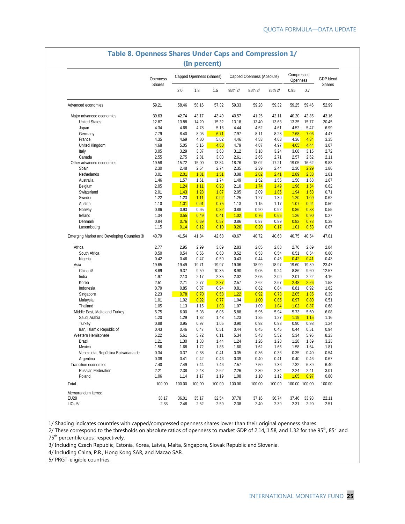| 2.0<br>1.8<br>1.5<br>95th 2/<br>75th 2/<br>0.95<br>0.7<br>85th 2/<br>59.21<br>58.46<br>58.16<br>57.32<br>59.33<br>59.28<br>59.32<br>59.25<br>59.46<br>52.99<br>Advanced economies<br>Major advanced economies<br>39.63<br>42.74<br>43.17<br>43.49<br>41.25<br>42.11<br>40.20<br>42.85<br>43.16<br>40.57<br><b>United States</b><br>12.87<br>13.88<br>14.20<br>15.32<br>13.40<br>13.68<br>13.35<br>15.77<br>20.45<br>13.18<br>4.34<br>4.68<br>6.99<br>Japan<br>4.78<br>5.16<br>4.44<br>4.52<br>4.61<br>4.52<br>5.47<br>7.79<br>8.40<br>8.05<br>8.28<br>7.68<br>Germany<br>6.71<br>7.97<br>8.11<br>7.06<br>4.47<br>France<br>4.35<br>4.69<br>5.02<br>4.53<br>4.36<br>4.34<br>3.35<br>4.80<br>4.46<br>4.63<br>4.68<br>5.05<br>4.60<br>4.79<br>4.87<br>4.97<br>4.65<br>4.44<br>3.07<br>United Kingdom<br>5.16<br>3.05<br>3.29<br>3.37<br>3.63<br>3.12<br>3.18<br>3.24<br>3.08<br>3.15<br>2.72<br>Italy<br>2.55<br>Canada<br>2.75<br>2.81<br>3.03<br>2.61<br>2.65<br>2.71<br>2.57<br>2.62<br>2.11<br>19.58<br>15.72<br>18.02<br>9.83<br>Other advanced economies<br>15.00<br>13.84<br>18.76<br>17.21<br>19.05<br>16.62<br>2.30<br>2.48<br>2.54<br>2.35<br>2.39<br>2.44<br>2.30<br>2.29<br>1.86<br>Spain<br>2.74<br>Netherlands<br>3.01<br>2.01<br>1.81<br>1.51<br>3.08<br>2.82<br>2.41<br>2.89<br>2.33<br>1.01<br>1.46<br>1.49<br>1.52<br>Australia<br>1.57<br>1.61<br>1.74<br>1.55<br>1.50<br>1.68<br>1.67<br>2.05<br>1.24<br>1.11<br>0.93<br>2.10<br>1.74<br>1.49<br>1.96<br>1.54<br>Belgium<br>0.62<br>1.28<br>2.01<br>1.43<br>1.07<br>2.05<br>2.09<br>1.86<br>1.94<br>1.63<br>0.71<br>Switzerland<br>Sweden<br>1.22<br>1.23<br>1.11<br>0.92<br>1.25<br>1.27<br>1.30<br>1.20<br>1.09<br>0.62<br>Austria<br>1.10<br>1.01<br>0.91<br>0.75<br>1.13<br>1.15<br>1.07<br>0.94<br>0.50<br>1.17<br>0.86<br>0.93<br>0.95<br>0.82<br>0.88<br>0.90<br>0.92<br>0.86<br>0.83<br>0.55<br>Norway<br>0.55<br>0.49<br>1.02<br>0.76<br>Ireland<br>1.34<br>0.41<br>0.65<br>1.26<br>0.90<br>0.27<br>0.84<br>0.76<br>0.69<br>0.57<br>0.86<br>0.87<br>0.89<br>0.82<br>0.73<br>0.38<br>Denmark<br>1.15<br>0.14<br>0.12<br>0.10<br>0.26<br>0.20<br>0.17<br>1.01<br>0.53<br>0.07<br>Luxembourg<br>40.79<br>41.54<br>41.84<br>42.68<br>40.67<br>40.72<br>40.68<br>40.75<br>40.54<br>47.01<br>Emerging Market and Developing Countries 3/<br>2.77<br>2.95<br>2.99<br>3.09<br>2.83<br>2.85<br>2.88<br>2.76<br>2.69<br>2.84<br>Africa<br>South Africa<br>0.50<br>0.54<br>0.56<br>0.52<br>0.53<br>0.54<br>0.51<br>0.54<br>0.60<br>0.60<br>0.42<br>0.46<br>0.47<br>0.43<br>0.44<br>0.45<br>0.42<br>0.41<br>0.43<br>Nigeria<br>0.50<br>19.65<br>19.49<br>19.71<br>19.97<br>19.06<br>18.99<br>18.97<br>19.60<br>19.39<br>23.47<br>Asia<br>China 4/<br>8.69<br>9.05<br>9.24<br>12.57<br>9.37<br>9.59<br>10.35<br>8.90<br>8.86<br>9.60<br>India<br>1.97<br>2.17<br>2.35<br>2.02<br>2.05<br>2.09<br>2.01<br>2.22<br>4.16<br>2.13<br>Korea<br>2.51<br>2.71<br>2.77<br>2.37<br>2.57<br>2.62<br>2.67<br>2.48<br>2.26<br>1.58<br>0.79<br>0.85<br>0.87<br>0.94<br>0.81<br>0.82<br>0.84<br>0.81<br>0.92<br>1.62<br>Indonesia<br>2.23<br>0.78<br>0.70<br>0.58<br>1.22<br>0.92<br>0.78<br>2.05<br>1.35<br>0.39<br>Singapore<br>0.92<br>1.00<br>1.01<br>1.02<br>0.77<br>1.04<br>0.85<br>0.97<br>0.80<br>0.51<br>Malaysia<br>Thailand<br>1.05<br>1.13<br>1.15<br>1.03<br>1.07<br>1.09<br>1.04<br>1.02<br>0.87<br>0.68<br>5.75<br>6.00<br>5.98<br>6.05<br>5.88<br>5.95<br>5.94<br>5.73<br>6.08<br>Middle East, Malta and Turkey<br>5.60<br>Saudi Arabia<br>1.20<br>1.29<br>1.32<br>1.43<br>1.23<br>1.25<br>1.27<br>1.19<br>1.15<br>1.16<br>0.88<br>0.95<br>0.97<br>0.90<br>0.92<br>0.93<br>0.90<br>Turkey<br>1.05<br>0.98<br>1.24<br>Iran, Islamic Republic of<br>0.43<br>0.46<br>0.47<br>0.44<br>0.45<br>0.94<br>0.51<br>0.46<br>0.44<br>0.51<br>5.22<br>5.43<br>5.52<br>5.96<br>8.23<br>Western Hemisphere<br>5.61<br>5.72<br>6.11<br>5.34<br>5.34<br>1.21<br>1.26<br>Brazil<br>1.30<br>1.33<br>1.44<br>1.24<br>1.28<br>1.28<br>1.69<br>3.23<br>1.56<br>1.68<br>1.72<br>1.62<br>1.58<br>Mexico<br>1.86<br>1.60<br>1.66<br>1.64<br>1.81<br>Venezuela, República Bolivariana de<br>0.34<br>0.37<br>0.41<br>0.35<br>0.36<br>0.36<br>0.35<br>0.40<br>0.54<br>0.38<br>0.38<br>0.41<br>0.42<br>0.39<br>0.40<br>0.40<br>0.46<br>0.67<br>Argentina<br>0.46<br>0.41<br>Transition economies<br>7.40<br>7.49<br>7.44<br>7.46<br>7.57<br>7.50<br>7.36<br>6.89<br>6.40<br>7.32<br>2.21<br>2.38<br>2.43<br>2.26<br>2.30<br>2.34<br>2.24<br>3.01<br>Russian Federation<br>2.62<br>2.41<br>Poland<br>1.06<br>1.19<br>1.08<br>1.10<br>1.12<br>1.05<br>0.80<br>1.14<br>1.17<br>0.97<br>100.00<br>100.00<br>100.00<br>100.00<br>100.00<br>100.00<br>100.00<br>100.00 100.00<br>100.00<br>Total |      | Openness      | Capped Openness (Shares) |  |  | Capped Openness (Absolute) | Compressed<br>Openness | GDP blend     |
|-------------------------------------------------------------------------------------------------------------------------------------------------------------------------------------------------------------------------------------------------------------------------------------------------------------------------------------------------------------------------------------------------------------------------------------------------------------------------------------------------------------------------------------------------------------------------------------------------------------------------------------------------------------------------------------------------------------------------------------------------------------------------------------------------------------------------------------------------------------------------------------------------------------------------------------------------------------------------------------------------------------------------------------------------------------------------------------------------------------------------------------------------------------------------------------------------------------------------------------------------------------------------------------------------------------------------------------------------------------------------------------------------------------------------------------------------------------------------------------------------------------------------------------------------------------------------------------------------------------------------------------------------------------------------------------------------------------------------------------------------------------------------------------------------------------------------------------------------------------------------------------------------------------------------------------------------------------------------------------------------------------------------------------------------------------------------------------------------------------------------------------------------------------------------------------------------------------------------------------------------------------------------------------------------------------------------------------------------------------------------------------------------------------------------------------------------------------------------------------------------------------------------------------------------------------------------------------------------------------------------------------------------------------------------------------------------------------------------------------------------------------------------------------------------------------------------------------------------------------------------------------------------------------------------------------------------------------------------------------------------------------------------------------------------------------------------------------------------------------------------------------------------------------------------------------------------------------------------------------------------------------------------------------------------------------------------------------------------------------------------------------------------------------------------------------------------------------------------------------------------------------------------------------------------------------------------------------------------------------------------------------------------------------------------------------------------------------------------------------------------------------------------------------------------------------------------------------------------------------------------------------------------------------------------------------------------------------------------------------------------------------------------------------------------------------------------------------------------------------------------------------------------------------------------------------------------------------------------------------------------------------------------------------------------------------------------------------------------------------------------------------------------------------------------------------------------------------------------------------------------------------------------------------------------------------------------------------------------------------------------------------------------------------------------------------------------------------------------------|------|---------------|--------------------------|--|--|----------------------------|------------------------|---------------|
|                                                                                                                                                                                                                                                                                                                                                                                                                                                                                                                                                                                                                                                                                                                                                                                                                                                                                                                                                                                                                                                                                                                                                                                                                                                                                                                                                                                                                                                                                                                                                                                                                                                                                                                                                                                                                                                                                                                                                                                                                                                                                                                                                                                                                                                                                                                                                                                                                                                                                                                                                                                                                                                                                                                                                                                                                                                                                                                                                                                                                                                                                                                                                                                                                                                                                                                                                                                                                                                                                                                                                                                                                                                                                                                                                                                                                                                                                                                                                                                                                                                                                                                                                                                                                                                                                                                                                                                                                                                                                                                                                                                                                                                                                                                               |      | <b>Shares</b> |                          |  |  |                            |                        | <b>Shares</b> |
|                                                                                                                                                                                                                                                                                                                                                                                                                                                                                                                                                                                                                                                                                                                                                                                                                                                                                                                                                                                                                                                                                                                                                                                                                                                                                                                                                                                                                                                                                                                                                                                                                                                                                                                                                                                                                                                                                                                                                                                                                                                                                                                                                                                                                                                                                                                                                                                                                                                                                                                                                                                                                                                                                                                                                                                                                                                                                                                                                                                                                                                                                                                                                                                                                                                                                                                                                                                                                                                                                                                                                                                                                                                                                                                                                                                                                                                                                                                                                                                                                                                                                                                                                                                                                                                                                                                                                                                                                                                                                                                                                                                                                                                                                                                               |      |               |                          |  |  |                            |                        |               |
|                                                                                                                                                                                                                                                                                                                                                                                                                                                                                                                                                                                                                                                                                                                                                                                                                                                                                                                                                                                                                                                                                                                                                                                                                                                                                                                                                                                                                                                                                                                                                                                                                                                                                                                                                                                                                                                                                                                                                                                                                                                                                                                                                                                                                                                                                                                                                                                                                                                                                                                                                                                                                                                                                                                                                                                                                                                                                                                                                                                                                                                                                                                                                                                                                                                                                                                                                                                                                                                                                                                                                                                                                                                                                                                                                                                                                                                                                                                                                                                                                                                                                                                                                                                                                                                                                                                                                                                                                                                                                                                                                                                                                                                                                                                               |      |               |                          |  |  |                            |                        |               |
|                                                                                                                                                                                                                                                                                                                                                                                                                                                                                                                                                                                                                                                                                                                                                                                                                                                                                                                                                                                                                                                                                                                                                                                                                                                                                                                                                                                                                                                                                                                                                                                                                                                                                                                                                                                                                                                                                                                                                                                                                                                                                                                                                                                                                                                                                                                                                                                                                                                                                                                                                                                                                                                                                                                                                                                                                                                                                                                                                                                                                                                                                                                                                                                                                                                                                                                                                                                                                                                                                                                                                                                                                                                                                                                                                                                                                                                                                                                                                                                                                                                                                                                                                                                                                                                                                                                                                                                                                                                                                                                                                                                                                                                                                                                               |      |               |                          |  |  |                            |                        |               |
|                                                                                                                                                                                                                                                                                                                                                                                                                                                                                                                                                                                                                                                                                                                                                                                                                                                                                                                                                                                                                                                                                                                                                                                                                                                                                                                                                                                                                                                                                                                                                                                                                                                                                                                                                                                                                                                                                                                                                                                                                                                                                                                                                                                                                                                                                                                                                                                                                                                                                                                                                                                                                                                                                                                                                                                                                                                                                                                                                                                                                                                                                                                                                                                                                                                                                                                                                                                                                                                                                                                                                                                                                                                                                                                                                                                                                                                                                                                                                                                                                                                                                                                                                                                                                                                                                                                                                                                                                                                                                                                                                                                                                                                                                                                               |      |               |                          |  |  |                            |                        |               |
|                                                                                                                                                                                                                                                                                                                                                                                                                                                                                                                                                                                                                                                                                                                                                                                                                                                                                                                                                                                                                                                                                                                                                                                                                                                                                                                                                                                                                                                                                                                                                                                                                                                                                                                                                                                                                                                                                                                                                                                                                                                                                                                                                                                                                                                                                                                                                                                                                                                                                                                                                                                                                                                                                                                                                                                                                                                                                                                                                                                                                                                                                                                                                                                                                                                                                                                                                                                                                                                                                                                                                                                                                                                                                                                                                                                                                                                                                                                                                                                                                                                                                                                                                                                                                                                                                                                                                                                                                                                                                                                                                                                                                                                                                                                               |      |               |                          |  |  |                            |                        |               |
|                                                                                                                                                                                                                                                                                                                                                                                                                                                                                                                                                                                                                                                                                                                                                                                                                                                                                                                                                                                                                                                                                                                                                                                                                                                                                                                                                                                                                                                                                                                                                                                                                                                                                                                                                                                                                                                                                                                                                                                                                                                                                                                                                                                                                                                                                                                                                                                                                                                                                                                                                                                                                                                                                                                                                                                                                                                                                                                                                                                                                                                                                                                                                                                                                                                                                                                                                                                                                                                                                                                                                                                                                                                                                                                                                                                                                                                                                                                                                                                                                                                                                                                                                                                                                                                                                                                                                                                                                                                                                                                                                                                                                                                                                                                               |      |               |                          |  |  |                            |                        |               |
|                                                                                                                                                                                                                                                                                                                                                                                                                                                                                                                                                                                                                                                                                                                                                                                                                                                                                                                                                                                                                                                                                                                                                                                                                                                                                                                                                                                                                                                                                                                                                                                                                                                                                                                                                                                                                                                                                                                                                                                                                                                                                                                                                                                                                                                                                                                                                                                                                                                                                                                                                                                                                                                                                                                                                                                                                                                                                                                                                                                                                                                                                                                                                                                                                                                                                                                                                                                                                                                                                                                                                                                                                                                                                                                                                                                                                                                                                                                                                                                                                                                                                                                                                                                                                                                                                                                                                                                                                                                                                                                                                                                                                                                                                                                               |      |               |                          |  |  |                            |                        |               |
|                                                                                                                                                                                                                                                                                                                                                                                                                                                                                                                                                                                                                                                                                                                                                                                                                                                                                                                                                                                                                                                                                                                                                                                                                                                                                                                                                                                                                                                                                                                                                                                                                                                                                                                                                                                                                                                                                                                                                                                                                                                                                                                                                                                                                                                                                                                                                                                                                                                                                                                                                                                                                                                                                                                                                                                                                                                                                                                                                                                                                                                                                                                                                                                                                                                                                                                                                                                                                                                                                                                                                                                                                                                                                                                                                                                                                                                                                                                                                                                                                                                                                                                                                                                                                                                                                                                                                                                                                                                                                                                                                                                                                                                                                                                               |      |               |                          |  |  |                            |                        |               |
|                                                                                                                                                                                                                                                                                                                                                                                                                                                                                                                                                                                                                                                                                                                                                                                                                                                                                                                                                                                                                                                                                                                                                                                                                                                                                                                                                                                                                                                                                                                                                                                                                                                                                                                                                                                                                                                                                                                                                                                                                                                                                                                                                                                                                                                                                                                                                                                                                                                                                                                                                                                                                                                                                                                                                                                                                                                                                                                                                                                                                                                                                                                                                                                                                                                                                                                                                                                                                                                                                                                                                                                                                                                                                                                                                                                                                                                                                                                                                                                                                                                                                                                                                                                                                                                                                                                                                                                                                                                                                                                                                                                                                                                                                                                               |      |               |                          |  |  |                            |                        |               |
|                                                                                                                                                                                                                                                                                                                                                                                                                                                                                                                                                                                                                                                                                                                                                                                                                                                                                                                                                                                                                                                                                                                                                                                                                                                                                                                                                                                                                                                                                                                                                                                                                                                                                                                                                                                                                                                                                                                                                                                                                                                                                                                                                                                                                                                                                                                                                                                                                                                                                                                                                                                                                                                                                                                                                                                                                                                                                                                                                                                                                                                                                                                                                                                                                                                                                                                                                                                                                                                                                                                                                                                                                                                                                                                                                                                                                                                                                                                                                                                                                                                                                                                                                                                                                                                                                                                                                                                                                                                                                                                                                                                                                                                                                                                               |      |               |                          |  |  |                            |                        |               |
|                                                                                                                                                                                                                                                                                                                                                                                                                                                                                                                                                                                                                                                                                                                                                                                                                                                                                                                                                                                                                                                                                                                                                                                                                                                                                                                                                                                                                                                                                                                                                                                                                                                                                                                                                                                                                                                                                                                                                                                                                                                                                                                                                                                                                                                                                                                                                                                                                                                                                                                                                                                                                                                                                                                                                                                                                                                                                                                                                                                                                                                                                                                                                                                                                                                                                                                                                                                                                                                                                                                                                                                                                                                                                                                                                                                                                                                                                                                                                                                                                                                                                                                                                                                                                                                                                                                                                                                                                                                                                                                                                                                                                                                                                                                               |      |               |                          |  |  |                            |                        |               |
|                                                                                                                                                                                                                                                                                                                                                                                                                                                                                                                                                                                                                                                                                                                                                                                                                                                                                                                                                                                                                                                                                                                                                                                                                                                                                                                                                                                                                                                                                                                                                                                                                                                                                                                                                                                                                                                                                                                                                                                                                                                                                                                                                                                                                                                                                                                                                                                                                                                                                                                                                                                                                                                                                                                                                                                                                                                                                                                                                                                                                                                                                                                                                                                                                                                                                                                                                                                                                                                                                                                                                                                                                                                                                                                                                                                                                                                                                                                                                                                                                                                                                                                                                                                                                                                                                                                                                                                                                                                                                                                                                                                                                                                                                                                               |      |               |                          |  |  |                            |                        |               |
|                                                                                                                                                                                                                                                                                                                                                                                                                                                                                                                                                                                                                                                                                                                                                                                                                                                                                                                                                                                                                                                                                                                                                                                                                                                                                                                                                                                                                                                                                                                                                                                                                                                                                                                                                                                                                                                                                                                                                                                                                                                                                                                                                                                                                                                                                                                                                                                                                                                                                                                                                                                                                                                                                                                                                                                                                                                                                                                                                                                                                                                                                                                                                                                                                                                                                                                                                                                                                                                                                                                                                                                                                                                                                                                                                                                                                                                                                                                                                                                                                                                                                                                                                                                                                                                                                                                                                                                                                                                                                                                                                                                                                                                                                                                               |      |               |                          |  |  |                            |                        |               |
|                                                                                                                                                                                                                                                                                                                                                                                                                                                                                                                                                                                                                                                                                                                                                                                                                                                                                                                                                                                                                                                                                                                                                                                                                                                                                                                                                                                                                                                                                                                                                                                                                                                                                                                                                                                                                                                                                                                                                                                                                                                                                                                                                                                                                                                                                                                                                                                                                                                                                                                                                                                                                                                                                                                                                                                                                                                                                                                                                                                                                                                                                                                                                                                                                                                                                                                                                                                                                                                                                                                                                                                                                                                                                                                                                                                                                                                                                                                                                                                                                                                                                                                                                                                                                                                                                                                                                                                                                                                                                                                                                                                                                                                                                                                               |      |               |                          |  |  |                            |                        |               |
|                                                                                                                                                                                                                                                                                                                                                                                                                                                                                                                                                                                                                                                                                                                                                                                                                                                                                                                                                                                                                                                                                                                                                                                                                                                                                                                                                                                                                                                                                                                                                                                                                                                                                                                                                                                                                                                                                                                                                                                                                                                                                                                                                                                                                                                                                                                                                                                                                                                                                                                                                                                                                                                                                                                                                                                                                                                                                                                                                                                                                                                                                                                                                                                                                                                                                                                                                                                                                                                                                                                                                                                                                                                                                                                                                                                                                                                                                                                                                                                                                                                                                                                                                                                                                                                                                                                                                                                                                                                                                                                                                                                                                                                                                                                               |      |               |                          |  |  |                            |                        |               |
|                                                                                                                                                                                                                                                                                                                                                                                                                                                                                                                                                                                                                                                                                                                                                                                                                                                                                                                                                                                                                                                                                                                                                                                                                                                                                                                                                                                                                                                                                                                                                                                                                                                                                                                                                                                                                                                                                                                                                                                                                                                                                                                                                                                                                                                                                                                                                                                                                                                                                                                                                                                                                                                                                                                                                                                                                                                                                                                                                                                                                                                                                                                                                                                                                                                                                                                                                                                                                                                                                                                                                                                                                                                                                                                                                                                                                                                                                                                                                                                                                                                                                                                                                                                                                                                                                                                                                                                                                                                                                                                                                                                                                                                                                                                               |      |               |                          |  |  |                            |                        |               |
|                                                                                                                                                                                                                                                                                                                                                                                                                                                                                                                                                                                                                                                                                                                                                                                                                                                                                                                                                                                                                                                                                                                                                                                                                                                                                                                                                                                                                                                                                                                                                                                                                                                                                                                                                                                                                                                                                                                                                                                                                                                                                                                                                                                                                                                                                                                                                                                                                                                                                                                                                                                                                                                                                                                                                                                                                                                                                                                                                                                                                                                                                                                                                                                                                                                                                                                                                                                                                                                                                                                                                                                                                                                                                                                                                                                                                                                                                                                                                                                                                                                                                                                                                                                                                                                                                                                                                                                                                                                                                                                                                                                                                                                                                                                               |      |               |                          |  |  |                            |                        |               |
|                                                                                                                                                                                                                                                                                                                                                                                                                                                                                                                                                                                                                                                                                                                                                                                                                                                                                                                                                                                                                                                                                                                                                                                                                                                                                                                                                                                                                                                                                                                                                                                                                                                                                                                                                                                                                                                                                                                                                                                                                                                                                                                                                                                                                                                                                                                                                                                                                                                                                                                                                                                                                                                                                                                                                                                                                                                                                                                                                                                                                                                                                                                                                                                                                                                                                                                                                                                                                                                                                                                                                                                                                                                                                                                                                                                                                                                                                                                                                                                                                                                                                                                                                                                                                                                                                                                                                                                                                                                                                                                                                                                                                                                                                                                               |      |               |                          |  |  |                            |                        |               |
|                                                                                                                                                                                                                                                                                                                                                                                                                                                                                                                                                                                                                                                                                                                                                                                                                                                                                                                                                                                                                                                                                                                                                                                                                                                                                                                                                                                                                                                                                                                                                                                                                                                                                                                                                                                                                                                                                                                                                                                                                                                                                                                                                                                                                                                                                                                                                                                                                                                                                                                                                                                                                                                                                                                                                                                                                                                                                                                                                                                                                                                                                                                                                                                                                                                                                                                                                                                                                                                                                                                                                                                                                                                                                                                                                                                                                                                                                                                                                                                                                                                                                                                                                                                                                                                                                                                                                                                                                                                                                                                                                                                                                                                                                                                               |      |               |                          |  |  |                            |                        |               |
|                                                                                                                                                                                                                                                                                                                                                                                                                                                                                                                                                                                                                                                                                                                                                                                                                                                                                                                                                                                                                                                                                                                                                                                                                                                                                                                                                                                                                                                                                                                                                                                                                                                                                                                                                                                                                                                                                                                                                                                                                                                                                                                                                                                                                                                                                                                                                                                                                                                                                                                                                                                                                                                                                                                                                                                                                                                                                                                                                                                                                                                                                                                                                                                                                                                                                                                                                                                                                                                                                                                                                                                                                                                                                                                                                                                                                                                                                                                                                                                                                                                                                                                                                                                                                                                                                                                                                                                                                                                                                                                                                                                                                                                                                                                               |      |               |                          |  |  |                            |                        |               |
|                                                                                                                                                                                                                                                                                                                                                                                                                                                                                                                                                                                                                                                                                                                                                                                                                                                                                                                                                                                                                                                                                                                                                                                                                                                                                                                                                                                                                                                                                                                                                                                                                                                                                                                                                                                                                                                                                                                                                                                                                                                                                                                                                                                                                                                                                                                                                                                                                                                                                                                                                                                                                                                                                                                                                                                                                                                                                                                                                                                                                                                                                                                                                                                                                                                                                                                                                                                                                                                                                                                                                                                                                                                                                                                                                                                                                                                                                                                                                                                                                                                                                                                                                                                                                                                                                                                                                                                                                                                                                                                                                                                                                                                                                                                               |      |               |                          |  |  |                            |                        |               |
|                                                                                                                                                                                                                                                                                                                                                                                                                                                                                                                                                                                                                                                                                                                                                                                                                                                                                                                                                                                                                                                                                                                                                                                                                                                                                                                                                                                                                                                                                                                                                                                                                                                                                                                                                                                                                                                                                                                                                                                                                                                                                                                                                                                                                                                                                                                                                                                                                                                                                                                                                                                                                                                                                                                                                                                                                                                                                                                                                                                                                                                                                                                                                                                                                                                                                                                                                                                                                                                                                                                                                                                                                                                                                                                                                                                                                                                                                                                                                                                                                                                                                                                                                                                                                                                                                                                                                                                                                                                                                                                                                                                                                                                                                                                               |      |               |                          |  |  |                            |                        |               |
|                                                                                                                                                                                                                                                                                                                                                                                                                                                                                                                                                                                                                                                                                                                                                                                                                                                                                                                                                                                                                                                                                                                                                                                                                                                                                                                                                                                                                                                                                                                                                                                                                                                                                                                                                                                                                                                                                                                                                                                                                                                                                                                                                                                                                                                                                                                                                                                                                                                                                                                                                                                                                                                                                                                                                                                                                                                                                                                                                                                                                                                                                                                                                                                                                                                                                                                                                                                                                                                                                                                                                                                                                                                                                                                                                                                                                                                                                                                                                                                                                                                                                                                                                                                                                                                                                                                                                                                                                                                                                                                                                                                                                                                                                                                               |      |               |                          |  |  |                            |                        |               |
|                                                                                                                                                                                                                                                                                                                                                                                                                                                                                                                                                                                                                                                                                                                                                                                                                                                                                                                                                                                                                                                                                                                                                                                                                                                                                                                                                                                                                                                                                                                                                                                                                                                                                                                                                                                                                                                                                                                                                                                                                                                                                                                                                                                                                                                                                                                                                                                                                                                                                                                                                                                                                                                                                                                                                                                                                                                                                                                                                                                                                                                                                                                                                                                                                                                                                                                                                                                                                                                                                                                                                                                                                                                                                                                                                                                                                                                                                                                                                                                                                                                                                                                                                                                                                                                                                                                                                                                                                                                                                                                                                                                                                                                                                                                               |      |               |                          |  |  |                            |                        |               |
|                                                                                                                                                                                                                                                                                                                                                                                                                                                                                                                                                                                                                                                                                                                                                                                                                                                                                                                                                                                                                                                                                                                                                                                                                                                                                                                                                                                                                                                                                                                                                                                                                                                                                                                                                                                                                                                                                                                                                                                                                                                                                                                                                                                                                                                                                                                                                                                                                                                                                                                                                                                                                                                                                                                                                                                                                                                                                                                                                                                                                                                                                                                                                                                                                                                                                                                                                                                                                                                                                                                                                                                                                                                                                                                                                                                                                                                                                                                                                                                                                                                                                                                                                                                                                                                                                                                                                                                                                                                                                                                                                                                                                                                                                                                               |      |               |                          |  |  |                            |                        |               |
|                                                                                                                                                                                                                                                                                                                                                                                                                                                                                                                                                                                                                                                                                                                                                                                                                                                                                                                                                                                                                                                                                                                                                                                                                                                                                                                                                                                                                                                                                                                                                                                                                                                                                                                                                                                                                                                                                                                                                                                                                                                                                                                                                                                                                                                                                                                                                                                                                                                                                                                                                                                                                                                                                                                                                                                                                                                                                                                                                                                                                                                                                                                                                                                                                                                                                                                                                                                                                                                                                                                                                                                                                                                                                                                                                                                                                                                                                                                                                                                                                                                                                                                                                                                                                                                                                                                                                                                                                                                                                                                                                                                                                                                                                                                               |      |               |                          |  |  |                            |                        |               |
|                                                                                                                                                                                                                                                                                                                                                                                                                                                                                                                                                                                                                                                                                                                                                                                                                                                                                                                                                                                                                                                                                                                                                                                                                                                                                                                                                                                                                                                                                                                                                                                                                                                                                                                                                                                                                                                                                                                                                                                                                                                                                                                                                                                                                                                                                                                                                                                                                                                                                                                                                                                                                                                                                                                                                                                                                                                                                                                                                                                                                                                                                                                                                                                                                                                                                                                                                                                                                                                                                                                                                                                                                                                                                                                                                                                                                                                                                                                                                                                                                                                                                                                                                                                                                                                                                                                                                                                                                                                                                                                                                                                                                                                                                                                               |      |               |                          |  |  |                            |                        |               |
|                                                                                                                                                                                                                                                                                                                                                                                                                                                                                                                                                                                                                                                                                                                                                                                                                                                                                                                                                                                                                                                                                                                                                                                                                                                                                                                                                                                                                                                                                                                                                                                                                                                                                                                                                                                                                                                                                                                                                                                                                                                                                                                                                                                                                                                                                                                                                                                                                                                                                                                                                                                                                                                                                                                                                                                                                                                                                                                                                                                                                                                                                                                                                                                                                                                                                                                                                                                                                                                                                                                                                                                                                                                                                                                                                                                                                                                                                                                                                                                                                                                                                                                                                                                                                                                                                                                                                                                                                                                                                                                                                                                                                                                                                                                               |      |               |                          |  |  |                            |                        |               |
|                                                                                                                                                                                                                                                                                                                                                                                                                                                                                                                                                                                                                                                                                                                                                                                                                                                                                                                                                                                                                                                                                                                                                                                                                                                                                                                                                                                                                                                                                                                                                                                                                                                                                                                                                                                                                                                                                                                                                                                                                                                                                                                                                                                                                                                                                                                                                                                                                                                                                                                                                                                                                                                                                                                                                                                                                                                                                                                                                                                                                                                                                                                                                                                                                                                                                                                                                                                                                                                                                                                                                                                                                                                                                                                                                                                                                                                                                                                                                                                                                                                                                                                                                                                                                                                                                                                                                                                                                                                                                                                                                                                                                                                                                                                               |      |               |                          |  |  |                            |                        |               |
|                                                                                                                                                                                                                                                                                                                                                                                                                                                                                                                                                                                                                                                                                                                                                                                                                                                                                                                                                                                                                                                                                                                                                                                                                                                                                                                                                                                                                                                                                                                                                                                                                                                                                                                                                                                                                                                                                                                                                                                                                                                                                                                                                                                                                                                                                                                                                                                                                                                                                                                                                                                                                                                                                                                                                                                                                                                                                                                                                                                                                                                                                                                                                                                                                                                                                                                                                                                                                                                                                                                                                                                                                                                                                                                                                                                                                                                                                                                                                                                                                                                                                                                                                                                                                                                                                                                                                                                                                                                                                                                                                                                                                                                                                                                               |      |               |                          |  |  |                            |                        |               |
|                                                                                                                                                                                                                                                                                                                                                                                                                                                                                                                                                                                                                                                                                                                                                                                                                                                                                                                                                                                                                                                                                                                                                                                                                                                                                                                                                                                                                                                                                                                                                                                                                                                                                                                                                                                                                                                                                                                                                                                                                                                                                                                                                                                                                                                                                                                                                                                                                                                                                                                                                                                                                                                                                                                                                                                                                                                                                                                                                                                                                                                                                                                                                                                                                                                                                                                                                                                                                                                                                                                                                                                                                                                                                                                                                                                                                                                                                                                                                                                                                                                                                                                                                                                                                                                                                                                                                                                                                                                                                                                                                                                                                                                                                                                               |      |               |                          |  |  |                            |                        |               |
|                                                                                                                                                                                                                                                                                                                                                                                                                                                                                                                                                                                                                                                                                                                                                                                                                                                                                                                                                                                                                                                                                                                                                                                                                                                                                                                                                                                                                                                                                                                                                                                                                                                                                                                                                                                                                                                                                                                                                                                                                                                                                                                                                                                                                                                                                                                                                                                                                                                                                                                                                                                                                                                                                                                                                                                                                                                                                                                                                                                                                                                                                                                                                                                                                                                                                                                                                                                                                                                                                                                                                                                                                                                                                                                                                                                                                                                                                                                                                                                                                                                                                                                                                                                                                                                                                                                                                                                                                                                                                                                                                                                                                                                                                                                               |      |               |                          |  |  |                            |                        |               |
|                                                                                                                                                                                                                                                                                                                                                                                                                                                                                                                                                                                                                                                                                                                                                                                                                                                                                                                                                                                                                                                                                                                                                                                                                                                                                                                                                                                                                                                                                                                                                                                                                                                                                                                                                                                                                                                                                                                                                                                                                                                                                                                                                                                                                                                                                                                                                                                                                                                                                                                                                                                                                                                                                                                                                                                                                                                                                                                                                                                                                                                                                                                                                                                                                                                                                                                                                                                                                                                                                                                                                                                                                                                                                                                                                                                                                                                                                                                                                                                                                                                                                                                                                                                                                                                                                                                                                                                                                                                                                                                                                                                                                                                                                                                               |      |               |                          |  |  |                            |                        |               |
|                                                                                                                                                                                                                                                                                                                                                                                                                                                                                                                                                                                                                                                                                                                                                                                                                                                                                                                                                                                                                                                                                                                                                                                                                                                                                                                                                                                                                                                                                                                                                                                                                                                                                                                                                                                                                                                                                                                                                                                                                                                                                                                                                                                                                                                                                                                                                                                                                                                                                                                                                                                                                                                                                                                                                                                                                                                                                                                                                                                                                                                                                                                                                                                                                                                                                                                                                                                                                                                                                                                                                                                                                                                                                                                                                                                                                                                                                                                                                                                                                                                                                                                                                                                                                                                                                                                                                                                                                                                                                                                                                                                                                                                                                                                               |      |               |                          |  |  |                            |                        |               |
|                                                                                                                                                                                                                                                                                                                                                                                                                                                                                                                                                                                                                                                                                                                                                                                                                                                                                                                                                                                                                                                                                                                                                                                                                                                                                                                                                                                                                                                                                                                                                                                                                                                                                                                                                                                                                                                                                                                                                                                                                                                                                                                                                                                                                                                                                                                                                                                                                                                                                                                                                                                                                                                                                                                                                                                                                                                                                                                                                                                                                                                                                                                                                                                                                                                                                                                                                                                                                                                                                                                                                                                                                                                                                                                                                                                                                                                                                                                                                                                                                                                                                                                                                                                                                                                                                                                                                                                                                                                                                                                                                                                                                                                                                                                               |      |               |                          |  |  |                            |                        |               |
|                                                                                                                                                                                                                                                                                                                                                                                                                                                                                                                                                                                                                                                                                                                                                                                                                                                                                                                                                                                                                                                                                                                                                                                                                                                                                                                                                                                                                                                                                                                                                                                                                                                                                                                                                                                                                                                                                                                                                                                                                                                                                                                                                                                                                                                                                                                                                                                                                                                                                                                                                                                                                                                                                                                                                                                                                                                                                                                                                                                                                                                                                                                                                                                                                                                                                                                                                                                                                                                                                                                                                                                                                                                                                                                                                                                                                                                                                                                                                                                                                                                                                                                                                                                                                                                                                                                                                                                                                                                                                                                                                                                                                                                                                                                               |      |               |                          |  |  |                            |                        |               |
|                                                                                                                                                                                                                                                                                                                                                                                                                                                                                                                                                                                                                                                                                                                                                                                                                                                                                                                                                                                                                                                                                                                                                                                                                                                                                                                                                                                                                                                                                                                                                                                                                                                                                                                                                                                                                                                                                                                                                                                                                                                                                                                                                                                                                                                                                                                                                                                                                                                                                                                                                                                                                                                                                                                                                                                                                                                                                                                                                                                                                                                                                                                                                                                                                                                                                                                                                                                                                                                                                                                                                                                                                                                                                                                                                                                                                                                                                                                                                                                                                                                                                                                                                                                                                                                                                                                                                                                                                                                                                                                                                                                                                                                                                                                               |      |               |                          |  |  |                            |                        |               |
|                                                                                                                                                                                                                                                                                                                                                                                                                                                                                                                                                                                                                                                                                                                                                                                                                                                                                                                                                                                                                                                                                                                                                                                                                                                                                                                                                                                                                                                                                                                                                                                                                                                                                                                                                                                                                                                                                                                                                                                                                                                                                                                                                                                                                                                                                                                                                                                                                                                                                                                                                                                                                                                                                                                                                                                                                                                                                                                                                                                                                                                                                                                                                                                                                                                                                                                                                                                                                                                                                                                                                                                                                                                                                                                                                                                                                                                                                                                                                                                                                                                                                                                                                                                                                                                                                                                                                                                                                                                                                                                                                                                                                                                                                                                               |      |               |                          |  |  |                            |                        |               |
|                                                                                                                                                                                                                                                                                                                                                                                                                                                                                                                                                                                                                                                                                                                                                                                                                                                                                                                                                                                                                                                                                                                                                                                                                                                                                                                                                                                                                                                                                                                                                                                                                                                                                                                                                                                                                                                                                                                                                                                                                                                                                                                                                                                                                                                                                                                                                                                                                                                                                                                                                                                                                                                                                                                                                                                                                                                                                                                                                                                                                                                                                                                                                                                                                                                                                                                                                                                                                                                                                                                                                                                                                                                                                                                                                                                                                                                                                                                                                                                                                                                                                                                                                                                                                                                                                                                                                                                                                                                                                                                                                                                                                                                                                                                               |      |               |                          |  |  |                            |                        |               |
|                                                                                                                                                                                                                                                                                                                                                                                                                                                                                                                                                                                                                                                                                                                                                                                                                                                                                                                                                                                                                                                                                                                                                                                                                                                                                                                                                                                                                                                                                                                                                                                                                                                                                                                                                                                                                                                                                                                                                                                                                                                                                                                                                                                                                                                                                                                                                                                                                                                                                                                                                                                                                                                                                                                                                                                                                                                                                                                                                                                                                                                                                                                                                                                                                                                                                                                                                                                                                                                                                                                                                                                                                                                                                                                                                                                                                                                                                                                                                                                                                                                                                                                                                                                                                                                                                                                                                                                                                                                                                                                                                                                                                                                                                                                               |      |               |                          |  |  |                            |                        |               |
|                                                                                                                                                                                                                                                                                                                                                                                                                                                                                                                                                                                                                                                                                                                                                                                                                                                                                                                                                                                                                                                                                                                                                                                                                                                                                                                                                                                                                                                                                                                                                                                                                                                                                                                                                                                                                                                                                                                                                                                                                                                                                                                                                                                                                                                                                                                                                                                                                                                                                                                                                                                                                                                                                                                                                                                                                                                                                                                                                                                                                                                                                                                                                                                                                                                                                                                                                                                                                                                                                                                                                                                                                                                                                                                                                                                                                                                                                                                                                                                                                                                                                                                                                                                                                                                                                                                                                                                                                                                                                                                                                                                                                                                                                                                               |      |               |                          |  |  |                            |                        |               |
|                                                                                                                                                                                                                                                                                                                                                                                                                                                                                                                                                                                                                                                                                                                                                                                                                                                                                                                                                                                                                                                                                                                                                                                                                                                                                                                                                                                                                                                                                                                                                                                                                                                                                                                                                                                                                                                                                                                                                                                                                                                                                                                                                                                                                                                                                                                                                                                                                                                                                                                                                                                                                                                                                                                                                                                                                                                                                                                                                                                                                                                                                                                                                                                                                                                                                                                                                                                                                                                                                                                                                                                                                                                                                                                                                                                                                                                                                                                                                                                                                                                                                                                                                                                                                                                                                                                                                                                                                                                                                                                                                                                                                                                                                                                               |      |               |                          |  |  |                            |                        |               |
|                                                                                                                                                                                                                                                                                                                                                                                                                                                                                                                                                                                                                                                                                                                                                                                                                                                                                                                                                                                                                                                                                                                                                                                                                                                                                                                                                                                                                                                                                                                                                                                                                                                                                                                                                                                                                                                                                                                                                                                                                                                                                                                                                                                                                                                                                                                                                                                                                                                                                                                                                                                                                                                                                                                                                                                                                                                                                                                                                                                                                                                                                                                                                                                                                                                                                                                                                                                                                                                                                                                                                                                                                                                                                                                                                                                                                                                                                                                                                                                                                                                                                                                                                                                                                                                                                                                                                                                                                                                                                                                                                                                                                                                                                                                               |      |               |                          |  |  |                            |                        |               |
|                                                                                                                                                                                                                                                                                                                                                                                                                                                                                                                                                                                                                                                                                                                                                                                                                                                                                                                                                                                                                                                                                                                                                                                                                                                                                                                                                                                                                                                                                                                                                                                                                                                                                                                                                                                                                                                                                                                                                                                                                                                                                                                                                                                                                                                                                                                                                                                                                                                                                                                                                                                                                                                                                                                                                                                                                                                                                                                                                                                                                                                                                                                                                                                                                                                                                                                                                                                                                                                                                                                                                                                                                                                                                                                                                                                                                                                                                                                                                                                                                                                                                                                                                                                                                                                                                                                                                                                                                                                                                                                                                                                                                                                                                                                               |      |               |                          |  |  |                            |                        |               |
|                                                                                                                                                                                                                                                                                                                                                                                                                                                                                                                                                                                                                                                                                                                                                                                                                                                                                                                                                                                                                                                                                                                                                                                                                                                                                                                                                                                                                                                                                                                                                                                                                                                                                                                                                                                                                                                                                                                                                                                                                                                                                                                                                                                                                                                                                                                                                                                                                                                                                                                                                                                                                                                                                                                                                                                                                                                                                                                                                                                                                                                                                                                                                                                                                                                                                                                                                                                                                                                                                                                                                                                                                                                                                                                                                                                                                                                                                                                                                                                                                                                                                                                                                                                                                                                                                                                                                                                                                                                                                                                                                                                                                                                                                                                               |      |               |                          |  |  |                            |                        |               |
|                                                                                                                                                                                                                                                                                                                                                                                                                                                                                                                                                                                                                                                                                                                                                                                                                                                                                                                                                                                                                                                                                                                                                                                                                                                                                                                                                                                                                                                                                                                                                                                                                                                                                                                                                                                                                                                                                                                                                                                                                                                                                                                                                                                                                                                                                                                                                                                                                                                                                                                                                                                                                                                                                                                                                                                                                                                                                                                                                                                                                                                                                                                                                                                                                                                                                                                                                                                                                                                                                                                                                                                                                                                                                                                                                                                                                                                                                                                                                                                                                                                                                                                                                                                                                                                                                                                                                                                                                                                                                                                                                                                                                                                                                                                               |      |               |                          |  |  |                            |                        |               |
| 38.17<br>36.01<br>32.54<br>37.16<br>36.74<br>22.11<br>35.17<br>37.78<br>37.46<br>33.93                                                                                                                                                                                                                                                                                                                                                                                                                                                                                                                                                                                                                                                                                                                                                                                                                                                                                                                                                                                                                                                                                                                                                                                                                                                                                                                                                                                                                                                                                                                                                                                                                                                                                                                                                                                                                                                                                                                                                                                                                                                                                                                                                                                                                                                                                                                                                                                                                                                                                                                                                                                                                                                                                                                                                                                                                                                                                                                                                                                                                                                                                                                                                                                                                                                                                                                                                                                                                                                                                                                                                                                                                                                                                                                                                                                                                                                                                                                                                                                                                                                                                                                                                                                                                                                                                                                                                                                                                                                                                                                                                                                                                                        | EU28 |               |                          |  |  |                            |                        |               |

# **Table 8. Openness Shares Under Caps and Compression 1/**

1/ Shading indicates countries with capped/compressed openness shares lower than their original openness shares.

2/ These correspond to the thresholds on absolute ratios of openness to market GDP of 2.14, 1.58, and 1.32 for the 95<sup>th</sup>, 85<sup>th</sup> and 75<sup>th</sup> percentile caps, respectively.

3/ Including Czech Republic, Estonia, Korea, Latvia, Malta, Singapore, Slovak Republic and Slovenia.

4/ Including China, P.R., Hong Kong SAR, and Macao SAR.

5/ PRGT-eligible countries.

 $\overline{\phantom{a}}$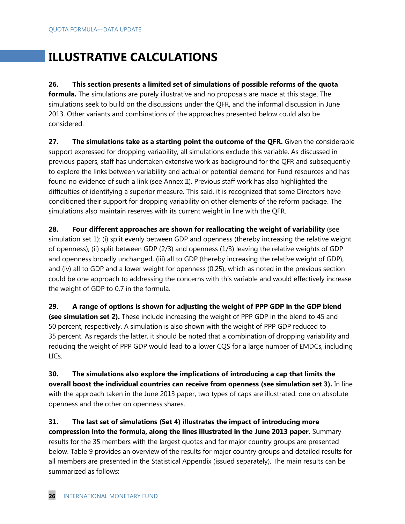# **ILLUSTRATIVE CALCULATIONS**

### **26. This section presents a limited set of simulations of possible reforms of the quota**

**formula.** The simulations are purely illustrative and no proposals are made at this stage. The simulations seek to build on the discussions under the QFR, and the informal discussion in June 2013. Other variants and combinations of the approaches presented below could also be considered.

**27. The simulations take as a starting point the outcome of the QFR.** Given the considerable support expressed for dropping variability, all simulations exclude this variable. As discussed in previous papers, staff has undertaken extensive work as background for the QFR and subsequently to explore the links between variability and actual or potential demand for Fund resources and has found no evidence of such a link (see Annex II). Previous staff work has also highlighted the difficulties of identifying a superior measure. This said, it is recognized that some Directors have conditioned their support for dropping variability on other elements of the reform package. The simulations also maintain reserves with its current weight in line with the QFR.

**28. Four different approaches are shown for reallocating the weight of variability** (see simulation set 1): (i) split evenly between GDP and openness (thereby increasing the relative weight of openness), (ii) split between GDP (2/3) and openness (1/3) leaving the relative weights of GDP and openness broadly unchanged, (iii) all to GDP (thereby increasing the relative weight of GDP), and (iv) all to GDP and a lower weight for openness (0.25), which as noted in the previous section could be one approach to addressing the concerns with this variable and would effectively increase the weight of GDP to 0.7 in the formula.

**29. A range of options is shown for adjusting the weight of PPP GDP in the GDP blend (see simulation set 2).** These include increasing the weight of PPP GDP in the blend to 45 and 50 percent, respectively. A simulation is also shown with the weight of PPP GDP reduced to 35 percent. As regards the latter, it should be noted that a combination of dropping variability and reducing the weight of PPP GDP would lead to a lower CQS for a large number of EMDCs, including LICs.

**30. The simulations also explore the implications of introducing a cap that limits the overall boost the individual countries can receive from openness (see simulation set 3).** In line with the approach taken in the June 2013 paper, two types of caps are illustrated: one on absolute openness and the other on openness shares.

**31. The last set of simulations (Set 4) illustrates the impact of introducing more compression into the formula, along the lines illustrated in the June 2013 paper.** Summary results for the 35 members with the largest quotas and for major country groups are presented below. Table 9 provides an overview of the results for major country groups and detailed results for all members are presented in the Statistical Appendix (issued separately). The main results can be summarized as follows: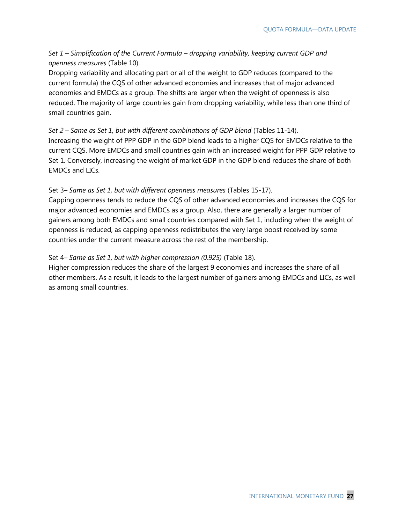#### *Set 1 – Simplification of the Current Formula – dropping variability, keeping current GDP and openness measures* (Table 10).

Dropping variability and allocating part or all of the weight to GDP reduces (compared to the current formula) the CQS of other advanced economies and increases that of major advanced economies and EMDCs as a group. The shifts are larger when the weight of openness is also reduced. The majority of large countries gain from dropping variability, while less than one third of small countries gain.

#### *Set 2 – Same as Set 1, but with different combinations of GDP blend* (Tables 11-14).

Increasing the weight of PPP GDP in the GDP blend leads to a higher CQS for EMDCs relative to the current CQS. More EMDCs and small countries gain with an increased weight for PPP GDP relative to Set 1. Conversely, increasing the weight of market GDP in the GDP blend reduces the share of both EMDCs and LICs.

#### Set 3*– Same as Set 1, but with different openness measures* (Tables 15-17)*.*

Capping openness tends to reduce the CQS of other advanced economies and increases the CQS for major advanced economies and EMDCs as a group. Also, there are generally a larger number of gainers among both EMDCs and small countries compared with Set 1, including when the weight of openness is reduced, as capping openness redistributes the very large boost received by some countries under the current measure across the rest of the membership.

#### Set 4*– Same as Set 1, but with higher compression (0.925)* (Table 18)*.*

Higher compression reduces the share of the largest 9 economies and increases the share of all other members. As a result, it leads to the largest number of gainers among EMDCs and LICs, as well as among small countries.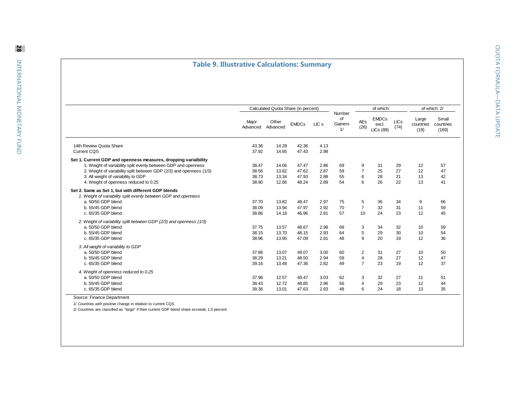## **Table 9. Illustrative Calculations: Summary**

|                                                                                                                                                                                                                                                                                          |                                  | Calculated Quota Share (in percent) |                                  |                              |                               |                                                | of which:                                 |                      |                            | of which: 2/                |
|------------------------------------------------------------------------------------------------------------------------------------------------------------------------------------------------------------------------------------------------------------------------------------------|----------------------------------|-------------------------------------|----------------------------------|------------------------------|-------------------------------|------------------------------------------------|-------------------------------------------|----------------------|----------------------------|-----------------------------|
|                                                                                                                                                                                                                                                                                          | Major<br>Advanced                | Other<br>Advanced                   | <b>EMDCs</b>                     | LIC <sub>s</sub>             | Number<br>of<br>Gainers<br>1/ | <b>AEs</b><br>(26)                             | <b>EMDCs</b><br>excl.<br><b>LICs (88)</b> | <b>LICs</b><br>(74)  | Large<br>countries<br>(19) | Small<br>countries<br>(169) |
| 14th Review Quota Share<br><b>Current CQS</b>                                                                                                                                                                                                                                            | 43.36<br>37.92                   | 14.28                               | 42.36<br>47.43                   | 4.13                         |                               |                                                |                                           |                      |                            |                             |
|                                                                                                                                                                                                                                                                                          |                                  | 14.65                               |                                  | 2.98                         |                               |                                                |                                           |                      |                            |                             |
| Set 1. Current GDP and openness measures, dropping varialbility<br>1. Weight of variability split evenly between GDP and openness<br>2. Weight of variability split between GDP (2/3) and openness (1/3)<br>3. All weight of variability to GDP<br>4. Weight of openness reduced to 0.25 | 38.47<br>38.56<br>38.73<br>38.90 | 14.06<br>13.82<br>13.34<br>12.86    | 47.47<br>47.62<br>47.93<br>48.24 | 2.86<br>2.87<br>2.88<br>2.89 | 69<br>59<br>55<br>54          | 9<br>$\overline{7}$<br>6<br>6                  | 31<br>25<br>28<br>26                      | 29<br>27<br>21<br>22 | 12<br>12<br>13<br>13       | 57<br>47<br>42<br>41        |
| Set 2. Same as Set 1, but with different GDP blends                                                                                                                                                                                                                                      |                                  |                                     |                                  |                              |                               |                                                |                                           |                      |                            |                             |
| 1. Weight of variability split evenly between GDP and openness<br>a. 50/50 GDP blend<br>b. 55/45 GDP blend<br>c. 65/35 GDP blend                                                                                                                                                         | 37.70<br>38.09<br>38.86          | 13.82<br>13.94<br>14.18             | 48.47<br>47.97<br>46.96          | 2.97<br>2.92<br>2.81         | 75<br>70<br>57                | 5<br>$\overline{7}$<br>10                      | 36<br>32<br>24                            | 34<br>31<br>23       | 9<br>11<br>12              | 66<br>59<br>45              |
| 2. Weight of variability split between GDP (2/3) and openness (1/3)<br>a. 50/50 GDP blend<br>b. 55/45 GDP blend<br>c. 65/35 GDP blend                                                                                                                                                    | 37.75<br>38.15<br>38.96          | 13.57<br>13.70<br>13.95             | 48.67<br>48.15<br>47.09          | 2.98<br>2.93<br>2.81         | 69<br>64<br>48                | 3<br>5<br>9                                    | 34<br>29<br>20                            | 32<br>30<br>19       | 10<br>10<br>12             | 59<br>54<br>36              |
| 3. All weight of variability to GDP<br>a. 50/50 GDP blend<br>b. 55/45 GDP blend<br>c. 65/35 GDP blend                                                                                                                                                                                    | 37.86<br>38.29<br>39.16          | 13.07<br>13.21<br>13.48             | 49.07<br>48.50<br>47.36          | 3.00<br>2.94<br>2.82         | 60<br>59<br>49                | 2<br>$\overline{\mathbf{4}}$<br>$\overline{7}$ | 31<br>28<br>23                            | 27<br>27<br>19       | 10<br>12<br>12             | 50<br>47<br>37              |
| 4. Weight of openness reduced to 0.25<br>a. 50/50 GDP blend<br>b. 55/45 GDP blend<br>c. 65/35 GDP blend<br>Source: Finance Denartment                                                                                                                                                    | 37.96<br>38.43<br>39.36          | 12.57<br>12.72<br>13.01             | 49.47<br>48.85<br>47.63          | 3.03<br>2.96<br>2.83         | 62<br>56<br>48                | 3<br>$\overline{4}$<br>6                       | 32<br>29<br>24                            | 27<br>23<br>18       | 11<br>12<br>13             | 51<br>44<br>35              |

Source: Finance Department

1/ Countries with positive change in relation to current CQS.

2/ Countries are classified as "large" if their current GDP blend share exceeds 1.0 percent.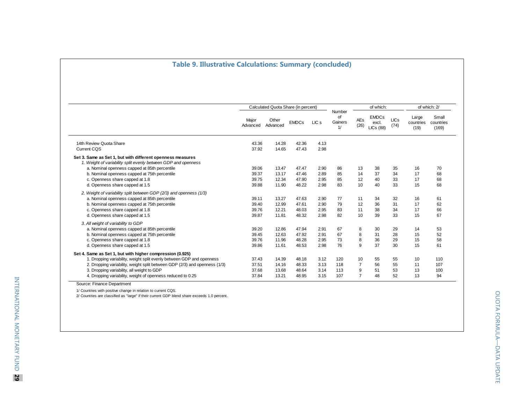## **Table 9. Illustrative Calculations: Summary (concluded)**

|                                                                                                                              |                   | Calculated Quota Share (in percent) |              |                  |                               |                    | of which:                                 |                     |                            | of which: 2/                |
|------------------------------------------------------------------------------------------------------------------------------|-------------------|-------------------------------------|--------------|------------------|-------------------------------|--------------------|-------------------------------------------|---------------------|----------------------------|-----------------------------|
|                                                                                                                              | Major<br>Advanced | Other<br>Advanced                   | <b>EMDCs</b> | LIC <sub>s</sub> | Number<br>of<br>Gainers<br>1/ | <b>AEs</b><br>(26) | <b>EMDCs</b><br>excl.<br><b>LICs (88)</b> | <b>LICs</b><br>(74) | Large<br>countries<br>(19) | Small<br>countries<br>(169) |
| 14th Review Quota Share                                                                                                      | 43.36             | 14.28                               | 42.36        | 4.13             |                               |                    |                                           |                     |                            |                             |
| <b>Current CQS</b>                                                                                                           | 37.92             | 14.65                               | 47.43        | 2.98             |                               |                    |                                           |                     |                            |                             |
| Set 3. Same as Set 1, but with different openness measures<br>1. Weight of variability split evenly between GDP and openness |                   |                                     |              |                  |                               |                    |                                           |                     |                            |                             |
| a. Nominal openness capped at 85th percentile                                                                                | 39.06             | 13.47                               | 47.47        | 2.90             | 86                            | 13                 | 38                                        | 35                  | 16                         | 70                          |
| b. Nominal openness capped at 75th percentile                                                                                | 39.37             | 13.17                               | 47.46        | 2.89             | 85                            | 14                 | 37                                        | 34                  | 17                         | 68                          |
| c. Openness share capped at 1.8                                                                                              | 39.75             | 12.34                               | 47.90        | 2.95             | 85                            | 12                 | 40                                        | 33                  | 17                         | 68                          |
| d. Openness share capped at 1.5                                                                                              | 39.88             | 11.90                               | 48.22        | 2.98             | 83                            | 10 <sup>10</sup>   | 40                                        | 33                  | 15                         | 68                          |
| 2. Weight of variability split between GDP (2/3) and openness (1/3)                                                          |                   |                                     |              |                  |                               |                    |                                           |                     |                            |                             |
| a. Nominal openness capped at 85th percentile                                                                                | 39.11             | 13.27                               | 47.63        | 2.90             | 77                            | 11                 | 34                                        | 32                  | 16                         | 61                          |
| b. Nominal openness capped at 75th percentile                                                                                | 39.40             | 12.99                               | 47.61        | 2.90             | 79                            | 12                 | 36                                        | 31                  | 17                         | 62                          |
| c. Openness share capped at 1.8                                                                                              | 39.76             | 12.21                               | 48.03        | 2.95             | 83                            | 11                 | 38                                        | 34                  | 17                         | 66                          |
| d. Openness share capped at 1.5                                                                                              | 39.87             | 11.81                               | 48.32        | 2.98             | 82                            | 10                 | 39                                        | 33                  | 15                         | 67                          |
| 3. All weight of variability to GDP                                                                                          |                   |                                     |              |                  |                               |                    |                                           |                     |                            |                             |
| a. Nominal openness capped at 85th percentile                                                                                | 39.20             | 12.86                               | 47.94        | 2.91             | 67                            | 8                  | 30                                        | 29                  | 14                         | 53                          |
| b. Nominal openness capped at 75th percentile                                                                                | 39.45             | 12.63                               | 47.92        | 2.91             | 67                            | 8                  | 31                                        | 28                  | 15                         | 52                          |
| c. Openness share capped at 1.8                                                                                              | 39.76             | 11.96                               | 48.28        | 2.95             | 73                            | 8                  | 36                                        | 29                  | 15                         | 58                          |
| d. Openness share capped at 1.5                                                                                              | 39.86             | 11.61                               | 48.53        | 2.98             | 76                            | 9                  | 37                                        | 30                  | 15                         | 61                          |
| Set 4. Same as Set 1, but with higher compression (0.925)                                                                    |                   |                                     |              |                  |                               |                    |                                           |                     |                            |                             |
| 1. Dropping variability, weight split evenly between GDP and openness                                                        | 37.43             | 14.39                               | 48.18        | 3.12             | 120                           | 10                 | 55                                        | 55                  | 10                         | 110                         |
| 2. Dropping variability, weight split between GDP (2/3) and openness (1/3)                                                   | 37.51             | 14.16                               | 48.33        | 3.13             | 118                           | $\overline{7}$     | 56                                        | 55                  | 11                         | 107                         |
| 3. Dropping variability, all weight to GDP                                                                                   | 37.68             | 13.68                               | 48.64        | 3.14             | 113                           | 9                  | 51                                        | 53                  | 13                         | 100                         |
| 4. Dropping variability, weight of openness reduced to 0.25                                                                  | 37.84             | 13.21                               | 48.95        | 3.15             | 107                           | $\overline{7}$     | 48                                        | 52                  | 13                         | 94                          |

Source: Finance Department

1/ Countries with positive change in relation to current CQS.

2/ Countries are classified as "large" if their current GDP blend share exceeds 1.0 percent.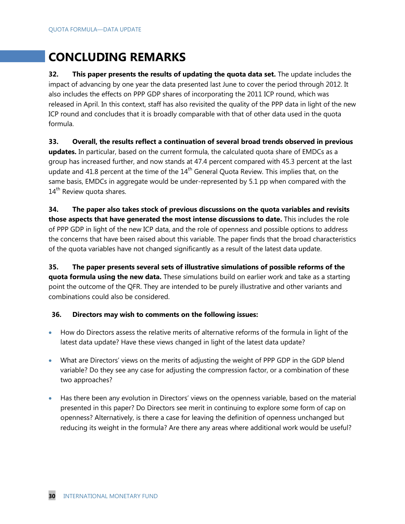# **CONCLUDING REMARKS**

**32. This paper presents the results of updating the quota data set.** The update includes the impact of advancing by one year the data presented last June to cover the period through 2012. It also includes the effects on PPP GDP shares of incorporating the 2011 ICP round, which was released in April. In this context, staff has also revisited the quality of the PPP data in light of the new ICP round and concludes that it is broadly comparable with that of other data used in the quota formula.

**33. Overall, the results reflect a continuation of several broad trends observed in previous updates.** In particular, based on the current formula, the calculated quota share of EMDCs as a group has increased further, and now stands at 47.4 percent compared with 45.3 percent at the last update and 41.8 percent at the time of the  $14<sup>th</sup>$  General Quota Review. This implies that, on the same basis, EMDCs in aggregate would be under-represented by 5.1 pp when compared with the 14<sup>th</sup> Review quota shares.

**34. The paper also takes stock of previous discussions on the quota variables and revisits those aspects that have generated the most intense discussions to date.** This includes the role of PPP GDP in light of the new ICP data, and the role of openness and possible options to address the concerns that have been raised about this variable. The paper finds that the broad characteristics of the quota variables have not changed significantly as a result of the latest data update.

**35. The paper presents several sets of illustrative simulations of possible reforms of the quota formula using the new data.** These simulations build on earlier work and take as a starting point the outcome of the QFR. They are intended to be purely illustrative and other variants and combinations could also be considered.

#### **36. Directors may wish to comments on the following issues:**

- How do Directors assess the relative merits of alternative reforms of the formula in light of the latest data update? Have these views changed in light of the latest data update?
- What are Directors' views on the merits of adjusting the weight of PPP GDP in the GDP blend variable? Do they see any case for adjusting the compression factor, or a combination of these two approaches?
- Has there been any evolution in Directors' views on the openness variable, based on the material presented in this paper? Do Directors see merit in continuing to explore some form of cap on openness? Alternatively, is there a case for leaving the definition of openness unchanged but reducing its weight in the formula? Are there any areas where additional work would be useful?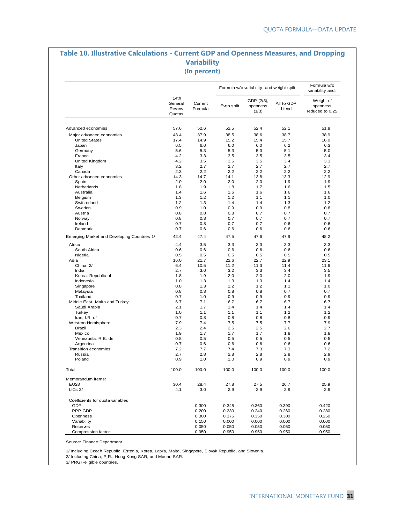#### **Table 10. Illustrative Calculations - Current GDP and Openness Measures, and Dropping Variability (In percent)**

|                                                  |                                     |                    |            | Formula w/o variability, and weight spilt: |                     | Formula w/o<br>variability and:          |
|--------------------------------------------------|-------------------------------------|--------------------|------------|--------------------------------------------|---------------------|------------------------------------------|
|                                                  | 14th<br>General<br>Review<br>Quotas | Current<br>Formula | Even split | GDP (2/3),<br>openness<br>(1/3)            | All to GDP<br>blend | Weight of<br>openness<br>reduced to 0.25 |
| Advanced economies                               | 57.6                                | 52.6               | 52.5       | 52.4                                       | 52.1                | 51.8                                     |
|                                                  | 43.4                                |                    | 38.5       | 38.6                                       |                     | 38.9                                     |
| Major advanced economies<br><b>United States</b> | 17.4                                | 37.9<br>14.9       | 15.2       | 15.4                                       | 38.7<br>15.7        | 16.0                                     |
| Japan                                            | 6.5                                 | 6.0                | 6.0        | 6.0                                        | 6.2                 | 6.3                                      |
| Germany                                          | 5.6                                 | 5.3                | 5.3        | 5.3                                        | 5.1                 | 5.0                                      |
| France                                           | 4.2                                 | 3.3                | 3.5        | 3.5                                        | 3.5                 | 3.4                                      |
| United Kingdom                                   | 4.2                                 | 3.5                | 3.5        | 3.5                                        | 3.4                 | 3.3                                      |
| Italy                                            | 3.2                                 | 2.7                | 2.7        | 2.7                                        | 2.7                 | 2.7                                      |
| Canada                                           | 2.3                                 | 2.2                | 2.2        | 2.2                                        | 2.2                 | 2.2                                      |
| Other advanced economies                         | 14.3                                | 14.7               | 14.1       | 13.8                                       | 13.3                | 12.9                                     |
| Spain                                            | 2.0                                 | 2.0                | 2.0        | 2.0                                        | 1.9                 | 1.9                                      |
| Netherlands                                      | 1.8                                 | 1.9                | 1.8        | 1.7                                        | 1.6                 | 1.5                                      |
| Australia                                        | 1.4                                 | 1.6                | 1.6        | 1.6                                        | 1.6                 | 1.6                                      |
| Belgium                                          | 1.3                                 | 1.2                | 1.2        | 1.1                                        | 1.1                 | 1.0                                      |
| Switzerland                                      | 1.2                                 | 1.3                | 1.4        | 1.4                                        | 1.3                 | 1.2                                      |
| Sweden                                           | 0.9                                 | 1.0                | 0.9        | 0.9                                        | 0.8                 | 0.8                                      |
| Austria                                          | 0.8                                 | 0.8                | 0.8        | 0.7                                        | 0.7                 | 0.7                                      |
| Norway                                           | 0.8                                 | 0.8                | 0.7        | 0.7                                        | 0.7                 | 0.7                                      |
| Ireland                                          | 0.7                                 | 0.8                | 0.7        | 0.7                                        | 0.6                 | 0.6                                      |
| Denmark                                          | 0.7                                 | 0.6                | 0.6        | 0.6                                        | 0.6                 | 0.6                                      |
| Emerging Market and Developing Countries 1/      | 42.4                                | 47.4               | 47.5       | 47.6                                       | 47.9                | 48.2                                     |
| Africa                                           | 4.4                                 | 3.5                | 3.3        | 3.3                                        | 3.3                 | 3.3                                      |
| South Africa                                     | 0.6                                 | 0.6                | 0.6        | 0.6                                        | 0.6                 | 0.6                                      |
| Nigeria                                          | 0.5                                 | 0.5                | 0.5        | 0.5                                        | 0.5                 | 0.5                                      |
| Asia                                             | 16.0                                | 21.7               | 22.6       | 22.7                                       | 22.9                | 23.1                                     |
| China 2/                                         | 6.4                                 | 10.5               | 11.2       | 11.3                                       | 11.4                | 11.6                                     |
| India                                            | 2.7                                 | 3.0                | 3.2        | 3.3                                        | 3.4                 | 3.5                                      |
| Korea, Republic of                               | 1.8                                 | 1.9                | 2.0        | 2.0                                        | 2.0                 | 1.9                                      |
| Indonesia                                        | 1.0                                 | 1.3                | 1.3        | 1.3                                        | 1.4                 | 1.4                                      |
| Singapore                                        | 0.8                                 | 1.3                | 1.2        | 1.2                                        | 1.1                 | 1.0                                      |
| Malaysia                                         | 0.8                                 | 0.8                | 0.8        | 0.8                                        | 0.7                 | 0.7                                      |
| Thailand                                         | 0.7                                 | 1.0                | 0.9        | 0.9                                        | 0.9                 | 0.9                                      |
| Middle East, Malta and Turkey                    | 6.7                                 | 7.1                | 6.7        | 6.7                                        | 6.7                 | 6.7                                      |
| Saudi Arabia                                     | 2.1                                 | 1.7                | 1.4        | 1.4                                        | 1.4                 | 1.4                                      |
| Turkey                                           | 1.0                                 | 1.1                | 1.1        | 1.1                                        | 1.2                 | 1.2                                      |
| Iran, I.R. of                                    | 0.7                                 | 0.8                | 0.8        | 0.8                                        | 0.8                 | 0.9                                      |
| Western Hemisphere                               | 7.9                                 | 7.4                | 7.5        | 7.5                                        | 7.7                 | 7.9                                      |
| <b>Brazil</b>                                    | 2.3                                 | 2.4                | 2.5        | 2.5                                        | 2.6                 | 2.7                                      |
| Mexico                                           | 1.9                                 | 1.7                | 1.7        | 1.7                                        | 1.8                 | 1.8                                      |
| Venezuela, R.B. de                               | 0.8                                 | 0.5                | 0.5        | 0.5                                        | 0.5                 | 0.5                                      |
| Argentina                                        | 0.7                                 | 0.6                | 0.6        | 0.6                                        | 0.6                 | 0.6                                      |
| <b>Transition economies</b>                      | 7.2                                 | 7.7                | 7.4        | 7.3                                        | 7.3                 | 7.2                                      |
| Russia<br>Poland                                 | 2.7<br>0.9                          | 2.8<br>1.0         | 2.8<br>1.0 | 2.8<br>0.9                                 | 2.8<br>0.9          | 2.9<br>0.9                               |
| Total                                            | 100.0                               | 100.0              | 100.0      | 100.0                                      | 100.0               | 100.0                                    |
| Memorandum items:                                |                                     |                    |            |                                            |                     |                                          |
| <b>EU28</b>                                      | 30.4                                | 28.4               | 27.8       | 27.5                                       | 26.7                | 25.9                                     |
| $LICs$ 3/                                        | 4.1                                 | 3.0                | 2.9        | 2.9                                        | 2.9                 | 2.9                                      |
| Coefficients for quota variables                 |                                     |                    |            |                                            |                     |                                          |
| GDP                                              |                                     | 0.300              | 0.345      | 0.360                                      | 0.390               | 0.420                                    |
| PPP GDP                                          |                                     | 0.200              | 0.230      | 0.240                                      | 0.260               | 0.280                                    |
| Openness                                         |                                     | 0.300              | 0.375      | 0.350                                      | 0.300               | 0.250                                    |
| Variability                                      |                                     | 0.150              | 0.000      | 0.000                                      | 0.000               | 0.000                                    |
| Reserves                                         |                                     | 0.050              | 0.050      | 0.050                                      | 0.050               | 0.050                                    |
| Compression factor                               |                                     | 0.950              | 0.950      | 0.950                                      | 0.950               | 0.950                                    |

Source: Finance Department.

1/ Including Czech Republic, Estonia, Korea, Latvia, Malta, Singapore, Slovak Republic, and Slovenia.

2/ Including China, P.R., Hong Kong SAR, and Macao SAR.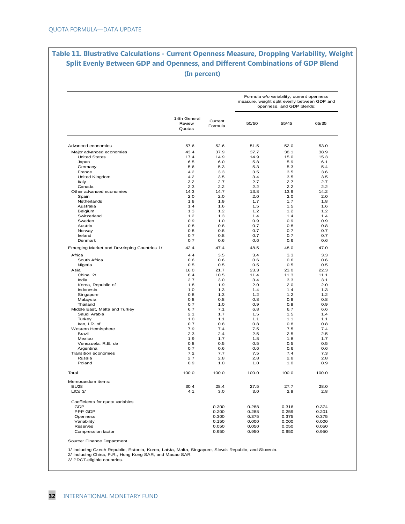# **Table 11. Illustrative Calculations - Current Openness Measure, Dropping Variability, Weight Split Evenly Between GDP and Openness, and Different Combinations of GDP Blend (In percent)**

|                                             |                                  |                    |            | Formula w/o variability, current openness<br>measure, weight split evenly between GDP and<br>openness, and GDP blends: |            |
|---------------------------------------------|----------------------------------|--------------------|------------|------------------------------------------------------------------------------------------------------------------------|------------|
|                                             | 14th General<br>Review<br>Quotas | Current<br>Formula | 50/50      | 55/45                                                                                                                  | 65/35      |
| Advanced economies                          | 57.6                             | 52.6               | 51.5       | 52.0                                                                                                                   | 53.0       |
| Major advanced economies                    | 43.4                             | 37.9               | 37.7       | 38.1                                                                                                                   | 38.9       |
| <b>United States</b>                        | 17.4                             | 14.9               | 14.9       | 15.0                                                                                                                   | 15.3       |
| Japan                                       | 6.5                              | 6.0                | 5.8        | 5.9                                                                                                                    | 6.1        |
| Germany                                     | 5.6                              | 5.3                | 5.3        | 5.3                                                                                                                    | 5.4        |
| France                                      | 4.2                              | 3.3                | 3.5        | 3.5                                                                                                                    | 3.6        |
| United Kingdom                              | 4.2                              | 3.5                | 3.4        | 3.5                                                                                                                    | 3.5        |
| Italy                                       | 3.2                              | 2.7                | 2.7        | 2.7                                                                                                                    | 2.7        |
| Canada                                      | 2.3                              | 2.2                | 2.2        | 2.2                                                                                                                    | 2.2        |
| Other advanced economies                    | 14.3                             | 14.7               | 13.8       | 13.9                                                                                                                   | 14.2       |
| Spain                                       | 2.0                              | 2.0                | 2.0        | 2.0                                                                                                                    | 2.0        |
| Netherlands                                 | 1.8                              | 1.9                | 1.7        | 1.7                                                                                                                    | 1.8        |
| Australia                                   | 1.4                              | 1.6                | 1.5        | 1.5                                                                                                                    | 1.6        |
| Belgium                                     | 1.3                              | 1.2                | 1.2        | 1.2                                                                                                                    | 1.2        |
| Switzerland                                 | 1.2                              | 1.3                | 1.4        | 1.4                                                                                                                    | 1.4        |
| Sweden                                      | 0.9                              | 1.0                | 0.9        | 0.9                                                                                                                    | 0.9        |
| Austria                                     | 0.8                              | 0.8                | 0.7        | 0.8                                                                                                                    | 0.8        |
| Norway                                      | 0.8                              | 0.8                | 0.7        | 0.7                                                                                                                    | 0.7        |
| Ireland                                     | 0.7                              | 0.8                | 0.7        | 0.7                                                                                                                    | 0.7        |
| Denmark                                     | 0.7                              | 0.6                | 0.6        | 0.6                                                                                                                    | 0.6        |
| Emerging Market and Developing Countries 1/ | 42.4                             | 47.4               | 48.5       | 48.0                                                                                                                   | 47.0       |
| Africa                                      | 4.4                              | 3.5                | 3.4        | 3.3                                                                                                                    | 3.3        |
| South Africa                                | 0.6                              | 0.6                | 0.6        | 0.6                                                                                                                    | 0.6        |
| Nigeria                                     | 0.5                              | 0.5                | 0.5        | 0.5                                                                                                                    | 0.5        |
| Asia                                        | 16.0                             | 21.7               | 23.3       | 23.0                                                                                                                   | 22.3       |
| China 2/                                    | 6.4                              | 10.5               | 11.4       | 11.3                                                                                                                   | 11.1       |
| India                                       | 2.7                              | 3.0                | 3.4        | 3.3                                                                                                                    | 3.1        |
| Korea, Republic of                          | 1.8                              | 1.9                | 2.0        | 2.0                                                                                                                    | 2.0        |
| Indonesia                                   | 1.0                              | 1.3                | 1.4        | 1.4                                                                                                                    | 1.3        |
| Singapore                                   | 0.8                              | 1.3                | 1.2        | 1.2                                                                                                                    | 1.2        |
| Malaysia                                    | 0.8                              | 0.8                | 0.8        | 0.8                                                                                                                    | 0.8        |
| Thailand                                    | 0.7                              | 1.0                | 0.9        | 0.9                                                                                                                    | 0.9        |
| Middle East, Malta and Turkey               | 6.7                              | 7.1                | 6.8        | 6.7                                                                                                                    | 6.6        |
| Saudi Arabia                                | 2.1                              | 1.7                | 1.5        | 1.5                                                                                                                    | 1.4        |
| Turkey                                      | 1.0<br>0.7                       | 1.1<br>0.8         | 1.1<br>0.8 | 1.1<br>0.8                                                                                                             | 1.1<br>0.8 |
| Iran, I.R. of<br>Western Hemisphere         | 7.9                              | 7.4                | 7.5        | 7.5                                                                                                                    | 7.4        |
| Brazil                                      | 2.3                              | 2.4                | 2.5        | 2.5                                                                                                                    | 2.5        |
| Mexico                                      | 1.9                              | 1.7                | 1.8        | 1.8                                                                                                                    | 1.7        |
| Venezuela, R.B. de                          | 0.8                              | 0.5                | 0.5        | 0.5                                                                                                                    | 0.5        |
| Argentina                                   | 0.7                              | 0.6                | 0.6        | 0.6                                                                                                                    | 0.6        |
| Transition economies                        | 7.2                              | 7.7                | 7.5        | 7.4                                                                                                                    | 7.3        |
| Russia                                      | 2.7                              | 2.8                | 2.8        | 2.8                                                                                                                    | 2.8        |
| Poland                                      | 0.9                              | 1.0                | 1.0        | 1.0                                                                                                                    | 0.9        |
| Total                                       | 100.0                            | 100.0              | 100.0      | 100.0                                                                                                                  | 100.0      |
| Memorandum items:                           |                                  |                    |            |                                                                                                                        |            |
| EU28                                        | 30.4                             | 28.4               | 27.5       | 27.7                                                                                                                   | 28.0       |
| $LICs$ 3/                                   | 4.1                              | 3.0                | 3.0        | 2.9                                                                                                                    | 2.8        |
|                                             |                                  |                    |            |                                                                                                                        |            |
| Coefficients for quota variables<br>GDP     |                                  | 0.300              | 0.288      | 0.316                                                                                                                  | 0.374      |
| PPP GDP                                     |                                  | 0.200              | 0.288      | 0.259                                                                                                                  | 0.201      |
| Openness                                    |                                  | 0.300              | 0.375      | 0.375                                                                                                                  | 0.375      |
| Variability                                 |                                  | 0.150              | 0.000      | 0.000                                                                                                                  | 0.000      |
| Reserves                                    |                                  | 0.050              | 0.050      | 0.050                                                                                                                  | 0.050      |
|                                             |                                  |                    |            |                                                                                                                        |            |
| Compression factor                          |                                  | 0.950              | 0.950      | 0.950                                                                                                                  | 0.950      |

Source: Finance Department.

1/ Including Czech Republic, Estonia, Korea, Latvia, Malta, Singapore, Slovak Republic, and Slovenia. 2/ Including China, P.R., Hong Kong SAR, and Macao SAR. 3/ PRGT-eligible countries.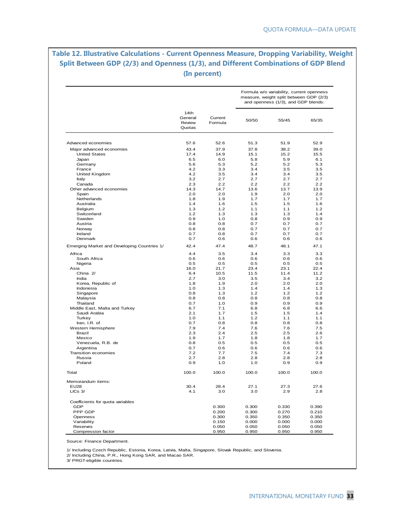# **Table 12. Illustrative Calculations - Current Openness Measure, Dropping Variability, Weight Split Between GDP (2/3) and Openness (1/3), and Different Combinations of GDP Blend (In percent)**

|                                             |                                     |                    |              | Formula w/o variability, current openness<br>measure, weight split between GDP (2/3)<br>and openness (1/3), and GDP blends: |             |
|---------------------------------------------|-------------------------------------|--------------------|--------------|-----------------------------------------------------------------------------------------------------------------------------|-------------|
|                                             | 14th<br>General<br>Review<br>Quotas | Current<br>Formula | 50/50        | 55/45                                                                                                                       | 65/35       |
| Advanced economies                          | 57.6                                | 52.6               | 51.3         | 51.9                                                                                                                        | 52.9        |
|                                             |                                     |                    |              |                                                                                                                             |             |
| Major advanced economies                    | 43.4<br>17.4                        | 37.9               | 37.8<br>15.1 | 38.2                                                                                                                        | 39.0        |
| <b>United States</b><br>Japan               | 6.5                                 | 14.9<br>6.0        | 5.8          | 15.2<br>5.9                                                                                                                 | 15.5<br>6.1 |
| Germany                                     | 5.6                                 | 5.3                | 5.2          | 5.2                                                                                                                         | 5.3         |
| France                                      | 4.2                                 | 3.3                | 3.4          | 3.5                                                                                                                         | 3.5         |
| <b>United Kingdom</b>                       | 4.2                                 | 3.5                | 3.4          | 3.4                                                                                                                         | 3.5         |
| Italy                                       | 3.2                                 | 2.7                | 2.7          | 2.7                                                                                                                         | 2.7         |
| Canada                                      | 2.3                                 | 2.2                | 2.2          | 2.2                                                                                                                         | 2.2         |
| Other advanced economies                    | 14.3                                | 14.7               | 13.6         | 13.7                                                                                                                        | 13.9        |
| Spain                                       | 2.0                                 | 2.0                | 1.9          | 2.0                                                                                                                         | 2.0         |
| Netherlands                                 | 1.8                                 | 1.9                | 1.7          | 1.7                                                                                                                         | 1.7         |
| Australia                                   | 1.4                                 | 1.6                | 1.5          | 1.5                                                                                                                         | 1.6         |
| Belgium                                     | 1.3                                 | 1.2                | 1.1          | 1.1                                                                                                                         | 1.2         |
| Switzerland                                 | 1.2                                 | 1.3                | 1.3          | 1.3                                                                                                                         | 1.4         |
| Sweden                                      | 0.9                                 | 1.0                | 0.8          | 0.9                                                                                                                         | 0.9         |
| Austria                                     | 0.8                                 | 0.8                | 0.7          | 0.7                                                                                                                         | 0.7         |
| Norway                                      | 0.8                                 | 0.8                | 0.7          | 0.7                                                                                                                         | 0.7         |
| Ireland                                     | 0.7                                 | 0.8                | 0.7          | 0.7                                                                                                                         | 0.7         |
| Denmark                                     | 0.7                                 | 0.6                | 0.6          | 0.6                                                                                                                         | 0.6         |
| Emerging Market and Developing Countries 1/ | 42.4                                | 47.4               | 48.7         | 48.1                                                                                                                        | 47.1        |
| Africa                                      | 4.4                                 | 3.5                | 3.4          | 3.3                                                                                                                         | 3.3         |
| South Africa                                | 0.6                                 | 0.6                | 0.6          | 0.6                                                                                                                         | 0.6         |
| Nigeria                                     | 0.5                                 | 0.5                | 0.5          | 0.5                                                                                                                         | 0.5         |
| Asia                                        | 16.0                                | 21.7               | 23.4         | 23.1                                                                                                                        | 22.4        |
| China 2/                                    | 6.4                                 | 10.5               | 11.5         | 11.4                                                                                                                        | 11.2        |
| India                                       | 2.7                                 | 3.0                | 3.5          | 3.4                                                                                                                         | 3.2         |
| Korea, Republic of                          | 1.8                                 | 1.9                | 2.0          | 2.0                                                                                                                         | 2.0         |
| Indonesia                                   | 1.0                                 | 1.3                | 1.4          | 1.4                                                                                                                         | 1.3         |
| Singapore                                   | 0.8                                 | 1.3                | 1.2          | 1.2                                                                                                                         | 1.2         |
| Malaysia                                    | 0.8                                 | 0.8                | 0.8          | 0.8                                                                                                                         | 0.8         |
| Thailand                                    | 0.7                                 | 1.0                | 0.9          | 0.9                                                                                                                         | 0.9         |
| Middle East, Malta and Turkey               | 6.7                                 | 7.1                | 6.8          | 6.8                                                                                                                         | 6.6         |
| Saudi Arabia                                | 2.1                                 | 1.7                | 1.5          | 1.5                                                                                                                         | 1.4         |
| Turkey                                      | 1.0                                 | 1.1                | 1.2          | 1.1                                                                                                                         | 1.1         |
| Iran, I.R. of<br>Western Hemisphere         | 0.7<br>7.9                          | 0.8<br>7.4         | 0.8<br>7.6   | 0.8<br>7.6                                                                                                                  | 0.8<br>7.5  |
| <b>Brazil</b>                               | 2.3                                 | 2.4                | 2.5          | 2.5                                                                                                                         | 2.6         |
| Mexico                                      | 1.9                                 | 1.7                | 1.8          | 1.8                                                                                                                         | 1.7         |
| Venezuela, R.B. de                          | 0.8                                 | 0.5                | 0.5          | 0.5                                                                                                                         | 0.5         |
| Argentina                                   | 0.7                                 | 0.6                | 0.6          | 0.6                                                                                                                         | 0.6         |
| Transition economies                        | 7.2                                 | 7.7                | 7.5          | 7.4                                                                                                                         | 7.3         |
| Russia                                      | 2.7                                 | 2.8                | 2.8          | 2.8                                                                                                                         | 2.8         |
| Poland                                      | 0.9                                 | 1.0                | 1.0          | 0.9                                                                                                                         | 0.9         |
| Total                                       | 100.0                               | 100.0              | 100.0        | 100.0                                                                                                                       | 100.0       |
| Memorandum items:                           |                                     |                    |              |                                                                                                                             |             |
| <b>EU28</b><br>LICs 3/                      | 30.4<br>4.1                         | 28.4<br>3.0        | 27.1<br>3.0  | 27.3<br>2.9                                                                                                                 | 27.6<br>2.8 |
| Coefficients for quota variables            |                                     |                    |              |                                                                                                                             |             |
| GDP                                         |                                     | 0.300              | 0.300        | 0.330                                                                                                                       | 0.390       |
| PPP GDP                                     |                                     | 0.200              | 0.300        | 0.270                                                                                                                       | 0.210       |
| Openness                                    |                                     | 0.300              | 0.350        | 0.350                                                                                                                       | 0.350       |
| Variability                                 |                                     | 0.150              | 0.000        | 0.000                                                                                                                       | 0.000       |
| Reserves                                    |                                     | 0.050              | 0.050        | 0.050                                                                                                                       | 0.050       |
| Compression factor                          |                                     | 0.950              | 0.950        | 0.950                                                                                                                       | 0.950       |

Source: Finance Department.

1/ Including Czech Republic, Estonia, Korea, Latvia, Malta, Singapore, Slovak Republic, and Slovenia.

2/ Including China, P.R., Hong Kong SAR, and Macao SAR.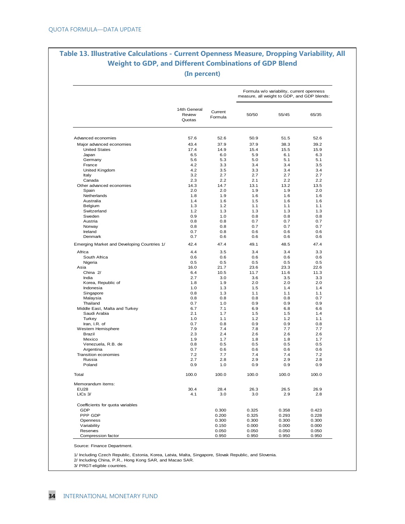## **Table 13. Illustrative Calculations - Current Openness Measure, Dropping Variability, All Weight to GDP, and Different Combinations of GDP Blend (In percent)**

|                                             |                                  |                    |            | Formula w/o variability, current openness<br>measure, all weight to GDP, and GDP blends: |            |
|---------------------------------------------|----------------------------------|--------------------|------------|------------------------------------------------------------------------------------------|------------|
|                                             | 14th General<br>Review<br>Quotas | Current<br>Formula | 50/50      | 55/45                                                                                    | 65/35      |
| Advanced economies                          | 57.6                             | 52.6               | 50.9       | 51.5                                                                                     | 52.6       |
| Major advanced economies                    | 43.4                             | 37.9               | 37.9       | 38.3                                                                                     | 39.2       |
| <b>United States</b>                        | 17.4                             | 14.9               | 15.4       | 15.5                                                                                     | 15.9       |
| Japan                                       | 6.5                              | 6.0                | 5.9        | 6.1                                                                                      | 6.3        |
| Germany                                     | 5.6                              | 5.3                | 5.0        | 5.1                                                                                      | 5.1        |
| France                                      | 4.2                              | 3.3                | 3.4        | 3.4                                                                                      | 3.5        |
| United Kingdom                              | 4.2                              | 3.5                | 3.3        | 3.4                                                                                      | 3.4        |
| Italy                                       | 3.2                              | 2.7                | 2.7        | 2.7                                                                                      | 2.7        |
| Canada                                      | 2.3                              | 2.2                | 2.1        | 2.2                                                                                      | 2.2        |
| Other advanced economies                    | 14.3                             | 14.7               | 13.1       | 13.2                                                                                     | 13.5       |
| Spain                                       | 2.0                              | 2.0                | 1.9        | 1.9                                                                                      | 2.0        |
| Netherlands                                 | 1.8                              | 1.9                | 1.6        | 1.6                                                                                      | 1.6        |
| Australia                                   | 1.4                              | 1.6                | 1.5        | 1.6                                                                                      | 1.6        |
| Belgium                                     | 1.3                              | 1.2                | 1.1        | 1.1                                                                                      | 1.1        |
| Switzerland                                 | 1.2                              | 1.3                | 1.3        | 1.3                                                                                      | 1.3        |
| Sweden                                      | 0.9                              | 1.0                | 0.8        | 0.8                                                                                      | 0.8        |
| Austria                                     | 0.8                              | 0.8                | 0.7        | 0.7                                                                                      | 0.7        |
| Norway                                      | 0.8                              | 0.8                | 0.7        | 0.7                                                                                      | 0.7        |
| Ireland                                     | 0.7                              | 0.8                | 0.6        | 0.6                                                                                      | 0.6        |
| Denmark                                     | 0.7                              | 0.6                | 0.6        | 0.6                                                                                      | 0.6        |
| Emerging Market and Developing Countries 1/ | 42.4                             | 47.4               | 49.1       | 48.5                                                                                     | 47.4       |
| Africa                                      | 4.4                              | 3.5                | 3.4        | 3.4                                                                                      | 3.3        |
| South Africa                                | 0.6                              | 0.6                | 0.6        | 0.6                                                                                      | 0.6        |
| Nigeria                                     | 0.5                              | 0.5                | 0.5        | 0.5                                                                                      | 0.5        |
| Asia                                        | 16.0                             | 21.7               | 23.6       | 23.3                                                                                     | 22.6       |
| China 2/                                    | 6.4                              | 10.5               | 11.7       | 11.6                                                                                     | 11.3       |
| India                                       | 2.7                              | 3.0                | 3.6        | 3.5                                                                                      | 3.3        |
| Korea, Republic of                          | 1.8                              | 1.9                | 2.0        | 2.0                                                                                      | 2.0        |
| Indonesia                                   | 1.0                              | 1.3                | 1.5        | 1.4                                                                                      | 1.4        |
| Singapore                                   | 0.8                              | 1.3                | 1.1        | 1.1                                                                                      | 1.1        |
| Malaysia                                    | 0.8                              | 0.8                | 0.8        | 0.8                                                                                      | 0.7        |
| Thailand                                    | 0.7                              | 1.0                | 0.9        | 0.9                                                                                      | 0.9        |
| Middle East, Malta and Turkey               | 6.7<br>2.1                       | 7.1<br>1.7         | 6.9<br>1.5 | 6.8<br>1.5                                                                               | 6.6<br>1.4 |
| Saudi Arabia<br>Turkey                      | 1.0                              | 1.1                | 1.2        | 1.2                                                                                      | 1.1        |
| Iran, I.R. of                               | 0.7                              | 0.8                | 0.9        | 0.9                                                                                      | 0.8        |
| Western Hemisphere                          | 7.9                              | 7.4                | 7.8        | 7.7                                                                                      | 7.7        |
| Brazil                                      | 2.3                              | 2.4                | 2.6        | 2.6                                                                                      | 2.6        |
| Mexico                                      | 1.9                              | 1.7                | 1.8        | 1.8                                                                                      | 1.7        |
| Venezuela, R.B. de                          | 0.8                              | 0.5                | 0.5        | 0.5                                                                                      | 0.5        |
| Argentina                                   | 0.7                              | 0.6                | 0.6        | 0.6                                                                                      | 0.6        |
| Transition economies                        | 7.2                              | 7.7                | 7.4        | 7.4                                                                                      | 7.2        |
| Russia                                      | 2.7                              | 2.8                | 2.9        | 2.9                                                                                      | 2.8        |
| Poland                                      | 0.9                              | 1.0                | 0.9        | 0.9                                                                                      | 0.9        |
| Total                                       | 100.0                            | 100.0              | 100.0      | 100.0                                                                                    | 100.0      |
| Memorandum items:                           |                                  |                    |            |                                                                                          |            |
| <b>EU28</b>                                 | 30.4                             | 28.4               | 26.3       | 26.5                                                                                     | 26.9       |
| LICs 3/                                     | 4.1                              | 3.0                | 3.0        | 2.9                                                                                      | 2.8        |
| Coefficients for quota variables            |                                  |                    |            |                                                                                          |            |
| GDP                                         |                                  | 0.300              | 0.325      | 0.358                                                                                    | 0.423      |
| PPP GDP                                     |                                  | 0.200              | 0.325      | 0.293                                                                                    | 0.228      |
| Openness                                    |                                  | 0.300              | 0.300      | 0.300                                                                                    | 0.300      |
| Variability                                 |                                  | 0.150              | 0.000      | 0.000                                                                                    | 0.000      |
| Reserves                                    |                                  | 0.050              | 0.050      | 0.050                                                                                    | 0.050      |
| Compression factor                          |                                  | 0.950              | 0.950      | 0.950                                                                                    | 0.950      |

Source: Finance Department.

1/ Including Czech Republic, Estonia, Korea, Latvia, Malta, Singapore, Slovak Republic, and Slovenia.

2/ Including China, P.R., Hong Kong SAR, and Macao SAR.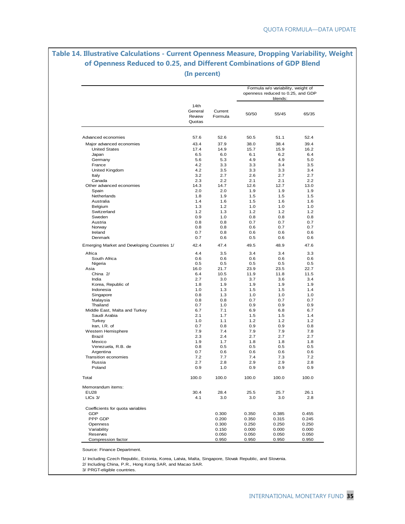## **Table 14. Illustrative Calculations - Current Openness Measure, Dropping Variability, Weight of Openness Reduced to 0.25, and Different Combinations of GDP Blend (In percent)**

|                                             |                                     |                    |                | Formula w/o variability, weight of<br>openness reduced to 0.25, and GDP |                |
|---------------------------------------------|-------------------------------------|--------------------|----------------|-------------------------------------------------------------------------|----------------|
|                                             | 14th<br>General<br>Review<br>Quotas | Current<br>Formula | 50/50          | blends:<br>55/45                                                        | 65/35          |
| Advanced economies                          | 57.6                                | 52.6               | 50.5           | 51.1                                                                    | 52.4           |
| Major advanced economies                    | 43.4                                | 37.9               | 38.0           | 38.4                                                                    | 39.4           |
| <b>United States</b>                        | 17.4                                | 14.9               | 15.7           | 15.9                                                                    | 16.2           |
| Japan                                       | 6.5                                 | 6.0                | 6.1            | 6.2                                                                     | 6.4            |
| Germany                                     | 5.6                                 | 5.3                | 4.9            | 4.9                                                                     | 5.0            |
| France                                      | 4.2                                 | 3.3                | 3.3            | 3.4                                                                     | 3.5            |
| United Kingdom                              | 4.2                                 | 3.5                | 3.3            | 3.3                                                                     | 3.4            |
| Italy                                       | 3.2                                 | 2.7                | 2.6            | 2.7                                                                     | 2.7            |
| Canada                                      | 2.3                                 | 2.2                | 2.1            | 2.1                                                                     | 2.2            |
| Other advanced economies                    | 14.3                                | 14.7               | 12.6           | 12.7                                                                    | 13.0           |
| Spain                                       | 2.0                                 | 2.0                | 1.9            | 1.9                                                                     | 1.9            |
| Netherlands                                 | 1.8                                 | 1.9                | 1.5            | 1.5                                                                     | 1.5            |
| Australia                                   | 1.4                                 | 1.6                | 1.5            | 1.6                                                                     | 1.6            |
| Belgium                                     | 1.3                                 | 1.2                | 1.0            | 1.0                                                                     | 1.0            |
| Switzerland                                 | 1.2                                 | 1.3                | 1.2            | 1.2                                                                     | 1.2            |
| Sweden                                      | 0.9                                 | 1.0                | 0.8            | 0.8                                                                     | 0.8            |
| Austria                                     | 0.8                                 | 0.8                | 0.7            | 0.7                                                                     | 0.7            |
| Norway                                      | 0.8                                 | 0.8                | 0.6            | 0.7                                                                     | 0.7            |
| Ireland                                     | 0.7                                 | 0.8                | 0.6            | 0.6                                                                     | 0.6            |
| Denmark                                     | 0.7                                 | 0.6                | 0.5            | 0.6                                                                     | 0.6            |
| Emerging Market and Developing Countries 1/ | 42.4                                | 47.4               | 49.5           | 48.9                                                                    | 47.6           |
| Africa                                      | 4.4                                 | 3.5                | 3.4            | 3.4                                                                     | 3.3            |
| South Africa                                | 0.6                                 | 0.6                | 0.6            | 0.6                                                                     | 0.6            |
| Nigeria                                     | 0.5                                 | 0.5                | 0.5            | 0.5                                                                     | 0.5            |
| Asia                                        | 16.0                                | 21.7               | 23.9           | 23.5                                                                    | 22.7           |
| China 2/                                    | 6.4                                 | 10.5               | 11.9           | 11.8                                                                    | 11.5           |
| India                                       | 2.7                                 | 3.0                | 3.7            | 3.6                                                                     | 3.4            |
| Korea, Republic of                          | 1.8                                 | 1.9                | 1.9            | 1.9                                                                     | 1.9            |
| Indonesia                                   | 1.0                                 | 1.3                | 1.5            | 1.5                                                                     | 1.4            |
| Singapore                                   | 0.8                                 | 1.3                | 1.0            | 1.0<br>0.7                                                              | 1.0            |
| Malaysia<br>Thailand                        | 0.8<br>0.7                          | 0.8<br>1.0         | 0.7<br>0.9     | 0.9                                                                     | 0.7<br>0.9     |
| Middle East, Malta and Turkey               | 6.7                                 | 7.1                | 6.9            | 6.8                                                                     | 6.7            |
| Saudi Arabia                                | 2.1                                 | 1.7                | 1.5            | 1.5                                                                     | 1.4            |
| Turkey                                      | 1.0                                 | 1.1                | 1.2            | 1.2                                                                     | 1.2            |
| Iran, I.R. of                               | 0.7                                 | 0.8                | 0.9            | 0.9                                                                     | 0.8            |
| Western Hemisphere                          | 7.9                                 | 7.4                | 7.9            | 7.9                                                                     | 7.8            |
| Brazil                                      | 2.3                                 | 2.4                | 2.7            | 2.7                                                                     | 2.7            |
| Mexico                                      | 1.9                                 | 1.7                | 1.8            | 1.8                                                                     | 1.8            |
| Venezuela, R.B. de                          | 0.8                                 | 0.5                | 0.5            | 0.5                                                                     | 0.5            |
| Argentina                                   | 0.7                                 | 0.6                | 0.6            | 0.6                                                                     | 0.6            |
| Transition economies                        | 7.2                                 | 7.7                | 7.4            | 7.3                                                                     | 7.2            |
| Russia                                      | 2.7                                 | 2.8                | 2.9            | 2.9                                                                     | 2.8            |
| Poland                                      | 0.9                                 | 1.0                | 0.9            | 0.9                                                                     | 0.9            |
| Total                                       | 100.0                               | 100.0              | 100.0          | 100.0                                                                   | 100.0          |
| Memorandum items:                           |                                     |                    |                |                                                                         |                |
| <b>EU28</b>                                 | 30.4                                | 28.4               | 25.5           | 25.7                                                                    | 26.1           |
| LICs 3/                                     | 4.1                                 | 3.0                | 3.0            | 3.0                                                                     | 2.8            |
| Coefficients for quota variables            |                                     |                    |                |                                                                         |                |
| GDP                                         |                                     | 0.300              | 0.350          | 0.385                                                                   | 0.455          |
| PPP GDP                                     |                                     | 0.200              | 0.350          | 0.315                                                                   | 0.245          |
| Openness                                    |                                     | 0.300              | 0.250          | 0.250                                                                   | 0.250          |
| Variability                                 |                                     | 0.150              | 0.000          | 0.000                                                                   | 0.000          |
| Reserves<br>Compression factor              |                                     | 0.050<br>0.950     | 0.050<br>0.950 | 0.050<br>0.950                                                          | 0.050<br>0.950 |

Source: Finance Department.

1/ Including Czech Republic, Estonia, Korea, Latvia, Malta, Singapore, Slovak Republic, and Slovenia.

2/ Including China, P.R., Hong Kong SAR, and Macao SAR.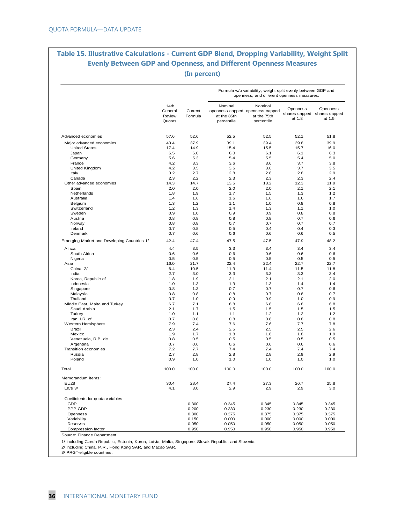# **Table 15. Illustrative Calculations - Current GDP Blend, Dropping Variability, Weight Split Evenly Between GDP and Openness, and Different Openness Measures (In percent)**

|                                             |                                     |                    |                                      | Formula w/o variability, weight split evenly between GDP and<br>openness, and different openness measures: |                    |                                                   |
|---------------------------------------------|-------------------------------------|--------------------|--------------------------------------|------------------------------------------------------------------------------------------------------------|--------------------|---------------------------------------------------|
|                                             | 14th<br>General<br>Review<br>Quotas | Current<br>Formula | Nominal<br>at the 85th<br>percentile | Nominal<br>openness capped openness capped<br>at the 75th<br>percentile                                    | Openness<br>at 1.8 | Openness<br>shares capped shares capped<br>at 1.5 |
| Advanced economies                          | 57.6                                | 52.6               | 52.5                                 | 52.5                                                                                                       | 52.1               | 51.8                                              |
| Major advanced economies                    | 43.4                                | 37.9               | 39.1                                 | 39.4                                                                                                       | 39.8               | 39.9                                              |
| <b>United States</b>                        | 17.4                                | 14.9               | 15.4                                 | 15.5                                                                                                       | 15.7               | 16.0                                              |
| Japan                                       | 6.5                                 | 6.0                | 6.0                                  | 6.1                                                                                                        | 6.1                | 6.3                                               |
| Germany                                     | 5.6                                 | 5.3                | 5.4                                  | 5.5                                                                                                        | 5.4                | 5.0                                               |
| France                                      | 4.2                                 | 3.3                | 3.6                                  | 3.6                                                                                                        | 3.7                | 3.8                                               |
| United Kingdom                              | 4.2                                 | 3.5                | 3.6                                  | 3.6                                                                                                        | 3.7                | 3.5                                               |
| Italy                                       | 3.2                                 | 2.7                | 2.8                                  | 2.8                                                                                                        | 2.8                | 2.9                                               |
| Canada                                      | 2.3                                 | 2.2                | 2.3                                  | 2.3                                                                                                        | 2.3                | 2.4                                               |
| Other advanced economies                    | 14.3                                | 14.7               | 13.5                                 | 13.2                                                                                                       | 12.3               | 11.9                                              |
| Spain                                       | 2.0                                 | 2.0                | 2.0                                  | 2.0                                                                                                        | 2.1                | 2.1                                               |
| Netherlands                                 | 1.8                                 | 1.9                | 1.7                                  | 1.5                                                                                                        | 1.3                | 1.2                                               |
| Australia                                   | 1.4                                 | 1.6                | 1.6                                  | 1.6                                                                                                        | 1.6                | 1.7                                               |
| Belgium                                     | 1.3                                 | 1.2                | 1.1                                  | 1.0                                                                                                        | 0.8                | 0.8                                               |
| Switzerland                                 | 1.2                                 | 1.3                | 1.4                                  | 1.3                                                                                                        | 1.1                | 1.0                                               |
| Sweden                                      | 0.9                                 | 1.0                | 0.9                                  | 0.9                                                                                                        | 0.8                | 0.8                                               |
| Austria                                     | 0.8                                 | 0.8                | 0.8                                  | 0.8                                                                                                        | 0.7                | 0.6                                               |
| Norway                                      | 0.8                                 | 0.8                | 0.7                                  | 0.7                                                                                                        | 0.7                | 0.7                                               |
| Ireland                                     | 0.7                                 | 0.8                | 0.5                                  | 0.4                                                                                                        | 0.4                | 0.3                                               |
| Denmark                                     | 0.7                                 | 0.6                | 0.6                                  | 0.6                                                                                                        | 0.6                | 0.5                                               |
| Emerging Market and Developing Countries 1/ | 42.4                                | 47.4               | 47.5                                 | 47.5                                                                                                       | 47.9               | 48.2                                              |
| Africa                                      | 4.4                                 | 3.5                | 3.3                                  | 3.4                                                                                                        | 3.4                | 3.4                                               |
| South Africa                                | 0.6                                 | 0.6                | 0.6                                  | 0.6                                                                                                        | 0.6                | 0.6                                               |
|                                             | 0.5                                 | 0.5                | 0.5                                  | 0.5                                                                                                        | 0.5                | 0.5                                               |
| Nigeria                                     |                                     |                    |                                      |                                                                                                            |                    |                                                   |
| Asia                                        | 16.0                                | 21.7               | 22.4                                 | 22.4                                                                                                       | 22.7               | 22.7                                              |
| China 2/                                    | 6.4                                 | 10.5               | 11.3                                 | 11.4                                                                                                       | 11.5               | 11.8                                              |
| India                                       | 2.7                                 | 3.0                | 3.3                                  | 3.3                                                                                                        | 3.3                | 3.4                                               |
| Korea, Republic of                          | 1.8                                 | 1.9                | 2.1                                  | 2.1                                                                                                        | 2.1                | 2.0                                               |
| Indonesia                                   | 1.0                                 | 1.3                | 1.3                                  | 1.3                                                                                                        | 1.4                | 1.4                                               |
| Singapore                                   | 0.8                                 | 1.3                | 0.7                                  | 0.7                                                                                                        | 0.7                | 0.6                                               |
| Malaysia                                    | 0.8                                 | 0.8                | 0.8                                  | 0.7                                                                                                        | 0.8                | 0.7                                               |
| Thailand                                    | 0.7                                 | 1.0                | 0.9                                  | 0.9                                                                                                        | 1.0                | 0.9                                               |
| Middle East, Malta and Turkey               | 6.7                                 | 7.1                | 6.8                                  | 6.8                                                                                                        | 6.8                | 6.8                                               |
| Saudi Arabia                                | 2.1                                 | 1.7                | 1.5                                  | 1.5                                                                                                        | 1.5                | 1.5                                               |
| Turkey                                      | 1.0                                 | 1.1                | 1.1                                  | 1.2                                                                                                        | 1.2                | 1.2                                               |
| Iran, I.R. of                               | 0.7                                 | 0.8                | 0.8                                  | 0.8                                                                                                        | 0.8                | 0.8                                               |
| Western Hemisphere                          | 7.9                                 | 7.4                | 7.6                                  | 7.6                                                                                                        | 7.7                | 7.8                                               |
| <b>Brazil</b>                               | 2.3                                 | 2.4                | 2.5                                  | 2.5                                                                                                        | 2.5                | 2.6                                               |
| Mexico                                      | 1.9                                 | 1.7                | 1.8                                  | 1.8                                                                                                        | 1.8                | 1.9                                               |
| Venezuela, R.B. de                          | 0.8                                 | 0.5                | 0.5                                  | 0.5                                                                                                        | 0.5                | 0.5                                               |
| Argentina                                   | 0.7                                 | 0.6                | 0.6                                  | 0.6                                                                                                        | 0.6                | 0.6                                               |
| Transition economies                        | 7.2                                 | 7.7                | 7.4                                  | 7.4                                                                                                        | 7.4                | 7.4                                               |
| Russia<br>Poland                            | 2.7<br>0.9                          | 2.8<br>1.0         | 2.8<br>1.0                           | 2.8<br>1.0                                                                                                 | 2.9<br>1.0         | 2.9<br>1.0                                        |
| Total                                       | 100.0                               | 100.0              | 100.0                                | 100.0                                                                                                      | 100.0              | 100.0                                             |
| Memorandum items:                           |                                     |                    |                                      |                                                                                                            |                    |                                                   |
| <b>EU28</b><br>$LICs$ $3/$                  | 30.4<br>4.1                         | 28.4<br>3.0        | 27.4<br>2.9                          | 27.3<br>2.9                                                                                                | 26.7<br>2.9        | 25.8<br>3.0                                       |
| Coefficients for quota variables            |                                     |                    |                                      |                                                                                                            |                    |                                                   |
| GDP                                         |                                     | 0.300              | 0.345                                | 0.345                                                                                                      | 0.345              | 0.345                                             |
| PPP GDP                                     |                                     | 0.200              | 0.230                                | 0.230                                                                                                      | 0.230              | 0.230                                             |
| Openness                                    |                                     | 0.300              | 0.375                                | 0.375                                                                                                      | 0.375              | 0.375                                             |
| Variability                                 |                                     | 0.150              | 0.000                                | 0.000                                                                                                      | 0.000              | 0.000                                             |
| Reserves                                    |                                     | 0.050              | 0.050                                | 0.050                                                                                                      | 0.050              | 0.050                                             |
| Compression factor                          |                                     | 0.950              | 0.950                                | 0.950                                                                                                      | 0.950              | 0.950                                             |

Source: Finance Department.

1/ Including Czech Republic, Estonia, Korea, Latvia, Malta, Singapore, Slovak Republic, and Slovenia.

2/ Including China, P.R., Hong Kong SAR, and Macao SAR.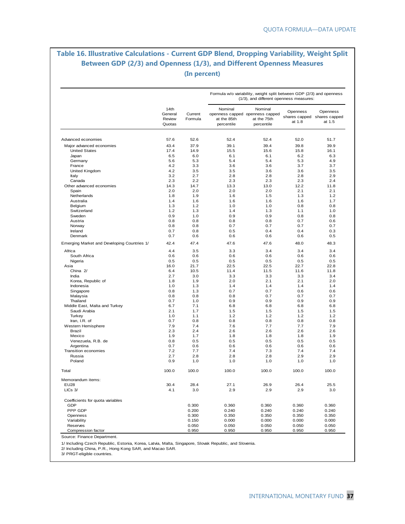# **Table 16. Illustrative Calculations - Current GDP Blend, Dropping Variability, Weight Split Between GDP (2/3) and Openness (1/3), and Different Openness Measures (In percent)**

|                                                  |                                     |                    |                                      | Formula w/o variability, weight split between GDP (2/3) and openness<br>(1/3), and different openness measures: |                                                   |                    |
|--------------------------------------------------|-------------------------------------|--------------------|--------------------------------------|-----------------------------------------------------------------------------------------------------------------|---------------------------------------------------|--------------------|
|                                                  | 14th<br>General<br>Review<br>Quotas | Current<br>Formula | Nominal<br>at the 85th<br>percentile | Nominal<br>openness capped openness capped<br>at the 75th<br>percentile                                         | Openness<br>shares capped shares capped<br>at 1.8 | Openness<br>at 1.5 |
| Advanced economies                               | 57.6                                | 52.6               | 52.4                                 | 52.4                                                                                                            | 52.0                                              | 51.7               |
|                                                  |                                     |                    | 39.1                                 | 39.4                                                                                                            |                                                   |                    |
| Major advanced economies<br><b>United States</b> | 43.4<br>17.4                        | 37.9<br>14.9       | 15.5                                 | 15.6                                                                                                            | 39.8<br>15.8                                      | 39.9<br>16.1       |
| Japan                                            | 6.5                                 | 6.0                | 6.1                                  | 6.1                                                                                                             | 6.2                                               | 6.3                |
| Germany                                          | 5.6                                 | 5.3                | 5.4                                  | 5.4                                                                                                             | 5.3                                               | 4.9                |
| France                                           | 4.2                                 | 3.3                | 3.6                                  | 3.6                                                                                                             | 3.7                                               | 3.7                |
| United Kingdom                                   | 4.2                                 | 3.5                | 3.5                                  | 3.6                                                                                                             | 3.6                                               | 3.5                |
| Italy                                            | 3.2                                 | 2.7                | 2.8                                  | 2.8                                                                                                             | 2.8                                               | 2.9                |
| Canada                                           | 2.3                                 | 2.2                | 2.3                                  | 2.3                                                                                                             | 2.3                                               | 2.4                |
| Other advanced economies                         | 14.3                                | 14.7               | 13.3                                 | 13.0                                                                                                            | 12.2                                              | 11.8               |
| Spain                                            | 2.0                                 | 2.0                | 2.0                                  | 2.0                                                                                                             | 2.1                                               | 2.1                |
| Netherlands                                      | 1.8                                 | 1.9                | 1.6                                  | 1.5                                                                                                             | 1.3                                               | 1.2                |
| Australia                                        | 1.4                                 | 1.6                | 1.6                                  | 1.6                                                                                                             | 1.6                                               | 1.7                |
| Belgium                                          | 1.3                                 | 1.2                | 1.0                                  | 1.0                                                                                                             | 0.8                                               | 0.8                |
| Switzerland                                      | 1.2                                 | 1.3                | 1.4                                  | 1.3                                                                                                             | 1.1                                               | 1.0                |
| Sweden                                           | 0.9                                 | 1.0                | 0.9                                  | 0.9                                                                                                             | 0.8                                               | 0.8                |
| Austria                                          | 0.8                                 | 0.8                | 0.8                                  | 0.8                                                                                                             | 0.7                                               | 0.6                |
| Norway                                           | 0.8                                 | 0.8                | 0.7                                  | 0.7                                                                                                             | 0.7                                               | 0.7                |
| Ireland                                          | 0.7                                 | 0.8                | 0.5                                  | 0.4                                                                                                             | 0.4                                               | 0.3                |
| Denmark                                          | 0.7                                 | 0.6                | 0.6                                  | 0.6                                                                                                             | 0.6                                               | 0.5                |
| Emerging Market and Developing Countries 1/      | 42.4                                | 47.4               | 47.6                                 | 47.6                                                                                                            | 48.0                                              | 48.3               |
| Africa                                           | 4.4                                 | 3.5                | 3.3                                  | 3.4                                                                                                             | 3.4                                               | 3.4                |
| South Africa                                     | 0.6                                 | 0.6                | 0.6                                  | 0.6                                                                                                             | 0.6                                               | 0.6                |
| Nigeria                                          | 0.5                                 | 0.5                | 0.5                                  | 0.5                                                                                                             | 0.5                                               | 0.5                |
| Asia                                             | 16.0                                | 21.7               | 22.5                                 | 22.5                                                                                                            | 22.7                                              | 22.8               |
| China 2/                                         | 6.4                                 | 10.5               | 11.4                                 | 11.5                                                                                                            | 11.6                                              | 11.8               |
| India                                            | 2.7                                 | 3.0                | 3.3                                  | 3.3                                                                                                             | 3.3                                               | 3.4                |
| Korea, Republic of                               | 1.8                                 | 1.9                | 2.0                                  | 2.1                                                                                                             | 2.1                                               | 2.0                |
| Indonesia                                        | 1.0                                 | 1.3                | 1.4                                  | 1.4                                                                                                             | 1.4                                               | 1.4                |
| Singapore                                        | 0.8                                 | 1.3                | 0.7                                  | 0.7                                                                                                             | 0.6                                               | 0.6                |
| Malaysia                                         | 0.8                                 | 0.8                | 0.8                                  | 0.7                                                                                                             | 0.7                                               | 0.7                |
| Thailand                                         | 0.7                                 | 1.0                | 0.9                                  | 0.9                                                                                                             | 0.9                                               | 0.9                |
| Middle East, Malta and Turkey                    | 6.7                                 | 7.1                | 6.8                                  | 6.8                                                                                                             | 6.8                                               | 6.8                |
| Saudi Arabia                                     | 2.1                                 | 1.7                | 1.5                                  | 1.5                                                                                                             | 1.5                                               | 1.5                |
| Turkey                                           | 1.0                                 | 1.1                | 1.2                                  | 1.2                                                                                                             | 1.2                                               | 1.2                |
| Iran, I.R. of                                    | 0.7                                 | 0.8                | 0.8                                  | 0.8                                                                                                             | 0.8                                               | 0.8                |
| Western Hemisphere                               | 7.9                                 | 7.4                | 7.6                                  | 7.7                                                                                                             | 7.7                                               | 7.9                |
| Brazil                                           | 2.3                                 | 2.4                | 2.6                                  | 2.6                                                                                                             | 2.6                                               | 2.6                |
| Mexico                                           | 1.9                                 | 1.7                | 1.8                                  | 1.8                                                                                                             | 1.8                                               | 1.9                |
| Venezuela, R.B. de                               | 0.8                                 | 0.5                | 0.5                                  | 0.5                                                                                                             | 0.5                                               | 0.5                |
| Argentina                                        | 0.7                                 | 0.6                | 0.6                                  | 0.6                                                                                                             | 0.6                                               | 0.6                |
| <b>Transition economies</b>                      | 7.2                                 | 7.7                | 7.4                                  | 7.3                                                                                                             | 7.4                                               | 7.4                |
| Russia                                           | 2.7                                 | 2.8                | 2.8                                  | 2.8                                                                                                             | 2.9                                               | 2.9                |
| Poland                                           | 0.9                                 | 1.0                | 1.0                                  | 1.0                                                                                                             | 1.0                                               | 1.0                |
| Total                                            | 100.0                               | 100.0              | 100.0                                | 100.0                                                                                                           | 100.0                                             | 100.0              |
| Memorandum items:                                |                                     |                    |                                      |                                                                                                                 |                                                   |                    |
| <b>EU28</b><br>$LICs$ $3/$                       | 30.4<br>4.1                         | 28.4<br>3.0        | 27.1<br>2.9                          | 26.9<br>2.9                                                                                                     | 26.4<br>2.9                                       | 25.5<br>3.0        |
| Coefficients for quota variables                 |                                     |                    |                                      |                                                                                                                 |                                                   |                    |
| GDP                                              |                                     | 0.300              | 0.360                                | 0.360                                                                                                           | 0.360                                             | 0.360              |
| PPP GDP                                          |                                     | 0.200              | 0.240                                | 0.240                                                                                                           | 0.240                                             | 0.240              |
| Openness                                         |                                     | 0.300              | 0.350                                | 0.350                                                                                                           | 0.350                                             | 0.350              |
| Variability                                      |                                     | 0.150              | 0.000                                | 0.000                                                                                                           | 0.000                                             | 0.000              |
| Reserves                                         |                                     | 0.050              | 0.050                                | 0.050                                                                                                           | 0.050                                             | 0.050              |
| Compression factor                               |                                     | 0.950              | 0.950                                | 0.950                                                                                                           | 0.950                                             | 0.950              |

Source: Finance Department.

1/ Including Czech Republic, Estonia, Korea, Latvia, Malta, Singapore, Slovak Republic, and Slovenia.

2/ Including China, P.R., Hong Kong SAR, and Macao SAR.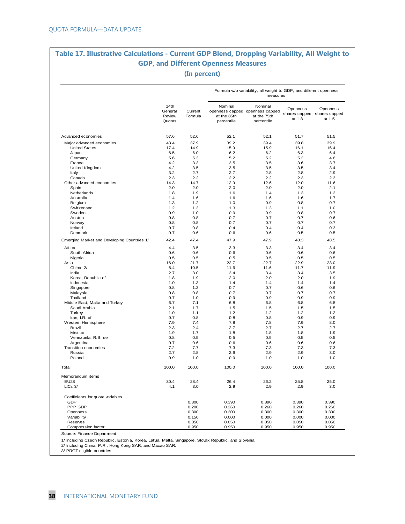## **Table 17. Illustrative Calculations - Current GDP Blend, Dropping Variability, All Weight to GDP, and Different Openness Measures (In percent)**

|                                             |                                     |                    | Formula w/o variability, all weight to GDP, and different openness<br>measures: |                                                                         |                    |                                                   |  |
|---------------------------------------------|-------------------------------------|--------------------|---------------------------------------------------------------------------------|-------------------------------------------------------------------------|--------------------|---------------------------------------------------|--|
|                                             | 14th<br>General<br>Review<br>Quotas | Current<br>Formula | Nominal<br>at the 85th<br>percentile                                            | Nominal<br>openness capped openness capped<br>at the 75th<br>percentile | Openness<br>at 1.8 | Openness<br>shares capped shares capped<br>at 1.5 |  |
| Advanced economies                          | 57.6                                | 52.6               | 52.1                                                                            | 52.1                                                                    | 51.7               | 51.5                                              |  |
| Major advanced economies                    | 43.4                                | 37.9               | 39.2                                                                            | 39.4                                                                    | 39.8               | 39.9                                              |  |
| <b>United States</b>                        | 17.4                                | 14.9               | 15.9                                                                            | 15.9                                                                    | 16.1               | 16.4                                              |  |
| Japan                                       | 6.5                                 | 6.0                | 6.2                                                                             | 6.2                                                                     | 6.3                | 6.4                                               |  |
| Germany                                     | 5.6                                 | 5.3                | 5.2                                                                             | 5.2                                                                     | 5.2                | 4.8                                               |  |
| France                                      | 4.2                                 | 3.3                | 3.5                                                                             | 3.5                                                                     | 3.6                | 3.7                                               |  |
| United Kingdom                              | 4.2                                 | 3.5                | 3.5                                                                             | 3.5                                                                     | 3.5                | 3.4                                               |  |
| Italy                                       | 3.2                                 | 2.7                | 2.7                                                                             | 2.8                                                                     | 2.8                | 2.9                                               |  |
| Canada                                      | 2.3                                 | 2.2                | 2.2                                                                             | 2.2                                                                     | 2.3                | 2.3                                               |  |
| Other advanced economies                    | 14.3                                | 14.7               | 12.9                                                                            | 12.6                                                                    | 12.0               | 11.6                                              |  |
| Spain                                       | 2.0                                 | 2.0                | 2.0                                                                             | 2.0                                                                     | 2.0                | 2.1                                               |  |
| Netherlands                                 | 1.8                                 | 1.9                | 1.6                                                                             | 1.4                                                                     | 1.3                | 1.2                                               |  |
| Australia                                   | 1.4                                 | 1.6                | 1.6                                                                             | 1.6                                                                     | 1.6                | 1.7                                               |  |
| Belgium                                     | 1.3                                 | 1.2                | 1.0                                                                             | 0.9                                                                     | 0.8                | 0.7                                               |  |
| Switzerland                                 | 1.2                                 | 1.3                | 1.3                                                                             | 1.3                                                                     | 1.1                | 1.0                                               |  |
| Sweden                                      | 0.9                                 | 1.0                | 0.9                                                                             | 0.9                                                                     | 0.8                | 0.7                                               |  |
| Austria                                     | 0.8                                 | 0.8                | 0.7                                                                             | 0.7                                                                     | 0.7                | 0.6                                               |  |
| Norway                                      | 0.8                                 | 0.8                | 0.7                                                                             | 0.7                                                                     | 0.7                | 0.7                                               |  |
| Ireland                                     | 0.7                                 | 0.8                | 0.4                                                                             | 0.4                                                                     | 0.4                | 0.3                                               |  |
| Denmark                                     | 0.7                                 | 0.6                | 0.6                                                                             | 0.6                                                                     | 0.5                | 0.5                                               |  |
| Emerging Market and Developing Countries 1/ | 42.4                                | 47.4               | 47.9                                                                            | 47.9                                                                    | 48.3               | 48.5                                              |  |
| Africa                                      | 4.4                                 | 3.5                | 3.3                                                                             | 3.3                                                                     | 3.4                | 3.4                                               |  |
| South Africa                                | 0.6                                 | 0.6                | 0.6                                                                             | 0.6                                                                     | 0.6                | 0.6                                               |  |
| Nigeria                                     | 0.5                                 | 0.5                | 0.5                                                                             | 0.5                                                                     | 0.5                | 0.5                                               |  |
| Asia                                        | 16.0                                | 21.7               | 22.7                                                                            | 22.7                                                                    | 22.9               | 23.0                                              |  |
| China 2/                                    | 6.4                                 | 10.5               | 11.6                                                                            | 11.6                                                                    | 11.7               | 11.9                                              |  |
| India                                       | 2.7                                 | 3.0                | 3.4                                                                             | 3.4                                                                     | 3.4                | 3.5                                               |  |
| Korea, Republic of                          | 1.8                                 | 1.9                | 2.0                                                                             | 2.0                                                                     | 2.0                | 1.9                                               |  |
| Indonesia                                   | 1.0<br>0.8                          | 1.3                | 1.4<br>0.7                                                                      | 1.4                                                                     | 1.4                | 1.4                                               |  |
| Singapore<br>Malaysia                       | 0.8                                 | 1.3<br>0.8         | 0.7                                                                             | 0.7<br>0.7                                                              | 0.6<br>0.7         | 0.6<br>0.7                                        |  |
| Thailand                                    | 0.7                                 | 1.0                | 0.9                                                                             | 0.9                                                                     | 0.9                | 0.9                                               |  |
| Middle East, Malta and Turkey               | 6.7                                 | 7.1                | 6.8                                                                             | 6.8                                                                     | 6.8                | 6.8                                               |  |
| Saudi Arabia                                | 2.1                                 | 1.7                | 1.5                                                                             | 1.5                                                                     | 1.5                | 1.5                                               |  |
| Turkey                                      | 1.0                                 | 1.1                | 1.2                                                                             | 1.2                                                                     | 1.2                | 1.2                                               |  |
| Iran, I.R. of                               | 0.7                                 | 0.8                | 0.8                                                                             | 0.8                                                                     | 0.9                | 0.9                                               |  |
| Western Hemisphere                          | 7.9                                 | 7.4                | 7.8                                                                             | 7.8                                                                     | 7.9                | 8.0                                               |  |
| <b>Brazil</b>                               | 2.3                                 | 2.4                | 2.7                                                                             | 2.7                                                                     | 2.7                | 2.7                                               |  |
| Mexico                                      | 1.9                                 | 1.7                | 1.8                                                                             | 1.8                                                                     | 1.8                | 1.9                                               |  |
| Venezuela, R.B. de                          | 0.8                                 | 0.5                | 0.5                                                                             | 0.5                                                                     | 0.5                | 0.5                                               |  |
| Argentina                                   | 0.7                                 | 0.6                | 0.6                                                                             | 0.6                                                                     | 0.6                | 0.6                                               |  |
| <b>Transition economies</b>                 | 7.2                                 | 7.7                | 7.3                                                                             | 7.3                                                                     | 7.3                | 7.3                                               |  |
| Russia                                      | 2.7                                 | 2.8                | 2.9                                                                             | 2.9                                                                     | 2.9                | 3.0                                               |  |
| Poland                                      | 0.9                                 | 1.0                | 0.9                                                                             | 1.0                                                                     | 1.0                | 1.0                                               |  |
| Total                                       | 100.0                               | 100.0              | 100.0                                                                           | 100.0                                                                   | 100.0              | 100.0                                             |  |
| Memorandum items:                           |                                     |                    |                                                                                 |                                                                         |                    |                                                   |  |
| EU28<br>LICs 3/                             | 30.4<br>4.1                         | 28.4<br>3.0        | 26.4<br>2.9                                                                     | 26.2<br>2.9                                                             | 25.8<br>2.9        | 25.0<br>3.0                                       |  |
| Coefficients for quota variables            |                                     |                    |                                                                                 |                                                                         |                    |                                                   |  |
| GDP                                         |                                     | 0.300              | 0.390                                                                           | 0.390                                                                   | 0.390              | 0.390                                             |  |
| PPP GDP                                     |                                     | 0.200              | 0.260                                                                           | 0.260                                                                   | 0.260              | 0.260                                             |  |
| Openness                                    |                                     | 0.300              | 0.300                                                                           | 0.300                                                                   | 0.300              | 0.300                                             |  |
| Variability                                 |                                     | 0.150              | 0.000                                                                           | 0.000                                                                   | 0.000              | 0.000                                             |  |
| Reserves                                    |                                     | 0.050              | 0.050                                                                           | 0.050                                                                   | 0.050              | 0.050                                             |  |
| Compression factor                          |                                     | 0.950              | 0.950                                                                           | 0.950                                                                   | 0.950              | 0.950                                             |  |

Source: Finance Department.

1/ Including Czech Republic, Estonia, Korea, Latvia, Malta, Singapore, Slovak Republic, and Slovenia.

2/ Including China, P.R., Hong Kong SAR, and Macao SAR. 3/ PRGT-eligible countries.